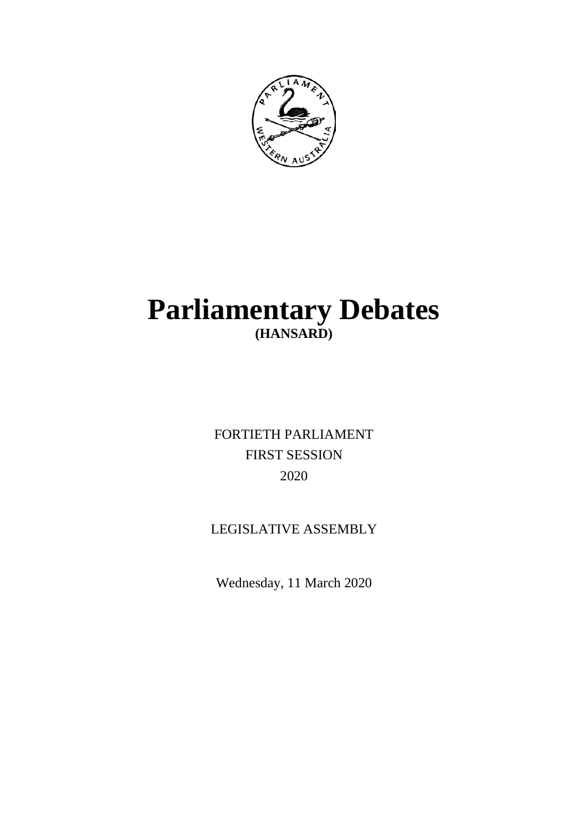

# **Parliamentary Debates (HANSARD)**

FORTIETH PARLIAMENT FIRST SESSION 2020

## LEGISLATIVE ASSEMBLY

Wednesday, 11 March 2020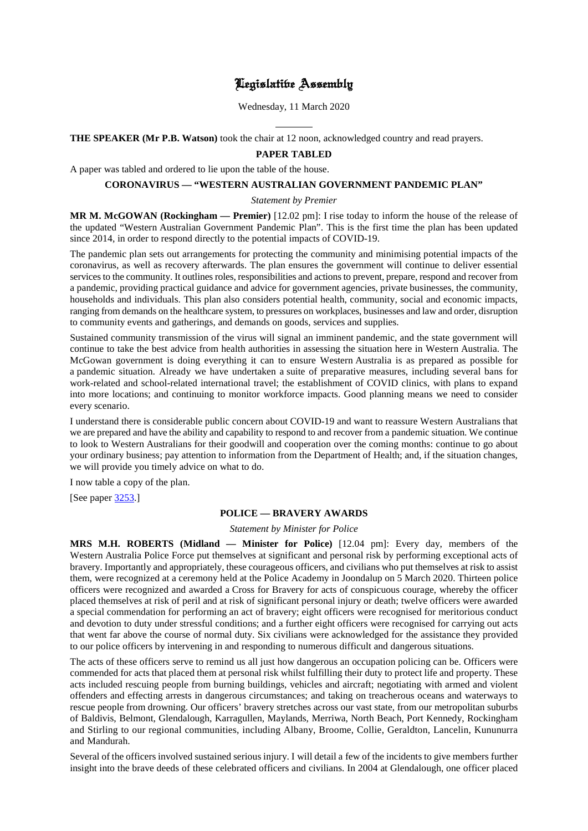### Legislative Assembly

Wednesday, 11 March 2020

 $\overline{a}$ **THE SPEAKER (Mr P.B. Watson)** took the chair at 12 noon, acknowledged country and read prayers.

#### **PAPER TABLED**

A paper was tabled and ordered to lie upon the table of the house.

#### **CORONAVIRUS — "WESTERN AUSTRALIAN GOVERNMENT PANDEMIC PLAN"**

#### *Statement by Premier*

**MR M. McGOWAN (Rockingham — Premier)** [12.02 pm]: I rise today to inform the house of the release of the updated "Western Australian Government Pandemic Plan". This is the first time the plan has been updated since 2014, in order to respond directly to the potential impacts of COVID-19.

The pandemic plan sets out arrangements for protecting the community and minimising potential impacts of the coronavirus, as well as recovery afterwards. The plan ensures the government will continue to deliver essential services to the community. It outlines roles, responsibilities and actions to prevent, prepare, respond and recover from a pandemic, providing practical guidance and advice for government agencies, private businesses, the community, households and individuals. This plan also considers potential health, community, social and economic impacts, ranging from demands on the healthcare system, to pressures on workplaces, businesses and law and order, disruption to community events and gatherings, and demands on goods, services and supplies.

Sustained community transmission of the virus will signal an imminent pandemic, and the state government will continue to take the best advice from health authorities in assessing the situation here in Western Australia. The McGowan government is doing everything it can to ensure Western Australia is as prepared as possible for a pandemic situation. Already we have undertaken a suite of preparative measures, including several bans for work-related and school-related international travel; the establishment of COVID clinics, with plans to expand into more locations; and continuing to monitor workforce impacts. Good planning means we need to consider every scenario.

I understand there is considerable public concern about COVID-19 and want to reassure Western Australians that we are prepared and have the ability and capability to respond to and recover from a pandemic situation. We continue to look to Western Australians for their goodwill and cooperation over the coming months: continue to go about your ordinary business; pay attention to information from the Department of Health; and, if the situation changes, we will provide you timely advice on what to do.

I now table a copy of the plan.

[See paper [3253.](https://www.parliament.wa.gov.au/publications/tabledpapers.nsf/displaypaper/4013253a0370baf4abc5020848258528003da7bc/$file/3253.pdf)]

#### **POLICE — BRAVERY AWARDS**

#### *Statement by Minister for Police*

**MRS M.H. ROBERTS (Midland — Minister for Police)** [12.04 pm]: Every day, members of the Western Australia Police Force put themselves at significant and personal risk by performing exceptional acts of bravery. Importantly and appropriately, these courageous officers, and civilians who put themselves at risk to assist them, were recognized at a ceremony held at the Police Academy in Joondalup on 5 March 2020. Thirteen police officers were recognized and awarded a Cross for Bravery for acts of conspicuous courage, whereby the officer placed themselves at risk of peril and at risk of significant personal injury or death; twelve officers were awarded a special commendation for performing an act of bravery; eight officers were recognised for meritorious conduct and devotion to duty under stressful conditions; and a further eight officers were recognised for carrying out acts that went far above the course of normal duty. Six civilians were acknowledged for the assistance they provided to our police officers by intervening in and responding to numerous difficult and dangerous situations.

The acts of these officers serve to remind us all just how dangerous an occupation policing can be. Officers were commended for acts that placed them at personal risk whilst fulfilling their duty to protect life and property. These acts included rescuing people from burning buildings, vehicles and aircraft; negotiating with armed and violent offenders and effecting arrests in dangerous circumstances; and taking on treacherous oceans and waterways to rescue people from drowning. Our officers' bravery stretches across our vast state, from our metropolitan suburbs of Baldivis, Belmont, Glendalough, Karragullen, Maylands, Merriwa, North Beach, Port Kennedy, Rockingham and Stirling to our regional communities, including Albany, Broome, Collie, Geraldton, Lancelin, Kununurra and Mandurah.

Several of the officers involved sustained serious injury. I will detail a few of the incidents to give members further insight into the brave deeds of these celebrated officers and civilians. In 2004 at Glendalough, one officer placed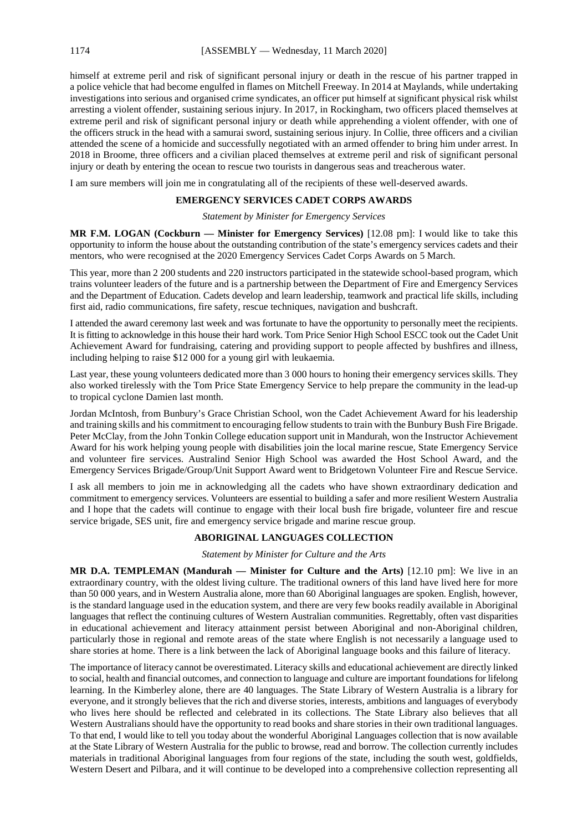himself at extreme peril and risk of significant personal injury or death in the rescue of his partner trapped in a police vehicle that had become engulfed in flames on Mitchell Freeway. In 2014 at Maylands, while undertaking investigations into serious and organised crime syndicates, an officer put himself at significant physical risk whilst arresting a violent offender, sustaining serious injury. In 2017, in Rockingham, two officers placed themselves at extreme peril and risk of significant personal injury or death while apprehending a violent offender, with one of the officers struck in the head with a samurai sword, sustaining serious injury. In Collie, three officers and a civilian attended the scene of a homicide and successfully negotiated with an armed offender to bring him under arrest. In 2018 in Broome, three officers and a civilian placed themselves at extreme peril and risk of significant personal injury or death by entering the ocean to rescue two tourists in dangerous seas and treacherous water.

I am sure members will join me in congratulating all of the recipients of these well-deserved awards.

#### **EMERGENCY SERVICES CADET CORPS AWARDS**

#### *Statement by Minister for Emergency Services*

**MR F.M. LOGAN (Cockburn — Minister for Emergency Services)** [12.08 pm]: I would like to take this opportunity to inform the house about the outstanding contribution of the state's emergency services cadets and their mentors, who were recognised at the 2020 Emergency Services Cadet Corps Awards on 5 March.

This year, more than 2 200 students and 220 instructors participated in the statewide school-based program, which trains volunteer leaders of the future and is a partnership between the Department of Fire and Emergency Services and the Department of Education. Cadets develop and learn leadership, teamwork and practical life skills, including first aid, radio communications, fire safety, rescue techniques, navigation and bushcraft.

I attended the award ceremony last week and was fortunate to have the opportunity to personally meet the recipients. It is fitting to acknowledge in this house their hard work. Tom Price Senior High School ESCC took out the Cadet Unit Achievement Award for fundraising, catering and providing support to people affected by bushfires and illness, including helping to raise \$12 000 for a young girl with leukaemia.

Last year, these young volunteers dedicated more than 3 000 hours to honing their emergency services skills. They also worked tirelessly with the Tom Price State Emergency Service to help prepare the community in the lead-up to tropical cyclone Damien last month.

Jordan McIntosh, from Bunbury's Grace Christian School, won the Cadet Achievement Award for his leadership and training skills and his commitment to encouraging fellow students to train with the Bunbury Bush Fire Brigade. Peter McClay, from the John Tonkin College education support unit in Mandurah, won the Instructor Achievement Award for his work helping young people with disabilities join the local marine rescue, State Emergency Service and volunteer fire services. Australind Senior High School was awarded the Host School Award, and the Emergency Services Brigade/Group/Unit Support Award went to Bridgetown Volunteer Fire and Rescue Service.

I ask all members to join me in acknowledging all the cadets who have shown extraordinary dedication and commitment to emergency services. Volunteers are essential to building a safer and more resilient Western Australia and I hope that the cadets will continue to engage with their local bush fire brigade, volunteer fire and rescue service brigade, SES unit, fire and emergency service brigade and marine rescue group.

#### **ABORIGINAL LANGUAGES COLLECTION**

*Statement by Minister for Culture and the Arts*

**MR D.A. TEMPLEMAN (Mandurah — Minister for Culture and the Arts)** [12.10 pm]: We live in an extraordinary country, with the oldest living culture. The traditional owners of this land have lived here for more than 50 000 years, and in Western Australia alone, more than 60 Aboriginal languages are spoken. English, however, is the standard language used in the education system, and there are very few books readily available in Aboriginal languages that reflect the continuing cultures of Western Australian communities. Regrettably, often vast disparities in educational achievement and literacy attainment persist between Aboriginal and non-Aboriginal children, particularly those in regional and remote areas of the state where English is not necessarily a language used to share stories at home. There is a link between the lack of Aboriginal language books and this failure of literacy.

The importance of literacy cannot be overestimated. Literacy skills and educational achievement are directly linked to social, health and financial outcomes, and connection to language and culture are important foundations for lifelong learning. In the Kimberley alone, there are 40 languages. The State Library of Western Australia is a library for everyone, and it strongly believes that the rich and diverse stories, interests, ambitions and languages of everybody who lives here should be reflected and celebrated in its collections. The State Library also believes that all Western Australians should have the opportunity to read books and share stories in their own traditional languages. To that end, I would like to tell you today about the wonderful Aboriginal Languages collection that is now available at the State Library of Western Australia for the public to browse, read and borrow. The collection currently includes materials in traditional Aboriginal languages from four regions of the state, including the south west, goldfields, Western Desert and Pilbara, and it will continue to be developed into a comprehensive collection representing all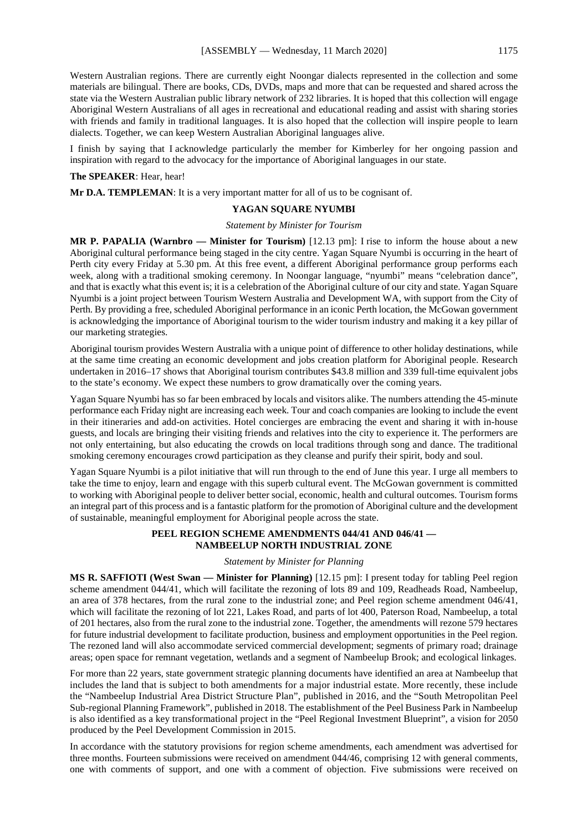Western Australian regions. There are currently eight Noongar dialects represented in the collection and some materials are bilingual. There are books, CDs, DVDs, maps and more that can be requested and shared across the state via the Western Australian public library network of 232 libraries. It is hoped that this collection will engage Aboriginal Western Australians of all ages in recreational and educational reading and assist with sharing stories with friends and family in traditional languages. It is also hoped that the collection will inspire people to learn dialects. Together, we can keep Western Australian Aboriginal languages alive.

I finish by saying that I acknowledge particularly the member for Kimberley for her ongoing passion and inspiration with regard to the advocacy for the importance of Aboriginal languages in our state.

#### **The SPEAKER**: Hear, hear!

**Mr D.A. TEMPLEMAN**: It is a very important matter for all of us to be cognisant of.

#### **YAGAN SQUARE NYUMBI**

#### *Statement by Minister for Tourism*

**MR P. PAPALIA (Warnbro — Minister for Tourism)** [12.13 pm]: I rise to inform the house about a new Aboriginal cultural performance being staged in the city centre. Yagan Square Nyumbi is occurring in the heart of Perth city every Friday at 5.30 pm. At this free event, a different Aboriginal performance group performs each week, along with a traditional smoking ceremony. In Noongar language, "nyumbi" means "celebration dance", and that is exactly what this event is; it is a celebration of the Aboriginal culture of our city and state. Yagan Square Nyumbi is a joint project between Tourism Western Australia and Development WA, with support from the City of Perth. By providing a free, scheduled Aboriginal performance in an iconic Perth location, the McGowan government is acknowledging the importance of Aboriginal tourism to the wider tourism industry and making it a key pillar of our marketing strategies.

Aboriginal tourism provides Western Australia with a unique point of difference to other holiday destinations, while at the same time creating an economic development and jobs creation platform for Aboriginal people. Research undertaken in 2016–17 shows that Aboriginal tourism contributes \$43.8 million and 339 full-time equivalent jobs to the state's economy. We expect these numbers to grow dramatically over the coming years.

Yagan Square Nyumbi has so far been embraced by locals and visitors alike. The numbers attending the 45-minute performance each Friday night are increasing each week. Tour and coach companies are looking to include the event in their itineraries and add-on activities. Hotel concierges are embracing the event and sharing it with in-house guests, and locals are bringing their visiting friends and relatives into the city to experience it. The performers are not only entertaining, but also educating the crowds on local traditions through song and dance. The traditional smoking ceremony encourages crowd participation as they cleanse and purify their spirit, body and soul.

Yagan Square Nyumbi is a pilot initiative that will run through to the end of June this year. I urge all members to take the time to enjoy, learn and engage with this superb cultural event. The McGowan government is committed to working with Aboriginal people to deliver better social, economic, health and cultural outcomes. Tourism forms an integral part of this process and is a fantastic platform for the promotion of Aboriginal culture and the development of sustainable, meaningful employment for Aboriginal people across the state.

#### **PEEL REGION SCHEME AMENDMENTS 044/41 AND 046/41 — NAMBEELUP NORTH INDUSTRIAL ZONE**

#### *Statement by Minister for Planning*

**MS R. SAFFIOTI (West Swan — Minister for Planning)** [12.15 pm]: I present today for tabling Peel region scheme amendment 044/41, which will facilitate the rezoning of lots 89 and 109, Readheads Road, Nambeelup, an area of 378 hectares, from the rural zone to the industrial zone; and Peel region scheme amendment 046/41, which will facilitate the rezoning of lot 221, Lakes Road, and parts of lot 400, Paterson Road, Nambeelup, a total of 201 hectares, also from the rural zone to the industrial zone. Together, the amendments will rezone 579 hectares for future industrial development to facilitate production, business and employment opportunities in the Peel region. The rezoned land will also accommodate serviced commercial development; segments of primary road; drainage areas; open space for remnant vegetation, wetlands and a segment of Nambeelup Brook; and ecological linkages.

For more than 22 years, state government strategic planning documents have identified an area at Nambeelup that includes the land that is subject to both amendments for a major industrial estate. More recently, these include the "Nambeelup Industrial Area District Structure Plan", published in 2016, and the "South Metropolitan Peel Sub-regional Planning Framework", published in 2018. The establishment of the Peel Business Park in Nambeelup is also identified as a key transformational project in the "Peel Regional Investment Blueprint", a vision for 2050 produced by the Peel Development Commission in 2015.

In accordance with the statutory provisions for region scheme amendments, each amendment was advertised for three months. Fourteen submissions were received on amendment 044/46, comprising 12 with general comments, one with comments of support, and one with a comment of objection. Five submissions were received on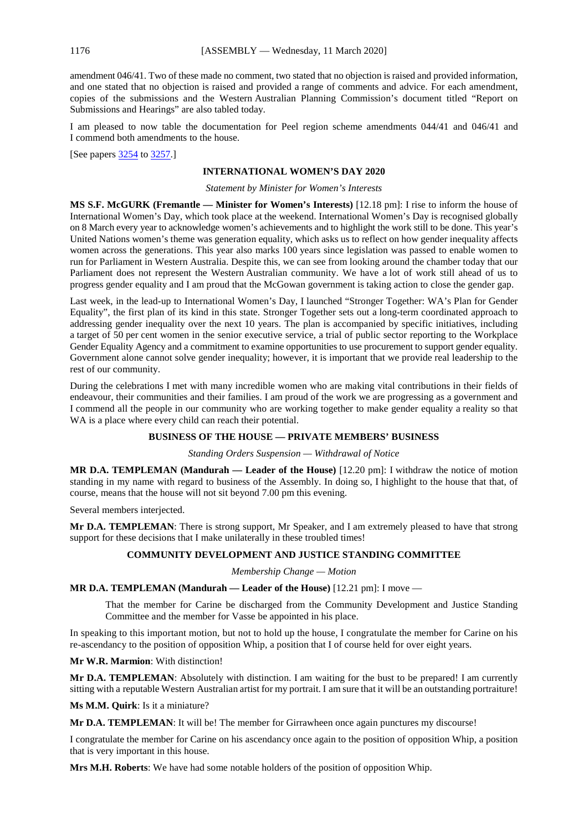amendment 046/41. Two of these made no comment, two stated that no objection is raised and provided information, and one stated that no objection is raised and provided a range of comments and advice. For each amendment, copies of the submissions and the Western Australian Planning Commission's document titled "Report on Submissions and Hearings" are also tabled today.

I am pleased to now table the documentation for Peel region scheme amendments 044/41 and 046/41 and I commend both amendments to the house.

[See papers [3254](https://www.parliament.wa.gov.au/publications/tabledpapers.nsf/displaypaper/4013254a7f20d1b4ba750c0048258528003da7db/$file/3254.pdf) t[o 3257.](https://www.parliament.wa.gov.au/publications/tabledpapers.nsf/displaypaper/4013257ae380574f8f4e8f3248258528003da84a/$file/3257.pdf)]

#### **INTERNATIONAL WOMEN'S DAY 2020**

*Statement by Minister for Women's Interests*

**MS S.F. McGURK (Fremantle — Minister for Women's Interests)** [12.18 pm]: I rise to inform the house of International Women's Day, which took place at the weekend. International Women's Day is recognised globally on 8 March every year to acknowledge women's achievements and to highlight the work still to be done. This year's United Nations women's theme was generation equality, which asks us to reflect on how gender inequality affects women across the generations. This year also marks 100 years since legislation was passed to enable women to run for Parliament in Western Australia. Despite this, we can see from looking around the chamber today that our Parliament does not represent the Western Australian community. We have a lot of work still ahead of us to progress gender equality and I am proud that the McGowan government is taking action to close the gender gap.

Last week, in the lead-up to International Women's Day, I launched "Stronger Together: WA's Plan for Gender Equality", the first plan of its kind in this state. Stronger Together sets out a long-term coordinated approach to addressing gender inequality over the next 10 years. The plan is accompanied by specific initiatives, including a target of 50 per cent women in the senior executive service, a trial of public sector reporting to the Workplace Gender Equality Agency and a commitment to examine opportunities to use procurement to support gender equality. Government alone cannot solve gender inequality; however, it is important that we provide real leadership to the rest of our community.

During the celebrations I met with many incredible women who are making vital contributions in their fields of endeavour, their communities and their families. I am proud of the work we are progressing as a government and I commend all the people in our community who are working together to make gender equality a reality so that WA is a place where every child can reach their potential.

#### **BUSINESS OF THE HOUSE — PRIVATE MEMBERS' BUSINESS**

*Standing Orders Suspension — Withdrawal of Notice*

**MR D.A. TEMPLEMAN (Mandurah — Leader of the House)** [12.20 pm]: I withdraw the notice of motion standing in my name with regard to business of the Assembly. In doing so, I highlight to the house that that, of course, means that the house will not sit beyond 7.00 pm this evening.

Several members interjected.

**Mr D.A. TEMPLEMAN**: There is strong support, Mr Speaker, and I am extremely pleased to have that strong support for these decisions that I make unilaterally in these troubled times!

#### **COMMUNITY DEVELOPMENT AND JUSTICE STANDING COMMITTEE**

*Membership Change — Motion*

**MR D.A. TEMPLEMAN (Mandurah — Leader of the House)** [12.21 pm]: I move —

That the member for Carine be discharged from the Community Development and Justice Standing Committee and the member for Vasse be appointed in his place.

In speaking to this important motion, but not to hold up the house, I congratulate the member for Carine on his re-ascendancy to the position of opposition Whip, a position that I of course held for over eight years.

**Mr W.R. Marmion**: With distinction!

**Mr D.A. TEMPLEMAN**: Absolutely with distinction. I am waiting for the bust to be prepared! I am currently sitting with a reputable Western Australian artist for my portrait. I am sure that it will be an outstanding portraiture!

**Ms M.M. Quirk**: Is it a miniature?

**Mr D.A. TEMPLEMAN:** It will be! The member for Girrawheen once again punctures my discourse!

I congratulate the member for Carine on his ascendancy once again to the position of opposition Whip, a position that is very important in this house.

**Mrs M.H. Roberts**: We have had some notable holders of the position of opposition Whip.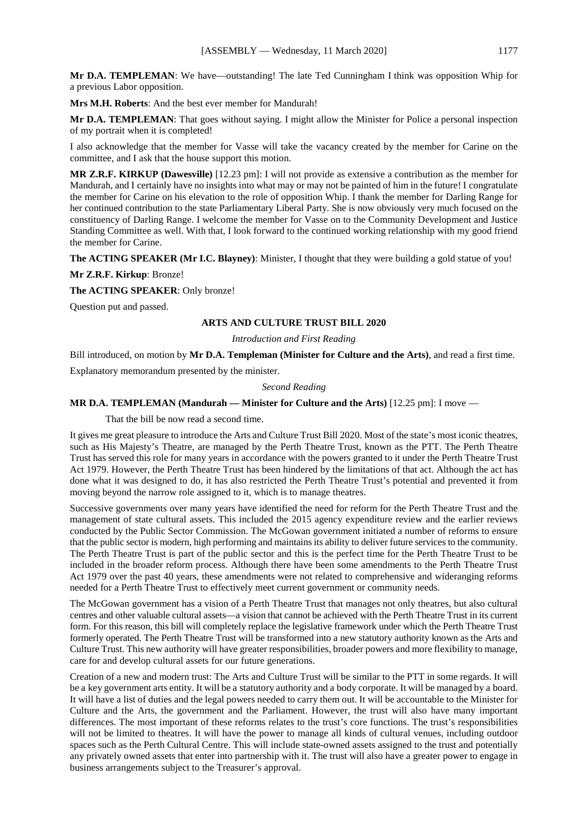**Mrs M.H. Roberts**: And the best ever member for Mandurah!

**Mr D.A. TEMPLEMAN**: That goes without saying. I might allow the Minister for Police a personal inspection of my portrait when it is completed!

I also acknowledge that the member for Vasse will take the vacancy created by the member for Carine on the committee, and I ask that the house support this motion.

**MR Z.R.F. KIRKUP (Dawesville)** [12.23 pm]: I will not provide as extensive a contribution as the member for Mandurah, and I certainly have no insights into what may or may not be painted of him in the future! I congratulate the member for Carine on his elevation to the role of opposition Whip. I thank the member for Darling Range for her continued contribution to the state Parliamentary Liberal Party. She is now obviously very much focused on the constituency of Darling Range. I welcome the member for Vasse on to the Community Development and Justice Standing Committee as well. With that, I look forward to the continued working relationship with my good friend the member for Carine.

**The ACTING SPEAKER (Mr I.C. Blayney)**: Minister, I thought that they were building a gold statue of you!

**Mr Z.R.F. Kirkup**: Bronze!

**The ACTING SPEAKER**: Only bronze!

Question put and passed.

#### **ARTS AND CULTURE TRUST BILL 2020**

*Introduction and First Reading*

Bill introduced, on motion by **Mr D.A. Templeman (Minister for Culture and the Arts)**, and read a first time.

Explanatory memorandum presented by the minister.

#### *Second Reading*

#### **MR D.A. TEMPLEMAN (Mandurah — Minister for Culture and the Arts)** [12.25 pm]: I move —

That the bill be now read a second time.

It gives me great pleasure to introduce the Arts and Culture Trust Bill 2020. Most of the state's most iconic theatres, such as His Majesty's Theatre, are managed by the Perth Theatre Trust, known as the PTT. The Perth Theatre Trust has served this role for many years in accordance with the powers granted to it under the Perth Theatre Trust Act 1979. However, the Perth Theatre Trust has been hindered by the limitations of that act. Although the act has done what it was designed to do, it has also restricted the Perth Theatre Trust's potential and prevented it from moving beyond the narrow role assigned to it, which is to manage theatres.

Successive governments over many years have identified the need for reform for the Perth Theatre Trust and the management of state cultural assets. This included the 2015 agency expenditure review and the earlier reviews conducted by the Public Sector Commission. The McGowan government initiated a number of reforms to ensure that the public sector is modern, high performing and maintains its ability to deliver future services to the community. The Perth Theatre Trust is part of the public sector and this is the perfect time for the Perth Theatre Trust to be included in the broader reform process. Although there have been some amendments to the Perth Theatre Trust Act 1979 over the past 40 years, these amendments were not related to comprehensive and wideranging reforms needed for a Perth Theatre Trust to effectively meet current government or community needs.

The McGowan government has a vision of a Perth Theatre Trust that manages not only theatres, but also cultural centres and other valuable cultural assets—a vision that cannot be achieved with the Perth Theatre Trust in its current form. For this reason, this bill will completely replace the legislative framework under which the Perth Theatre Trust formerly operated. The Perth Theatre Trust will be transformed into a new statutory authority known as the Arts and Culture Trust. This new authority will have greater responsibilities, broader powers and more flexibility to manage, care for and develop cultural assets for our future generations.

Creation of a new and modern trust: The Arts and Culture Trust will be similar to the PTT in some regards. It will be a key government arts entity. It will be a statutory authority and a body corporate. It will be managed by a board. It will have a list of duties and the legal powers needed to carry them out. It will be accountable to the Minister for Culture and the Arts, the government and the Parliament. However, the trust will also have many important differences. The most important of these reforms relates to the trust's core functions. The trust's responsibilities will not be limited to theatres. It will have the power to manage all kinds of cultural venues, including outdoor spaces such as the Perth Cultural Centre. This will include state-owned assets assigned to the trust and potentially any privately owned assets that enter into partnership with it. The trust will also have a greater power to engage in business arrangements subject to the Treasurer's approval.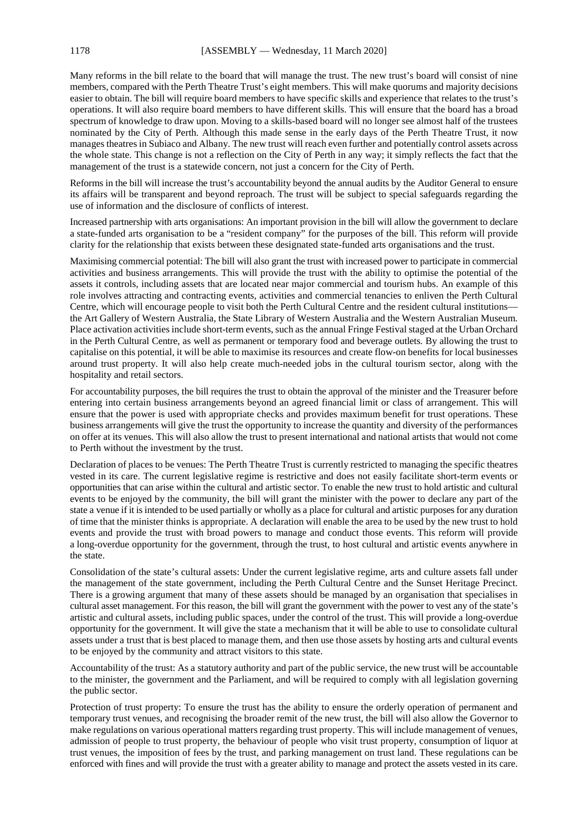Many reforms in the bill relate to the board that will manage the trust. The new trust's board will consist of nine members, compared with the Perth Theatre Trust's eight members. This will make quorums and majority decisions easier to obtain. The bill will require board members to have specific skills and experience that relates to the trust's operations. It will also require board members to have different skills. This will ensure that the board has a broad spectrum of knowledge to draw upon. Moving to a skills-based board will no longer see almost half of the trustees nominated by the City of Perth. Although this made sense in the early days of the Perth Theatre Trust, it now manages theatres in Subiaco and Albany. The new trust will reach even further and potentially control assets across the whole state. This change is not a reflection on the City of Perth in any way; it simply reflects the fact that the management of the trust is a statewide concern, not just a concern for the City of Perth.

Reforms in the bill will increase the trust's accountability beyond the annual audits by the Auditor General to ensure its affairs will be transparent and beyond reproach. The trust will be subject to special safeguards regarding the use of information and the disclosure of conflicts of interest.

Increased partnership with arts organisations: An important provision in the bill will allow the government to declare a state-funded arts organisation to be a "resident company" for the purposes of the bill. This reform will provide clarity for the relationship that exists between these designated state-funded arts organisations and the trust.

Maximising commercial potential: The bill will also grant the trust with increased power to participate in commercial activities and business arrangements. This will provide the trust with the ability to optimise the potential of the assets it controls, including assets that are located near major commercial and tourism hubs. An example of this role involves attracting and contracting events, activities and commercial tenancies to enliven the Perth Cultural Centre, which will encourage people to visit both the Perth Cultural Centre and the resident cultural institutions the Art Gallery of Western Australia, the State Library of Western Australia and the Western Australian Museum. Place activation activities include short-term events, such as the annual Fringe Festival staged at the Urban Orchard in the Perth Cultural Centre, as well as permanent or temporary food and beverage outlets. By allowing the trust to capitalise on this potential, it will be able to maximise its resources and create flow-on benefits for local businesses around trust property. It will also help create much-needed jobs in the cultural tourism sector, along with the hospitality and retail sectors.

For accountability purposes, the bill requires the trust to obtain the approval of the minister and the Treasurer before entering into certain business arrangements beyond an agreed financial limit or class of arrangement. This will ensure that the power is used with appropriate checks and provides maximum benefit for trust operations. These business arrangements will give the trust the opportunity to increase the quantity and diversity of the performances on offer at its venues. This will also allow the trust to present international and national artists that would not come to Perth without the investment by the trust.

Declaration of places to be venues: The Perth Theatre Trust is currently restricted to managing the specific theatres vested in its care. The current legislative regime is restrictive and does not easily facilitate short-term events or opportunities that can arise within the cultural and artistic sector. To enable the new trust to hold artistic and cultural events to be enjoyed by the community, the bill will grant the minister with the power to declare any part of the state a venue if it is intended to be used partially or wholly as a place for cultural and artistic purposes for any duration of time that the minister thinks is appropriate. A declaration will enable the area to be used by the new trust to hold events and provide the trust with broad powers to manage and conduct those events. This reform will provide a long-overdue opportunity for the government, through the trust, to host cultural and artistic events anywhere in the state.

Consolidation of the state's cultural assets: Under the current legislative regime, arts and culture assets fall under the management of the state government, including the Perth Cultural Centre and the Sunset Heritage Precinct. There is a growing argument that many of these assets should be managed by an organisation that specialises in cultural asset management. For this reason, the bill will grant the government with the power to vest any of the state's artistic and cultural assets, including public spaces, under the control of the trust. This will provide a long-overdue opportunity for the government. It will give the state a mechanism that it will be able to use to consolidate cultural assets under a trust that is best placed to manage them, and then use those assets by hosting arts and cultural events to be enjoyed by the community and attract visitors to this state.

Accountability of the trust: As a statutory authority and part of the public service, the new trust will be accountable to the minister, the government and the Parliament, and will be required to comply with all legislation governing the public sector.

Protection of trust property: To ensure the trust has the ability to ensure the orderly operation of permanent and temporary trust venues, and recognising the broader remit of the new trust, the bill will also allow the Governor to make regulations on various operational matters regarding trust property. This will include management of venues, admission of people to trust property, the behaviour of people who visit trust property, consumption of liquor at trust venues, the imposition of fees by the trust, and parking management on trust land. These regulations can be enforced with fines and will provide the trust with a greater ability to manage and protect the assets vested in its care.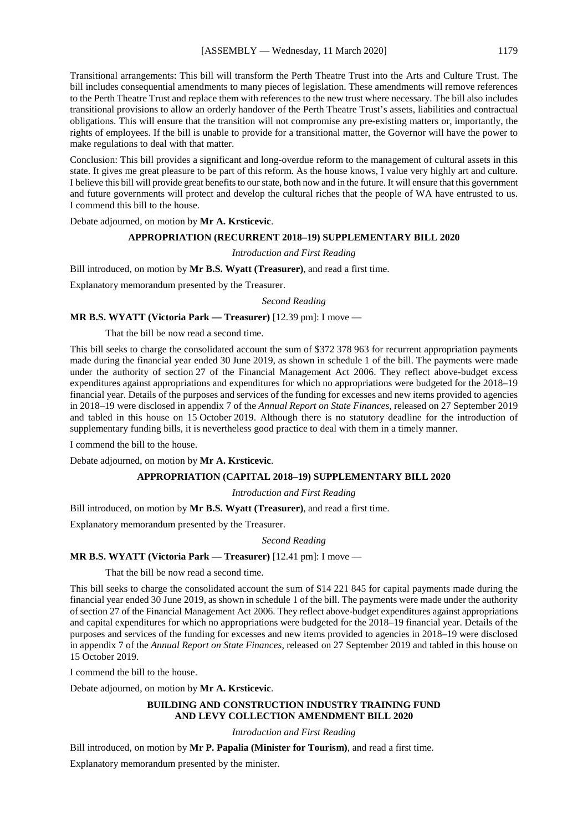Transitional arrangements: This bill will transform the Perth Theatre Trust into the Arts and Culture Trust. The bill includes consequential amendments to many pieces of legislation. These amendments will remove references to the Perth Theatre Trust and replace them with references to the new trust where necessary. The bill also includes transitional provisions to allow an orderly handover of the Perth Theatre Trust's assets, liabilities and contractual obligations. This will ensure that the transition will not compromise any pre-existing matters or, importantly, the rights of employees. If the bill is unable to provide for a transitional matter, the Governor will have the power to make regulations to deal with that matter.

Conclusion: This bill provides a significant and long-overdue reform to the management of cultural assets in this state. It gives me great pleasure to be part of this reform. As the house knows, I value very highly art and culture. I believe this bill will provide great benefits to our state, both now and in the future. It will ensure that this government and future governments will protect and develop the cultural riches that the people of WA have entrusted to us. I commend this bill to the house.

Debate adjourned, on motion by **Mr A. Krsticevic**.

#### **APPROPRIATION (RECURRENT 2018–19) SUPPLEMENTARY BILL 2020**

#### *Introduction and First Reading*

Bill introduced, on motion by **Mr B.S. Wyatt (Treasurer)**, and read a first time.

Explanatory memorandum presented by the Treasurer.

*Second Reading*

#### **MR B.S. WYATT (Victoria Park — Treasurer)** [12.39 pm]: I move —

That the bill be now read a second time.

This bill seeks to charge the consolidated account the sum of \$372 378 963 for recurrent appropriation payments made during the financial year ended 30 June 2019, as shown in schedule 1 of the bill. The payments were made under the authority of section 27 of the Financial Management Act 2006. They reflect above-budget excess expenditures against appropriations and expenditures for which no appropriations were budgeted for the 2018–19 financial year. Details of the purposes and services of the funding for excesses and new items provided to agencies in 2018–19 were disclosed in appendix 7 of the *Annual Report on State Finances*, released on 27 September 2019 and tabled in this house on 15 October 2019. Although there is no statutory deadline for the introduction of supplementary funding bills, it is nevertheless good practice to deal with them in a timely manner.

I commend the bill to the house.

Debate adjourned, on motion by **Mr A. Krsticevic**.

#### **APPROPRIATION (CAPITAL 2018–19) SUPPLEMENTARY BILL 2020**

*Introduction and First Reading*

Bill introduced, on motion by **Mr B.S. Wyatt (Treasurer)**, and read a first time.

Explanatory memorandum presented by the Treasurer.

#### *Second Reading*

#### **MR B.S. WYATT (Victoria Park — Treasurer)** [12.41 pm]: I move —

That the bill be now read a second time.

This bill seeks to charge the consolidated account the sum of \$14 221 845 for capital payments made during the financial year ended 30 June 2019, as shown in schedule 1 of the bill. The payments were made under the authority of section 27 of the Financial Management Act 2006. They reflect above-budget expenditures against appropriations and capital expenditures for which no appropriations were budgeted for the 2018–19 financial year. Details of the purposes and services of the funding for excesses and new items provided to agencies in 2018–19 were disclosed in appendix 7 of the *Annual Report on State Finances*, released on 27 September 2019 and tabled in this house on 15 October 2019.

I commend the bill to the house.

Debate adjourned, on motion by **Mr A. Krsticevic**.

#### **BUILDING AND CONSTRUCTION INDUSTRY TRAINING FUND AND LEVY COLLECTION AMENDMENT BILL 2020**

*Introduction and First Reading*

Bill introduced, on motion by **Mr P. Papalia (Minister for Tourism)**, and read a first time.

Explanatory memorandum presented by the minister.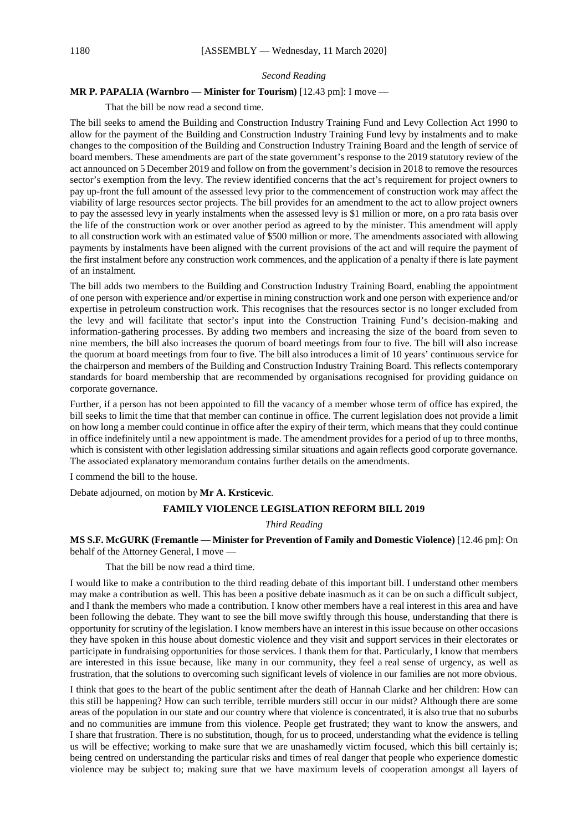#### *Second Reading*

#### **MR P. PAPALIA (Warnbro — Minister for Tourism)** [12.43 pm]: I move —

That the bill be now read a second time.

The bill seeks to amend the Building and Construction Industry Training Fund and Levy Collection Act 1990 to allow for the payment of the Building and Construction Industry Training Fund levy by instalments and to make changes to the composition of the Building and Construction Industry Training Board and the length of service of board members. These amendments are part of the state government's response to the 2019 statutory review of the act announced on 5 December 2019 and follow on from the government's decision in 2018 to remove the resources sector's exemption from the levy. The review identified concerns that the act's requirement for project owners to pay up-front the full amount of the assessed levy prior to the commencement of construction work may affect the viability of large resources sector projects. The bill provides for an amendment to the act to allow project owners to pay the assessed levy in yearly instalments when the assessed levy is \$1 million or more, on a pro rata basis over the life of the construction work or over another period as agreed to by the minister. This amendment will apply to all construction work with an estimated value of \$500 million or more. The amendments associated with allowing payments by instalments have been aligned with the current provisions of the act and will require the payment of the first instalment before any construction work commences, and the application of a penalty if there is late payment of an instalment.

The bill adds two members to the Building and Construction Industry Training Board, enabling the appointment of one person with experience and/or expertise in mining construction work and one person with experience and/or expertise in petroleum construction work. This recognises that the resources sector is no longer excluded from the levy and will facilitate that sector's input into the Construction Training Fund's decision-making and information-gathering processes. By adding two members and increasing the size of the board from seven to nine members, the bill also increases the quorum of board meetings from four to five. The bill will also increase the quorum at board meetings from four to five. The bill also introduces a limit of 10 years' continuous service for the chairperson and members of the Building and Construction Industry Training Board. This reflects contemporary standards for board membership that are recommended by organisations recognised for providing guidance on corporate governance.

Further, if a person has not been appointed to fill the vacancy of a member whose term of office has expired, the bill seeks to limit the time that that member can continue in office. The current legislation does not provide a limit on how long a member could continue in office after the expiry of their term, which means that they could continue in office indefinitely until a new appointment is made. The amendment provides for a period of up to three months, which is consistent with other legislation addressing similar situations and again reflects good corporate governance. The associated explanatory memorandum contains further details on the amendments.

I commend the bill to the house.

Debate adjourned, on motion by **Mr A. Krsticevic**.

#### **FAMILY VIOLENCE LEGISLATION REFORM BILL 2019**

*Third Reading*

#### **MS S.F. McGURK (Fremantle — Minister for Prevention of Family and Domestic Violence)** [12.46 pm]: On behalf of the Attorney General, I move —

That the bill be now read a third time.

I would like to make a contribution to the third reading debate of this important bill. I understand other members may make a contribution as well. This has been a positive debate inasmuch as it can be on such a difficult subject, and I thank the members who made a contribution. I know other members have a real interest in this area and have been following the debate. They want to see the bill move swiftly through this house, understanding that there is opportunity for scrutiny of the legislation. I know members have an interest in this issue because on other occasions they have spoken in this house about domestic violence and they visit and support services in their electorates or participate in fundraising opportunities for those services. I thank them for that. Particularly, I know that members are interested in this issue because, like many in our community, they feel a real sense of urgency, as well as frustration, that the solutions to overcoming such significant levels of violence in our families are not more obvious.

I think that goes to the heart of the public sentiment after the death of Hannah Clarke and her children: How can this still be happening? How can such terrible, terrible murders still occur in our midst? Although there are some areas of the population in our state and our country where that violence is concentrated, it is also true that no suburbs and no communities are immune from this violence. People get frustrated; they want to know the answers, and I share that frustration. There is no substitution, though, for us to proceed, understanding what the evidence is telling us will be effective; working to make sure that we are unashamedly victim focused, which this bill certainly is; being centred on understanding the particular risks and times of real danger that people who experience domestic violence may be subject to; making sure that we have maximum levels of cooperation amongst all layers of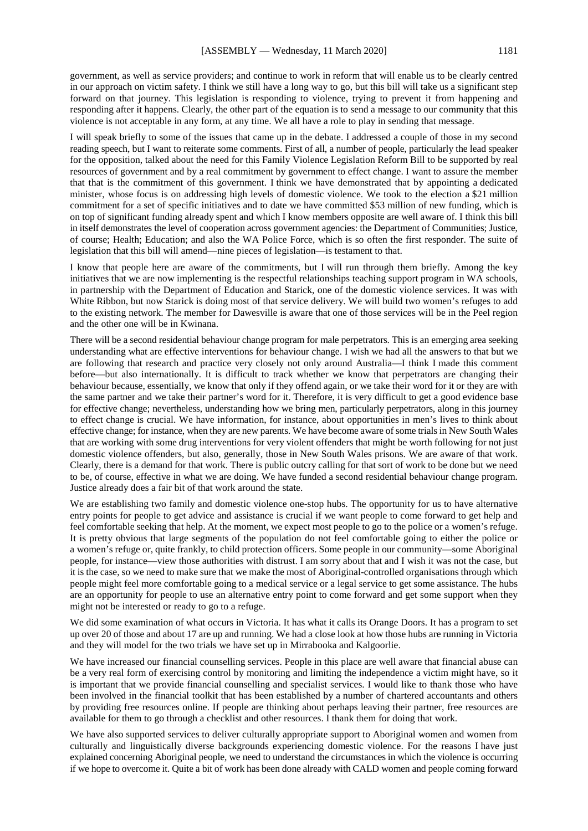government, as well as service providers; and continue to work in reform that will enable us to be clearly centred in our approach on victim safety. I think we still have a long way to go, but this bill will take us a significant step forward on that journey. This legislation is responding to violence, trying to prevent it from happening and responding after it happens. Clearly, the other part of the equation is to send a message to our community that this violence is not acceptable in any form, at any time. We all have a role to play in sending that message.

I will speak briefly to some of the issues that came up in the debate. I addressed a couple of those in my second reading speech, but I want to reiterate some comments. First of all, a number of people, particularly the lead speaker for the opposition, talked about the need for this Family Violence Legislation Reform Bill to be supported by real resources of government and by a real commitment by government to effect change. I want to assure the member that that is the commitment of this government. I think we have demonstrated that by appointing a dedicated minister, whose focus is on addressing high levels of domestic violence. We took to the election a \$21 million commitment for a set of specific initiatives and to date we have committed \$53 million of new funding, which is on top of significant funding already spent and which I know members opposite are well aware of. I think this bill in itself demonstrates the level of cooperation across government agencies: the Department of Communities; Justice, of course; Health; Education; and also the WA Police Force, which is so often the first responder. The suite of legislation that this bill will amend—nine pieces of legislation—is testament to that.

I know that people here are aware of the commitments, but I will run through them briefly. Among the key initiatives that we are now implementing is the respectful relationships teaching support program in WA schools, in partnership with the Department of Education and Starick, one of the domestic violence services. It was with White Ribbon, but now Starick is doing most of that service delivery. We will build two women's refuges to add to the existing network. The member for Dawesville is aware that one of those services will be in the Peel region and the other one will be in Kwinana.

There will be a second residential behaviour change program for male perpetrators. This is an emerging area seeking understanding what are effective interventions for behaviour change. I wish we had all the answers to that but we are following that research and practice very closely not only around Australia—I think I made this comment before—but also internationally. It is difficult to track whether we know that perpetrators are changing their behaviour because, essentially, we know that only if they offend again, or we take their word for it or they are with the same partner and we take their partner's word for it. Therefore, it is very difficult to get a good evidence base for effective change; nevertheless, understanding how we bring men, particularly perpetrators, along in this journey to effect change is crucial. We have information, for instance, about opportunities in men's lives to think about effective change; for instance, when they are new parents. We have become aware of some trials in New South Wales that are working with some drug interventions for very violent offenders that might be worth following for not just domestic violence offenders, but also, generally, those in New South Wales prisons. We are aware of that work. Clearly, there is a demand for that work. There is public outcry calling for that sort of work to be done but we need to be, of course, effective in what we are doing. We have funded a second residential behaviour change program. Justice already does a fair bit of that work around the state.

We are establishing two family and domestic violence one-stop hubs. The opportunity for us to have alternative entry points for people to get advice and assistance is crucial if we want people to come forward to get help and feel comfortable seeking that help. At the moment, we expect most people to go to the police or a women's refuge. It is pretty obvious that large segments of the population do not feel comfortable going to either the police or a women's refuge or, quite frankly, to child protection officers. Some people in our community—some Aboriginal people, for instance—view those authorities with distrust. I am sorry about that and I wish it was not the case, but it is the case, so we need to make sure that we make the most of Aboriginal-controlled organisations through which people might feel more comfortable going to a medical service or a legal service to get some assistance. The hubs are an opportunity for people to use an alternative entry point to come forward and get some support when they might not be interested or ready to go to a refuge.

We did some examination of what occurs in Victoria. It has what it calls its Orange Doors. It has a program to set up over 20 of those and about 17 are up and running. We had a close look at how those hubs are running in Victoria and they will model for the two trials we have set up in Mirrabooka and Kalgoorlie.

We have increased our financial counselling services. People in this place are well aware that financial abuse can be a very real form of exercising control by monitoring and limiting the independence a victim might have, so it is important that we provide financial counselling and specialist services. I would like to thank those who have been involved in the financial toolkit that has been established by a number of chartered accountants and others by providing free resources online. If people are thinking about perhaps leaving their partner, free resources are available for them to go through a checklist and other resources. I thank them for doing that work.

We have also supported services to deliver culturally appropriate support to Aboriginal women and women from culturally and linguistically diverse backgrounds experiencing domestic violence. For the reasons I have just explained concerning Aboriginal people, we need to understand the circumstances in which the violence is occurring if we hope to overcome it. Quite a bit of work has been done already with CALD women and people coming forward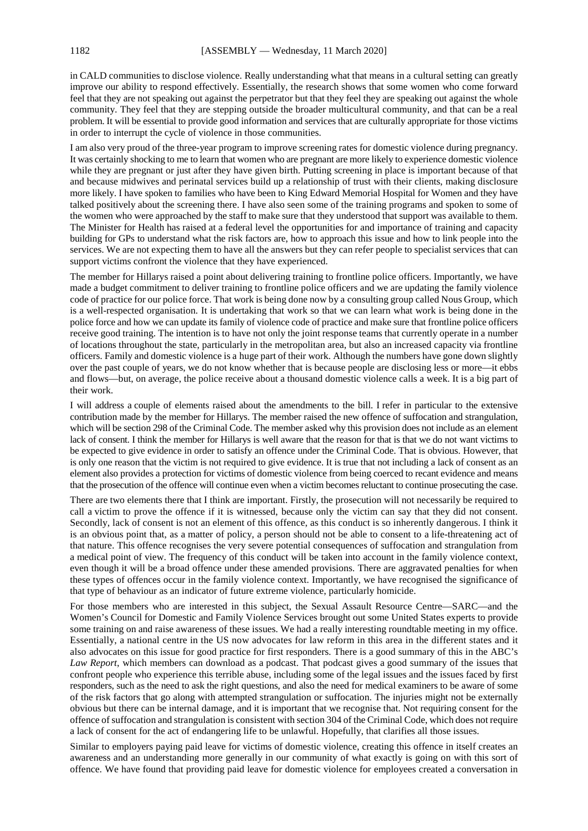in CALD communities to disclose violence. Really understanding what that means in a cultural setting can greatly improve our ability to respond effectively. Essentially, the research shows that some women who come forward feel that they are not speaking out against the perpetrator but that they feel they are speaking out against the whole community. They feel that they are stepping outside the broader multicultural community, and that can be a real problem. It will be essential to provide good information and services that are culturally appropriate for those victims in order to interrupt the cycle of violence in those communities.

I am also very proud of the three-year program to improve screening rates for domestic violence during pregnancy. It was certainly shocking to me to learn that women who are pregnant are more likely to experience domestic violence while they are pregnant or just after they have given birth. Putting screening in place is important because of that and because midwives and perinatal services build up a relationship of trust with their clients, making disclosure more likely. I have spoken to families who have been to King Edward Memorial Hospital for Women and they have talked positively about the screening there. I have also seen some of the training programs and spoken to some of the women who were approached by the staff to make sure that they understood that support was available to them. The Minister for Health has raised at a federal level the opportunities for and importance of training and capacity building for GPs to understand what the risk factors are, how to approach this issue and how to link people into the services. We are not expecting them to have all the answers but they can refer people to specialist services that can support victims confront the violence that they have experienced.

The member for Hillarys raised a point about delivering training to frontline police officers. Importantly, we have made a budget commitment to deliver training to frontline police officers and we are updating the family violence code of practice for our police force. That work is being done now by a consulting group called Nous Group, which is a well-respected organisation. It is undertaking that work so that we can learn what work is being done in the police force and how we can update its family of violence code of practice and make sure that frontline police officers receive good training. The intention is to have not only the joint response teams that currently operate in a number of locations throughout the state, particularly in the metropolitan area, but also an increased capacity via frontline officers. Family and domestic violence is a huge part of their work. Although the numbers have gone down slightly over the past couple of years, we do not know whether that is because people are disclosing less or more—it ebbs and flows—but, on average, the police receive about a thousand domestic violence calls a week. It is a big part of their work.

I will address a couple of elements raised about the amendments to the bill. I refer in particular to the extensive contribution made by the member for Hillarys. The member raised the new offence of suffocation and strangulation, which will be section 298 of the Criminal Code. The member asked why this provision does not include as an element lack of consent. I think the member for Hillarys is well aware that the reason for that is that we do not want victims to be expected to give evidence in order to satisfy an offence under the Criminal Code. That is obvious. However, that is only one reason that the victim is not required to give evidence. It is true that not including a lack of consent as an element also provides a protection for victims of domestic violence from being coerced to recant evidence and means that the prosecution of the offence will continue even when a victim becomes reluctant to continue prosecuting the case.

There are two elements there that I think are important. Firstly, the prosecution will not necessarily be required to call a victim to prove the offence if it is witnessed, because only the victim can say that they did not consent. Secondly, lack of consent is not an element of this offence, as this conduct is so inherently dangerous. I think it is an obvious point that, as a matter of policy, a person should not be able to consent to a life-threatening act of that nature. This offence recognises the very severe potential consequences of suffocation and strangulation from a medical point of view. The frequency of this conduct will be taken into account in the family violence context, even though it will be a broad offence under these amended provisions. There are aggravated penalties for when these types of offences occur in the family violence context. Importantly, we have recognised the significance of that type of behaviour as an indicator of future extreme violence, particularly homicide.

For those members who are interested in this subject, the Sexual Assault Resource Centre—SARC—and the Women's Council for Domestic and Family Violence Services brought out some United States experts to provide some training on and raise awareness of these issues. We had a really interesting roundtable meeting in my office. Essentially, a national centre in the US now advocates for law reform in this area in the different states and it also advocates on this issue for good practice for first responders. There is a good summary of this in the ABC's *Law Report*, which members can download as a podcast. That podcast gives a good summary of the issues that confront people who experience this terrible abuse, including some of the legal issues and the issues faced by first responders, such as the need to ask the right questions, and also the need for medical examiners to be aware of some of the risk factors that go along with attempted strangulation or suffocation. The injuries might not be externally obvious but there can be internal damage, and it is important that we recognise that. Not requiring consent for the offence of suffocation and strangulation is consistent with section 304 of the Criminal Code, which does not require a lack of consent for the act of endangering life to be unlawful. Hopefully, that clarifies all those issues.

Similar to employers paying paid leave for victims of domestic violence, creating this offence in itself creates an awareness and an understanding more generally in our community of what exactly is going on with this sort of offence. We have found that providing paid leave for domestic violence for employees created a conversation in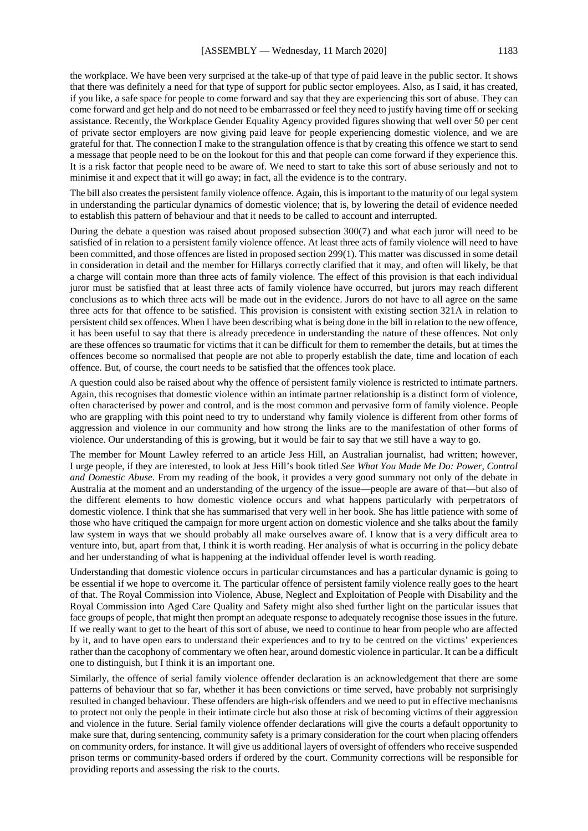the workplace. We have been very surprised at the take-up of that type of paid leave in the public sector. It shows that there was definitely a need for that type of support for public sector employees. Also, as I said, it has created, if you like, a safe space for people to come forward and say that they are experiencing this sort of abuse. They can come forward and get help and do not need to be embarrassed or feel they need to justify having time off or seeking assistance. Recently, the Workplace Gender Equality Agency provided figures showing that well over 50 per cent of private sector employers are now giving paid leave for people experiencing domestic violence, and we are grateful for that. The connection I make to the strangulation offence is that by creating this offence we start to send a message that people need to be on the lookout for this and that people can come forward if they experience this. It is a risk factor that people need to be aware of. We need to start to take this sort of abuse seriously and not to minimise it and expect that it will go away; in fact, all the evidence is to the contrary.

The bill also creates the persistent family violence offence. Again, this is important to the maturity of our legal system in understanding the particular dynamics of domestic violence; that is, by lowering the detail of evidence needed to establish this pattern of behaviour and that it needs to be called to account and interrupted.

During the debate a question was raised about proposed subsection 300(7) and what each juror will need to be satisfied of in relation to a persistent family violence offence. At least three acts of family violence will need to have been committed, and those offences are listed in proposed section 299(1). This matter was discussed in some detail in consideration in detail and the member for Hillarys correctly clarified that it may, and often will likely, be that a charge will contain more than three acts of family violence. The effect of this provision is that each individual juror must be satisfied that at least three acts of family violence have occurred, but jurors may reach different conclusions as to which three acts will be made out in the evidence. Jurors do not have to all agree on the same three acts for that offence to be satisfied. This provision is consistent with existing section 321A in relation to persistent child sex offences. When I have been describing what is being done in the bill in relation to the new offence, it has been useful to say that there is already precedence in understanding the nature of these offences. Not only are these offences so traumatic for victims that it can be difficult for them to remember the details, but at times the offences become so normalised that people are not able to properly establish the date, time and location of each offence. But, of course, the court needs to be satisfied that the offences took place.

A question could also be raised about why the offence of persistent family violence is restricted to intimate partners. Again, this recognises that domestic violence within an intimate partner relationship is a distinct form of violence, often characterised by power and control, and is the most common and pervasive form of family violence. People who are grappling with this point need to try to understand why family violence is different from other forms of aggression and violence in our community and how strong the links are to the manifestation of other forms of violence. Our understanding of this is growing, but it would be fair to say that we still have a way to go.

The member for Mount Lawley referred to an article Jess Hill, an Australian journalist, had written; however, I urge people, if they are interested, to look at Jess Hill's book titled *See What You Made Me Do: Power, Control and Domestic Abuse*. From my reading of the book, it provides a very good summary not only of the debate in Australia at the moment and an understanding of the urgency of the issue—people are aware of that—but also of the different elements to how domestic violence occurs and what happens particularly with perpetrators of domestic violence. I think that she has summarised that very well in her book. She has little patience with some of those who have critiqued the campaign for more urgent action on domestic violence and she talks about the family law system in ways that we should probably all make ourselves aware of. I know that is a very difficult area to venture into, but, apart from that, I think it is worth reading. Her analysis of what is occurring in the policy debate and her understanding of what is happening at the individual offender level is worth reading.

Understanding that domestic violence occurs in particular circumstances and has a particular dynamic is going to be essential if we hope to overcome it. The particular offence of persistent family violence really goes to the heart of that. The Royal Commission into Violence, Abuse, Neglect and Exploitation of People with Disability and the Royal Commission into Aged Care Quality and Safety might also shed further light on the particular issues that face groups of people, that might then prompt an adequate response to adequately recognise those issues in the future. If we really want to get to the heart of this sort of abuse, we need to continue to hear from people who are affected by it, and to have open ears to understand their experiences and to try to be centred on the victims' experiences rather than the cacophony of commentary we often hear, around domestic violence in particular. It can be a difficult one to distinguish, but I think it is an important one.

Similarly, the offence of serial family violence offender declaration is an acknowledgement that there are some patterns of behaviour that so far, whether it has been convictions or time served, have probably not surprisingly resulted in changed behaviour. These offenders are high-risk offenders and we need to put in effective mechanisms to protect not only the people in their intimate circle but also those at risk of becoming victims of their aggression and violence in the future. Serial family violence offender declarations will give the courts a default opportunity to make sure that, during sentencing, community safety is a primary consideration for the court when placing offenders on community orders, for instance. It will give us additional layers of oversight of offenders who receive suspended prison terms or community-based orders if ordered by the court. Community corrections will be responsible for providing reports and assessing the risk to the courts.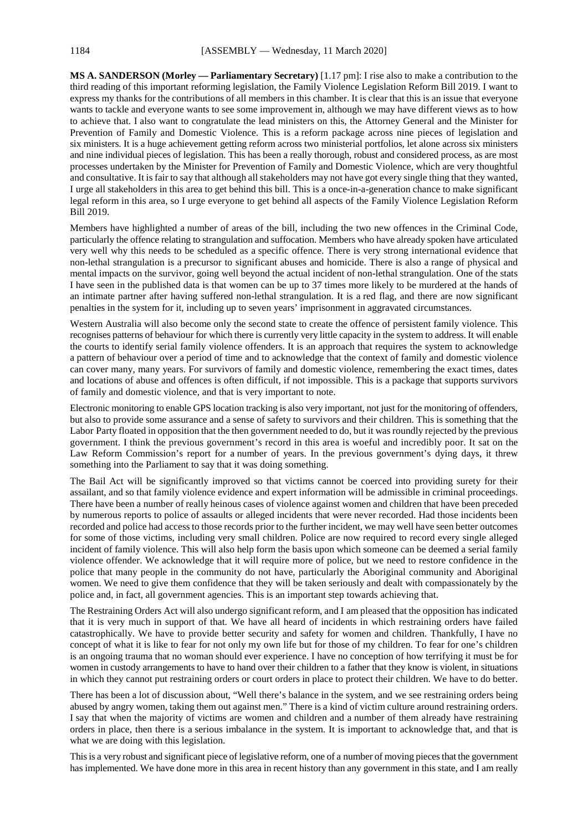**MS A. SANDERSON (Morley — Parliamentary Secretary)** [1.17 pm]: I rise also to make a contribution to the third reading of this important reforming legislation, the Family Violence Legislation Reform Bill 2019. I want to express my thanks for the contributions of all members in this chamber. It is clear that this is an issue that everyone wants to tackle and everyone wants to see some improvement in, although we may have different views as to how to achieve that. I also want to congratulate the lead ministers on this, the Attorney General and the Minister for Prevention of Family and Domestic Violence. This is a reform package across nine pieces of legislation and six ministers. It is a huge achievement getting reform across two ministerial portfolios, let alone across six ministers and nine individual pieces of legislation. This has been a really thorough, robust and considered process, as are most processes undertaken by the Minister for Prevention of Family and Domestic Violence, which are very thoughtful and consultative. It is fair to say that although all stakeholders may not have got every single thing that they wanted, I urge all stakeholders in this area to get behind this bill. This is a once-in-a-generation chance to make significant legal reform in this area, so I urge everyone to get behind all aspects of the Family Violence Legislation Reform Bill 2019.

Members have highlighted a number of areas of the bill, including the two new offences in the Criminal Code, particularly the offence relating to strangulation and suffocation. Members who have already spoken have articulated very well why this needs to be scheduled as a specific offence. There is very strong international evidence that non-lethal strangulation is a precursor to significant abuses and homicide. There is also a range of physical and mental impacts on the survivor, going well beyond the actual incident of non-lethal strangulation. One of the stats I have seen in the published data is that women can be up to 37 times more likely to be murdered at the hands of an intimate partner after having suffered non-lethal strangulation. It is a red flag, and there are now significant penalties in the system for it, including up to seven years' imprisonment in aggravated circumstances.

Western Australia will also become only the second state to create the offence of persistent family violence. This recognises patterns of behaviour for which there is currently very little capacity in the system to address. It will enable the courts to identify serial family violence offenders. It is an approach that requires the system to acknowledge a pattern of behaviour over a period of time and to acknowledge that the context of family and domestic violence can cover many, many years. For survivors of family and domestic violence, remembering the exact times, dates and locations of abuse and offences is often difficult, if not impossible. This is a package that supports survivors of family and domestic violence, and that is very important to note.

Electronic monitoring to enable GPS location tracking is also very important, not just for the monitoring of offenders, but also to provide some assurance and a sense of safety to survivors and their children. This is something that the Labor Party floated in opposition that the then government needed to do, but it was roundly rejected by the previous government. I think the previous government's record in this area is woeful and incredibly poor. It sat on the Law Reform Commission's report for a number of years. In the previous government's dying days, it threw something into the Parliament to say that it was doing something.

The Bail Act will be significantly improved so that victims cannot be coerced into providing surety for their assailant, and so that family violence evidence and expert information will be admissible in criminal proceedings. There have been a number of really heinous cases of violence against women and children that have been preceded by numerous reports to police of assaults or alleged incidents that were never recorded. Had those incidents been recorded and police had access to those records prior to the further incident, we may well have seen better outcomes for some of those victims, including very small children. Police are now required to record every single alleged incident of family violence. This will also help form the basis upon which someone can be deemed a serial family violence offender. We acknowledge that it will require more of police, but we need to restore confidence in the police that many people in the community do not have, particularly the Aboriginal community and Aboriginal women. We need to give them confidence that they will be taken seriously and dealt with compassionately by the police and, in fact, all government agencies. This is an important step towards achieving that.

The Restraining Orders Act will also undergo significant reform, and I am pleased that the opposition has indicated that it is very much in support of that. We have all heard of incidents in which restraining orders have failed catastrophically. We have to provide better security and safety for women and children. Thankfully, I have no concept of what it is like to fear for not only my own life but for those of my children. To fear for one's children is an ongoing trauma that no woman should ever experience. I have no conception of how terrifying it must be for women in custody arrangements to have to hand over their children to a father that they know is violent, in situations in which they cannot put restraining orders or court orders in place to protect their children. We have to do better.

There has been a lot of discussion about, "Well there's balance in the system, and we see restraining orders being abused by angry women, taking them out against men." There is a kind of victim culture around restraining orders. I say that when the majority of victims are women and children and a number of them already have restraining orders in place, then there is a serious imbalance in the system. It is important to acknowledge that, and that is what we are doing with this legislation.

This is a very robust and significant piece of legislative reform, one of a number of moving pieces that the government has implemented. We have done more in this area in recent history than any government in this state, and I am really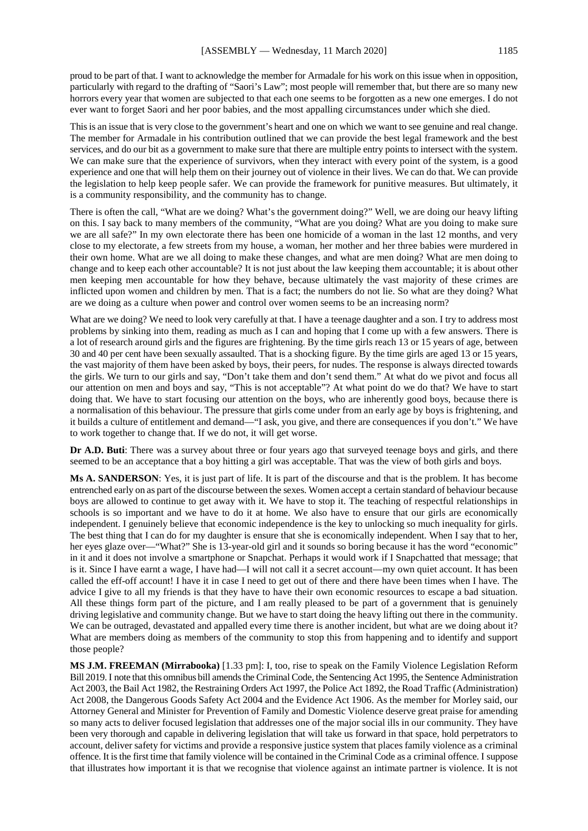proud to be part of that. I want to acknowledge the member for Armadale for his work on this issue when in opposition, particularly with regard to the drafting of "Saori's Law"; most people will remember that, but there are so many new horrors every year that women are subjected to that each one seems to be forgotten as a new one emerges. I do not ever want to forget Saori and her poor babies, and the most appalling circumstances under which she died.

This is an issue that is very close to the government's heart and one on which we want to see genuine and real change. The member for Armadale in his contribution outlined that we can provide the best legal framework and the best services, and do our bit as a government to make sure that there are multiple entry points to intersect with the system. We can make sure that the experience of survivors, when they interact with every point of the system, is a good experience and one that will help them on their journey out of violence in their lives. We can do that. We can provide the legislation to help keep people safer. We can provide the framework for punitive measures. But ultimately, it is a community responsibility, and the community has to change.

There is often the call, "What are we doing? What's the government doing?" Well, we are doing our heavy lifting on this. I say back to many members of the community, "What are you doing? What are you doing to make sure we are all safe?" In my own electorate there has been one homicide of a woman in the last 12 months, and very close to my electorate, a few streets from my house, a woman, her mother and her three babies were murdered in their own home. What are we all doing to make these changes, and what are men doing? What are men doing to change and to keep each other accountable? It is not just about the law keeping them accountable; it is about other men keeping men accountable for how they behave, because ultimately the vast majority of these crimes are inflicted upon women and children by men. That is a fact; the numbers do not lie. So what are they doing? What are we doing as a culture when power and control over women seems to be an increasing norm?

What are we doing? We need to look very carefully at that. I have a teenage daughter and a son. I try to address most problems by sinking into them, reading as much as I can and hoping that I come up with a few answers. There is a lot of research around girls and the figures are frightening. By the time girls reach 13 or 15 years of age, between 30 and 40 per cent have been sexually assaulted. That is a shocking figure. By the time girls are aged 13 or 15 years, the vast majority of them have been asked by boys, their peers, for nudes. The response is always directed towards the girls. We turn to our girls and say, "Don't take them and don't send them." At what do we pivot and focus all our attention on men and boys and say, "This is not acceptable"? At what point do we do that? We have to start doing that. We have to start focusing our attention on the boys, who are inherently good boys, because there is a normalisation of this behaviour. The pressure that girls come under from an early age by boys is frightening, and it builds a culture of entitlement and demand—"I ask, you give, and there are consequences if you don't." We have to work together to change that. If we do not, it will get worse.

**Dr A.D. Buti**: There was a survey about three or four years ago that surveyed teenage boys and girls, and there seemed to be an acceptance that a boy hitting a girl was acceptable. That was the view of both girls and boys.

**Ms A. SANDERSON**: Yes, it is just part of life. It is part of the discourse and that is the problem. It has become entrenched early on as part of the discourse between the sexes. Women accept a certain standard of behaviour because boys are allowed to continue to get away with it. We have to stop it. The teaching of respectful relationships in schools is so important and we have to do it at home. We also have to ensure that our girls are economically independent. I genuinely believe that economic independence is the key to unlocking so much inequality for girls. The best thing that I can do for my daughter is ensure that she is economically independent. When I say that to her, her eyes glaze over—"What?" She is 13-year-old girl and it sounds so boring because it has the word "economic" in it and it does not involve a smartphone or Snapchat. Perhaps it would work if I Snapchatted that message; that is it. Since I have earnt a wage, I have had—I will not call it a secret account—my own quiet account. It has been called the eff-off account! I have it in case I need to get out of there and there have been times when I have. The advice I give to all my friends is that they have to have their own economic resources to escape a bad situation. All these things form part of the picture, and I am really pleased to be part of a government that is genuinely driving legislative and community change. But we have to start doing the heavy lifting out there in the community. We can be outraged, devastated and appalled every time there is another incident, but what are we doing about it? What are members doing as members of the community to stop this from happening and to identify and support those people?

**MS J.M. FREEMAN (Mirrabooka)** [1.33 pm]: I, too, rise to speak on the Family Violence Legislation Reform Bill 2019. I note that this omnibus bill amends the Criminal Code, the Sentencing Act 1995, the Sentence Administration Act 2003, the Bail Act 1982, the Restraining Orders Act 1997, the Police Act 1892, the Road Traffic (Administration) Act 2008, the Dangerous Goods Safety Act 2004 and the Evidence Act 1906. As the member for Morley said, our Attorney General and Minister for Prevention of Family and Domestic Violence deserve great praise for amending so many acts to deliver focused legislation that addresses one of the major social ills in our community. They have been very thorough and capable in delivering legislation that will take us forward in that space, hold perpetrators to account, deliver safety for victims and provide a responsive justice system that places family violence as a criminal offence. It is the first time that family violence will be contained in the Criminal Code as a criminal offence. I suppose that illustrates how important it is that we recognise that violence against an intimate partner is violence. It is not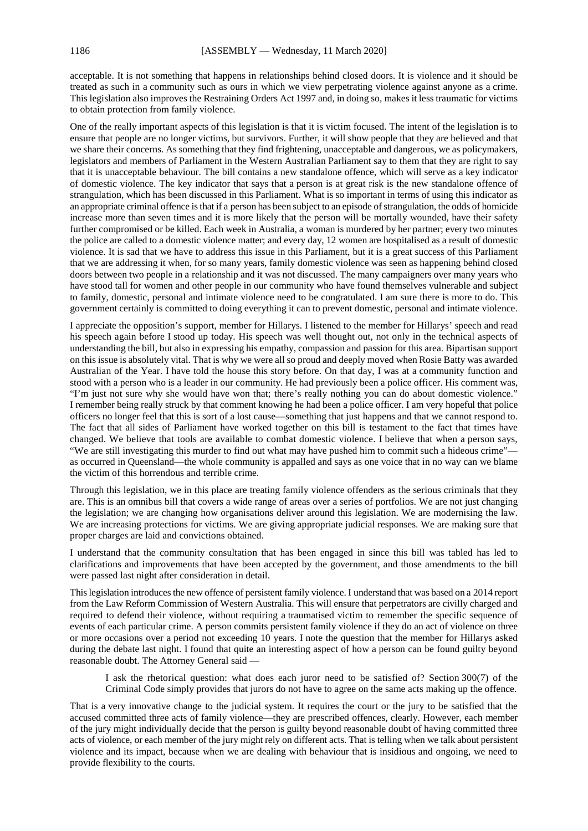acceptable. It is not something that happens in relationships behind closed doors. It is violence and it should be treated as such in a community such as ours in which we view perpetrating violence against anyone as a crime. This legislation also improves the Restraining Orders Act 1997 and, in doing so, makes it less traumatic for victims to obtain protection from family violence.

One of the really important aspects of this legislation is that it is victim focused. The intent of the legislation is to ensure that people are no longer victims, but survivors. Further, it will show people that they are believed and that we share their concerns. As something that they find frightening, unacceptable and dangerous, we as policymakers, legislators and members of Parliament in the Western Australian Parliament say to them that they are right to say that it is unacceptable behaviour. The bill contains a new standalone offence, which will serve as a key indicator of domestic violence. The key indicator that says that a person is at great risk is the new standalone offence of strangulation, which has been discussed in this Parliament. What is so important in terms of using this indicator as an appropriate criminal offence is that if a person has been subject to an episode of strangulation, the odds of homicide increase more than seven times and it is more likely that the person will be mortally wounded, have their safety further compromised or be killed. Each week in Australia, a woman is murdered by her partner; every two minutes the police are called to a domestic violence matter; and every day, 12 women are hospitalised as a result of domestic violence. It is sad that we have to address this issue in this Parliament, but it is a great success of this Parliament that we are addressing it when, for so many years, family domestic violence was seen as happening behind closed doors between two people in a relationship and it was not discussed. The many campaigners over many years who have stood tall for women and other people in our community who have found themselves vulnerable and subject to family, domestic, personal and intimate violence need to be congratulated. I am sure there is more to do. This government certainly is committed to doing everything it can to prevent domestic, personal and intimate violence.

I appreciate the opposition's support, member for Hillarys. I listened to the member for Hillarys' speech and read his speech again before I stood up today. His speech was well thought out, not only in the technical aspects of understanding the bill, but also in expressing his empathy, compassion and passion for this area. Bipartisan support on this issue is absolutely vital. That is why we were all so proud and deeply moved when Rosie Batty was awarded Australian of the Year. I have told the house this story before. On that day, I was at a community function and stood with a person who is a leader in our community. He had previously been a police officer. His comment was, "I'm just not sure why she would have won that; there's really nothing you can do about domestic violence." I remember being really struck by that comment knowing he had been a police officer. I am very hopeful that police officers no longer feel that this is sort of a lost cause—something that just happens and that we cannot respond to. The fact that all sides of Parliament have worked together on this bill is testament to the fact that times have changed. We believe that tools are available to combat domestic violence. I believe that when a person says, "We are still investigating this murder to find out what may have pushed him to commit such a hideous crime" as occurred in Queensland—the whole community is appalled and says as one voice that in no way can we blame the victim of this horrendous and terrible crime.

Through this legislation, we in this place are treating family violence offenders as the serious criminals that they are. This is an omnibus bill that covers a wide range of areas over a series of portfolios. We are not just changing the legislation; we are changing how organisations deliver around this legislation. We are modernising the law. We are increasing protections for victims. We are giving appropriate judicial responses. We are making sure that proper charges are laid and convictions obtained.

I understand that the community consultation that has been engaged in since this bill was tabled has led to clarifications and improvements that have been accepted by the government, and those amendments to the bill were passed last night after consideration in detail.

This legislation introduces the new offence of persistent family violence. I understand that was based on a 2014 report from the Law Reform Commission of Western Australia. This will ensure that perpetrators are civilly charged and required to defend their violence, without requiring a traumatised victim to remember the specific sequence of events of each particular crime. A person commits persistent family violence if they do an act of violence on three or more occasions over a period not exceeding 10 years. I note the question that the member for Hillarys asked during the debate last night. I found that quite an interesting aspect of how a person can be found guilty beyond reasonable doubt. The Attorney General said —

I ask the rhetorical question: what does each juror need to be satisfied of? Section 300(7) of the Criminal Code simply provides that jurors do not have to agree on the same acts making up the offence.

That is a very innovative change to the judicial system. It requires the court or the jury to be satisfied that the accused committed three acts of family violence—they are prescribed offences, clearly. However, each member of the jury might individually decide that the person is guilty beyond reasonable doubt of having committed three acts of violence, or each member of the jury might rely on different acts. That is telling when we talk about persistent violence and its impact, because when we are dealing with behaviour that is insidious and ongoing, we need to provide flexibility to the courts.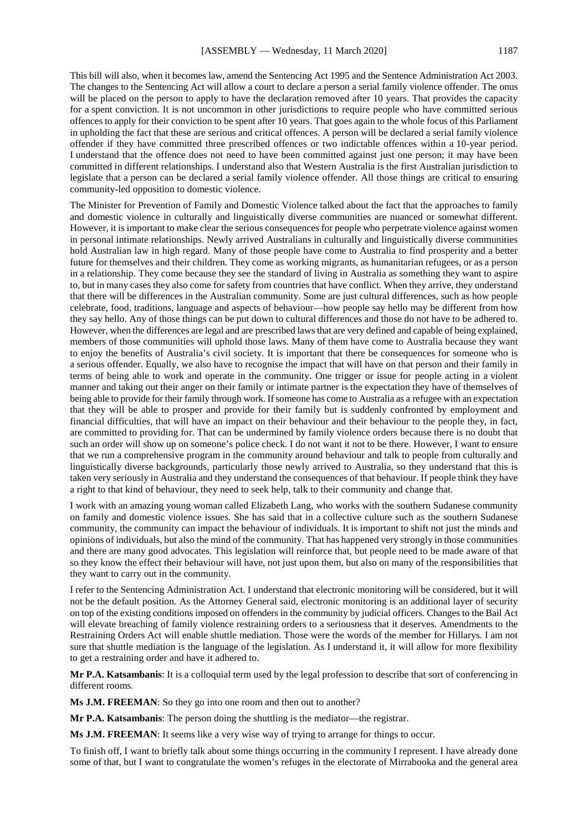This bill will also, when it becomes law, amend the Sentencing Act 1995 and the Sentence Administration Act 2003. The changes to the Sentencing Act will allow a court to declare a person a serial family violence offender. The onus will be placed on the person to apply to have the declaration removed after 10 years. That provides the capacity for a spent conviction. It is not uncommon in other jurisdictions to require people who have committed serious offences to apply for their conviction to be spent after 10 years. That goes again to the whole focus of this Parliament in upholding the fact that these are serious and critical offences. A person will be declared a serial family violence offender if they have committed three prescribed offences or two indictable offences within a 10-year period. I understand that the offence does not need to have been committed against just one person; it may have been committed in different relationships. I understand also that Western Australia is the first Australian jurisdiction to legislate that a person can be declared a serial family violence offender. All those things are critical to ensuring community-led opposition to domestic violence.

The Minister for Prevention of Family and Domestic Violence talked about the fact that the approaches to family and domestic violence in culturally and linguistically diverse communities are nuanced or somewhat different. However, it is important to make clear the serious consequences for people who perpetrate violence against women in personal intimate relationships. Newly arrived Australians in culturally and linguistically diverse communities hold Australian law in high regard. Many of those people have come to Australia to find prosperity and a better future for themselves and their children. They come as working migrants, as humanitarian refugees, or as a person in a relationship. They come because they see the standard of living in Australia as something they want to aspire to, but in many cases they also come for safety from countries that have conflict. When they arrive, they understand that there will be differences in the Australian community. Some are just cultural differences, such as how people celebrate, food, traditions, language and aspects of behaviour—how people say hello may be different from how they say hello. Any of those things can be put down to cultural differences and those do not have to be adhered to. However, when the differences are legal and are prescribed laws that are very defined and capable of being explained, members of those communities will uphold those laws. Many of them have come to Australia because they want to enjoy the benefits of Australia's civil society. It is important that there be consequences for someone who is a serious offender. Equally, we also have to recognise the impact that will have on that person and their family in terms of being able to work and operate in the community. One trigger or issue for people acting in a violent manner and taking out their anger on their family or intimate partner is the expectation they have of themselves of being able to provide for their family through work. If someone has come to Australia as a refugee with an expectation that they will be able to prosper and provide for their family but is suddenly confronted by employment and financial difficulties, that will have an impact on their behaviour and their behaviour to the people they, in fact, are committed to providing for. That can be undermined by family violence orders because there is no doubt that such an order will show up on someone's police check. I do not want it not to be there. However, I want to ensure that we run a comprehensive program in the community around behaviour and talk to people from culturally and linguistically diverse backgrounds, particularly those newly arrived to Australia, so they understand that this is taken very seriously in Australia and they understand the consequences of that behaviour. If people think they have a right to that kind of behaviour, they need to seek help, talk to their community and change that.

I work with an amazing young woman called Elizabeth Lang, who works with the southern Sudanese community on family and domestic violence issues. She has said that in a collective culture such as the southern Sudanese community, the community can impact the behaviour of individuals. It is important to shift not just the minds and opinions of individuals, but also the mind of the community. That has happened very strongly in those communities and there are many good advocates. This legislation will reinforce that, but people need to be made aware of that so they know the effect their behaviour will have, not just upon them, but also on many of the responsibilities that they want to carry out in the community.

I refer to the Sentencing Administration Act. I understand that electronic monitoring will be considered, but it will not be the default position. As the Attorney General said, electronic monitoring is an additional layer of security on top of the existing conditions imposed on offenders in the community by judicial officers. Changes to the Bail Act will elevate breaching of family violence restraining orders to a seriousness that it deserves. Amendments to the Restraining Orders Act will enable shuttle mediation. Those were the words of the member for Hillarys. I am not sure that shuttle mediation is the language of the legislation. As I understand it, it will allow for more flexibility to get a restraining order and have it adhered to.

**Mr P.A. Katsambanis**: It is a colloquial term used by the legal profession to describe that sort of conferencing in different rooms.

**Ms J.M. FREEMAN**: So they go into one room and then out to another?

**Mr P.A. Katsambanis**: The person doing the shuttling is the mediator—the registrar.

**Ms J.M. FREEMAN**: It seems like a very wise way of trying to arrange for things to occur.

To finish off, I want to briefly talk about some things occurring in the community I represent. I have already done some of that, but I want to congratulate the women's refuges in the electorate of Mirrabooka and the general area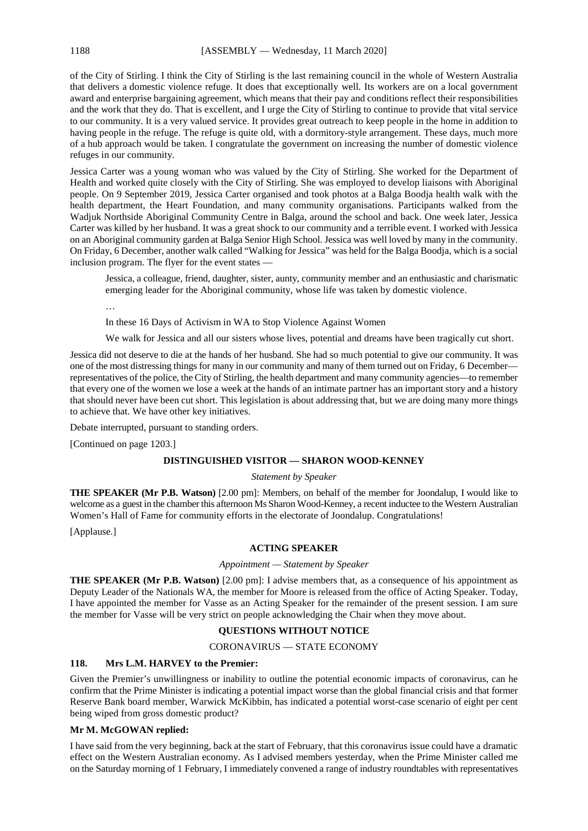of the City of Stirling. I think the City of Stirling is the last remaining council in the whole of Western Australia that delivers a domestic violence refuge. It does that exceptionally well. Its workers are on a local government award and enterprise bargaining agreement, which means that their pay and conditions reflect their responsibilities and the work that they do. That is excellent, and I urge the City of Stirling to continue to provide that vital service to our community. It is a very valued service. It provides great outreach to keep people in the home in addition to having people in the refuge. The refuge is quite old, with a dormitory-style arrangement. These days, much more of a hub approach would be taken. I congratulate the government on increasing the number of domestic violence refuges in our community.

Jessica Carter was a young woman who was valued by the City of Stirling. She worked for the Department of Health and worked quite closely with the City of Stirling. She was employed to develop liaisons with Aboriginal people. On 9 September 2019, Jessica Carter organised and took photos at a Balga Boodja health walk with the health department, the Heart Foundation, and many community organisations. Participants walked from the Wadjuk Northside Aboriginal Community Centre in Balga, around the school and back. One week later, Jessica Carter was killed by her husband. It was a great shock to our community and a terrible event. I worked with Jessica on an Aboriginal community garden at Balga Senior High School. Jessica was well loved by many in the community. On Friday, 6 December, another walk called "Walking for Jessica" was held for the Balga Boodja, which is a social inclusion program. The flyer for the event states —

Jessica, a colleague, friend, daughter, sister, aunty, community member and an enthusiastic and charismatic emerging leader for the Aboriginal community, whose life was taken by domestic violence.

…

In these 16 Days of Activism in WA to Stop Violence Against Women

We walk for Jessica and all our sisters whose lives, potential and dreams have been tragically cut short.

Jessica did not deserve to die at the hands of her husband. She had so much potential to give our community. It was one of the most distressing things for many in our community and many of them turned out on Friday, 6 December representatives of the police, the City of Stirling, the health department and many community agencies—to remember that every one of the women we lose a week at the hands of an intimate partner has an important story and a history that should never have been cut short. This legislation is about addressing that, but we are doing many more things to achieve that. We have other key initiatives.

Debate interrupted, pursuant to standing orders.

[Continued on page 1203.]

#### **DISTINGUISHED VISITOR — SHARON WOOD-KENNEY**

#### *Statement by Speaker*

**THE SPEAKER (Mr P.B. Watson)** [2.00 pm]: Members, on behalf of the member for Joondalup, I would like to welcome as a guest in the chamber this afternoon Ms Sharon Wood-Kenney, a recent inductee to the Western Australian Women's Hall of Fame for community efforts in the electorate of Joondalup. Congratulations!

[Applause.]

#### **ACTING SPEAKER**

#### *Appointment — Statement by Speaker*

**THE SPEAKER (Mr P.B. Watson)** [2.00 pm]: I advise members that, as a consequence of his appointment as Deputy Leader of the Nationals WA, the member for Moore is released from the office of Acting Speaker. Today, I have appointed the member for Vasse as an Acting Speaker for the remainder of the present session. I am sure the member for Vasse will be very strict on people acknowledging the Chair when they move about.

#### **QUESTIONS WITHOUT NOTICE**

#### CORONAVIRUS — STATE ECONOMY

#### **118. Mrs L.M. HARVEY to the Premier:**

Given the Premier's unwillingness or inability to outline the potential economic impacts of coronavirus, can he confirm that the Prime Minister is indicating a potential impact worse than the global financial crisis and that former Reserve Bank board member, Warwick McKibbin, has indicated a potential worst-case scenario of eight per cent being wiped from gross domestic product?

#### **Mr M. McGOWAN replied:**

I have said from the very beginning, back at the start of February, that this coronavirus issue could have a dramatic effect on the Western Australian economy. As I advised members yesterday, when the Prime Minister called me on the Saturday morning of 1 February, I immediately convened a range of industry roundtables with representatives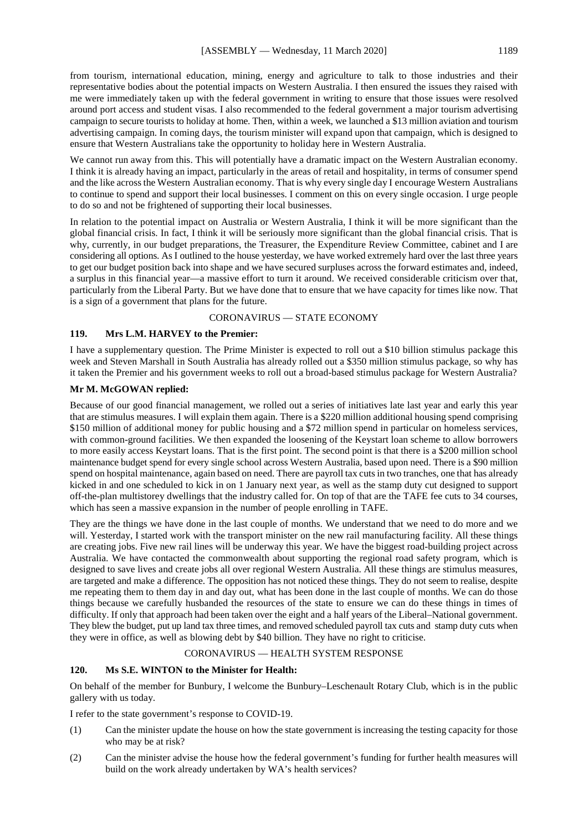from tourism, international education, mining, energy and agriculture to talk to those industries and their representative bodies about the potential impacts on Western Australia. I then ensured the issues they raised with me were immediately taken up with the federal government in writing to ensure that those issues were resolved around port access and student visas. I also recommended to the federal government a major tourism advertising campaign to secure tourists to holiday at home. Then, within a week, we launched a \$13 million aviation and tourism advertising campaign. In coming days, the tourism minister will expand upon that campaign, which is designed to ensure that Western Australians take the opportunity to holiday here in Western Australia.

We cannot run away from this. This will potentially have a dramatic impact on the Western Australian economy. I think it is already having an impact, particularly in the areas of retail and hospitality, in terms of consumer spend and the like across the Western Australian economy. That is why every single day I encourage Western Australians to continue to spend and support their local businesses. I comment on this on every single occasion. I urge people to do so and not be frightened of supporting their local businesses.

In relation to the potential impact on Australia or Western Australia, I think it will be more significant than the global financial crisis. In fact, I think it will be seriously more significant than the global financial crisis. That is why, currently, in our budget preparations, the Treasurer, the Expenditure Review Committee, cabinet and I are considering all options. As I outlined to the house yesterday, we have worked extremely hard over the last three years to get our budget position back into shape and we have secured surpluses across the forward estimates and, indeed, a surplus in this financial year—a massive effort to turn it around. We received considerable criticism over that, particularly from the Liberal Party. But we have done that to ensure that we have capacity for times like now. That is a sign of a government that plans for the future.

#### CORONAVIRUS — STATE ECONOMY

#### **119. Mrs L.M. HARVEY to the Premier:**

I have a supplementary question. The Prime Minister is expected to roll out a \$10 billion stimulus package this week and Steven Marshall in South Australia has already rolled out a \$350 million stimulus package, so why has it taken the Premier and his government weeks to roll out a broad-based stimulus package for Western Australia?

#### **Mr M. McGOWAN replied:**

Because of our good financial management, we rolled out a series of initiatives late last year and early this year that are stimulus measures. I will explain them again. There is a \$220 million additional housing spend comprising \$150 million of additional money for public housing and a \$72 million spend in particular on homeless services, with common-ground facilities. We then expanded the loosening of the Keystart loan scheme to allow borrowers to more easily access Keystart loans. That is the first point. The second point is that there is a \$200 million school maintenance budget spend for every single school across Western Australia, based upon need. There is a \$90 million spend on hospital maintenance, again based on need. There are payroll tax cuts in two tranches, one that has already kicked in and one scheduled to kick in on 1 January next year, as well as the stamp duty cut designed to support off-the-plan multistorey dwellings that the industry called for. On top of that are the TAFE fee cuts to 34 courses, which has seen a massive expansion in the number of people enrolling in TAFE.

They are the things we have done in the last couple of months. We understand that we need to do more and we will. Yesterday, I started work with the transport minister on the new rail manufacturing facility. All these things are creating jobs. Five new rail lines will be underway this year. We have the biggest road-building project across Australia. We have contacted the commonwealth about supporting the regional road safety program, which is designed to save lives and create jobs all over regional Western Australia. All these things are stimulus measures, are targeted and make a difference. The opposition has not noticed these things. They do not seem to realise, despite me repeating them to them day in and day out, what has been done in the last couple of months. We can do those things because we carefully husbanded the resources of the state to ensure we can do these things in times of difficulty. If only that approach had been taken over the eight and a half years of the Liberal–National government. They blew the budget, put up land tax three times, and removed scheduled payroll tax cuts and stamp duty cuts when they were in office, as well as blowing debt by \$40 billion. They have no right to criticise.

#### CORONAVIRUS — HEALTH SYSTEM RESPONSE

#### **120. Ms S.E. WINTON to the Minister for Health:**

On behalf of the member for Bunbury, I welcome the Bunbury–Leschenault Rotary Club, which is in the public gallery with us today.

I refer to the state government's response to COVID-19.

- (1) Can the minister update the house on how the state government is increasing the testing capacity for those who may be at risk?
- (2) Can the minister advise the house how the federal government's funding for further health measures will build on the work already undertaken by WA's health services?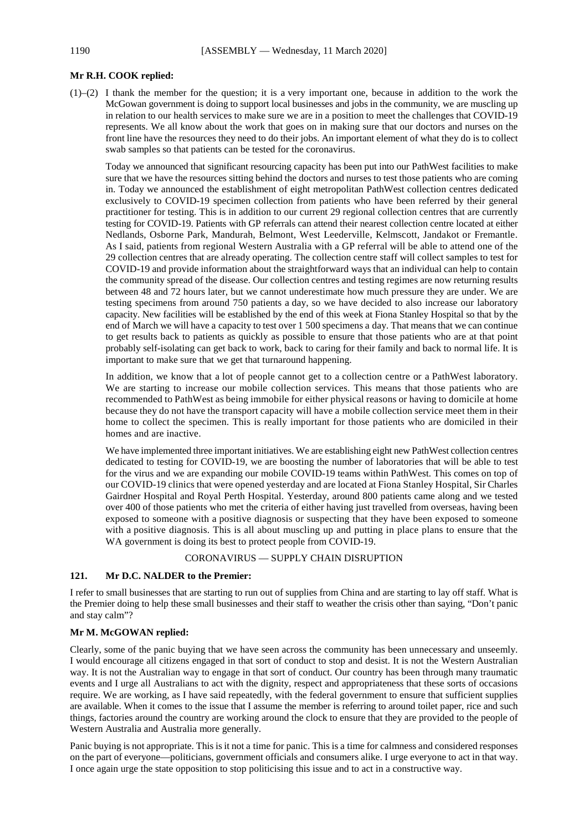#### **Mr R.H. COOK replied:**

(1)–(2) I thank the member for the question; it is a very important one, because in addition to the work the McGowan government is doing to support local businesses and jobs in the community, we are muscling up in relation to our health services to make sure we are in a position to meet the challenges that COVID-19 represents. We all know about the work that goes on in making sure that our doctors and nurses on the front line have the resources they need to do their jobs. An important element of what they do is to collect swab samples so that patients can be tested for the coronavirus.

Today we announced that significant resourcing capacity has been put into our PathWest facilities to make sure that we have the resources sitting behind the doctors and nurses to test those patients who are coming in. Today we announced the establishment of eight metropolitan PathWest collection centres dedicated exclusively to COVID-19 specimen collection from patients who have been referred by their general practitioner for testing. This is in addition to our current 29 regional collection centres that are currently testing for COVID-19. Patients with GP referrals can attend their nearest collection centre located at either Nedlands, Osborne Park, Mandurah, Belmont, West Leederville, Kelmscott, Jandakot or Fremantle. As I said, patients from regional Western Australia with a GP referral will be able to attend one of the 29 collection centres that are already operating. The collection centre staff will collect samples to test for COVID-19 and provide information about the straightforward ways that an individual can help to contain the community spread of the disease. Our collection centres and testing regimes are now returning results between 48 and 72 hours later, but we cannot underestimate how much pressure they are under. We are testing specimens from around 750 patients a day, so we have decided to also increase our laboratory capacity. New facilities will be established by the end of this week at Fiona Stanley Hospital so that by the end of March we will have a capacity to test over 1 500 specimens a day. That means that we can continue to get results back to patients as quickly as possible to ensure that those patients who are at that point probably self-isolating can get back to work, back to caring for their family and back to normal life. It is important to make sure that we get that turnaround happening.

In addition, we know that a lot of people cannot get to a collection centre or a PathWest laboratory. We are starting to increase our mobile collection services. This means that those patients who are recommended to PathWest as being immobile for either physical reasons or having to domicile at home because they do not have the transport capacity will have a mobile collection service meet them in their home to collect the specimen. This is really important for those patients who are domiciled in their homes and are inactive.

We have implemented three important initiatives. We are establishing eight new PathWest collection centres dedicated to testing for COVID-19, we are boosting the number of laboratories that will be able to test for the virus and we are expanding our mobile COVID-19 teams within PathWest. This comes on top of our COVID-19 clinics that were opened yesterday and are located at Fiona Stanley Hospital, Sir Charles Gairdner Hospital and Royal Perth Hospital. Yesterday, around 800 patients came along and we tested over 400 of those patients who met the criteria of either having just travelled from overseas, having been exposed to someone with a positive diagnosis or suspecting that they have been exposed to someone with a positive diagnosis. This is all about muscling up and putting in place plans to ensure that the WA government is doing its best to protect people from COVID-19.

#### CORONAVIRUS — SUPPLY CHAIN DISRUPTION

#### **121. Mr D.C. NALDER to the Premier:**

I refer to small businesses that are starting to run out of supplies from China and are starting to lay off staff. What is the Premier doing to help these small businesses and their staff to weather the crisis other than saying, "Don't panic and stay calm"?

#### **Mr M. McGOWAN replied:**

Clearly, some of the panic buying that we have seen across the community has been unnecessary and unseemly. I would encourage all citizens engaged in that sort of conduct to stop and desist. It is not the Western Australian way. It is not the Australian way to engage in that sort of conduct. Our country has been through many traumatic events and I urge all Australians to act with the dignity, respect and appropriateness that these sorts of occasions require. We are working, as I have said repeatedly, with the federal government to ensure that sufficient supplies are available. When it comes to the issue that I assume the member is referring to around toilet paper, rice and such things, factories around the country are working around the clock to ensure that they are provided to the people of Western Australia and Australia more generally.

Panic buying is not appropriate. This is it not a time for panic. This is a time for calmness and considered responses on the part of everyone—politicians, government officials and consumers alike. I urge everyone to act in that way. I once again urge the state opposition to stop politicising this issue and to act in a constructive way.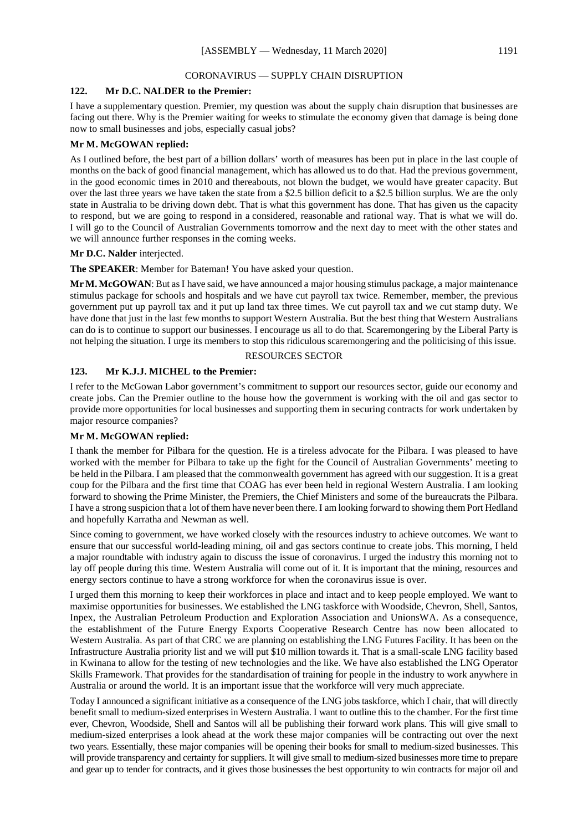#### CORONAVIRUS — SUPPLY CHAIN DISRUPTION

#### **122. Mr D.C. NALDER to the Premier:**

I have a supplementary question. Premier, my question was about the supply chain disruption that businesses are facing out there. Why is the Premier waiting for weeks to stimulate the economy given that damage is being done now to small businesses and jobs, especially casual jobs?

#### **Mr M. McGOWAN replied:**

As I outlined before, the best part of a billion dollars' worth of measures has been put in place in the last couple of months on the back of good financial management, which has allowed us to do that. Had the previous government, in the good economic times in 2010 and thereabouts, not blown the budget, we would have greater capacity. But over the last three years we have taken the state from a \$2.5 billion deficit to a \$2.5 billion surplus. We are the only state in Australia to be driving down debt. That is what this government has done. That has given us the capacity to respond, but we are going to respond in a considered, reasonable and rational way. That is what we will do. I will go to the Council of Australian Governments tomorrow and the next day to meet with the other states and we will announce further responses in the coming weeks.

#### **Mr D.C. Nalder** interjected.

**The SPEAKER**: Member for Bateman! You have asked your question.

**Mr M. McGOWAN**: But asI have said, we have announced a major housing stimulus package, a major maintenance stimulus package for schools and hospitals and we have cut payroll tax twice. Remember, member, the previous government put up payroll tax and it put up land tax three times. We cut payroll tax and we cut stamp duty. We have done that just in the last few months to support Western Australia. But the best thing that Western Australians can do is to continue to support our businesses. I encourage us all to do that. Scaremongering by the Liberal Party is not helping the situation. I urge its members to stop this ridiculous scaremongering and the politicising of this issue.

#### RESOURCES SECTOR

#### **123. Mr K.J.J. MICHEL to the Premier:**

I refer to the McGowan Labor government's commitment to support our resources sector, guide our economy and create jobs. Can the Premier outline to the house how the government is working with the oil and gas sector to provide more opportunities for local businesses and supporting them in securing contracts for work undertaken by major resource companies?

#### **Mr M. McGOWAN replied:**

I thank the member for Pilbara for the question. He is a tireless advocate for the Pilbara. I was pleased to have worked with the member for Pilbara to take up the fight for the Council of Australian Governments' meeting to be held in the Pilbara. I am pleased that the commonwealth government has agreed with our suggestion. It is a great coup for the Pilbara and the first time that COAG has ever been held in regional Western Australia. I am looking forward to showing the Prime Minister, the Premiers, the Chief Ministers and some of the bureaucrats the Pilbara. I have a strong suspicion that a lot of them have never been there. I am looking forward to showing them Port Hedland and hopefully Karratha and Newman as well.

Since coming to government, we have worked closely with the resources industry to achieve outcomes. We want to ensure that our successful world-leading mining, oil and gas sectors continue to create jobs. This morning, I held a major roundtable with industry again to discuss the issue of coronavirus. I urged the industry this morning not to lay off people during this time. Western Australia will come out of it. It is important that the mining, resources and energy sectors continue to have a strong workforce for when the coronavirus issue is over.

I urged them this morning to keep their workforces in place and intact and to keep people employed. We want to maximise opportunities for businesses. We established the LNG taskforce with Woodside, Chevron, Shell, Santos, Inpex, the Australian Petroleum Production and Exploration Association and UnionsWA. As a consequence, the establishment of the Future Energy Exports Cooperative Research Centre has now been allocated to Western Australia. As part of that CRC we are planning on establishing the LNG Futures Facility. It has been on the Infrastructure Australia priority list and we will put \$10 million towards it. That is a small-scale LNG facility based in Kwinana to allow for the testing of new technologies and the like. We have also established the LNG Operator Skills Framework. That provides for the standardisation of training for people in the industry to work anywhere in Australia or around the world. It is an important issue that the workforce will very much appreciate.

Today I announced a significant initiative as a consequence of the LNG jobs taskforce, which I chair, that will directly benefit small to medium-sized enterprises in Western Australia. I want to outline this to the chamber. For the first time ever, Chevron, Woodside, Shell and Santos will all be publishing their forward work plans. This will give small to medium-sized enterprises a look ahead at the work these major companies will be contracting out over the next two years. Essentially, these major companies will be opening their books for small to medium-sized businesses. This will provide transparency and certainty for suppliers. It will give small to medium-sized businesses more time to prepare and gear up to tender for contracts, and it gives those businesses the best opportunity to win contracts for major oil and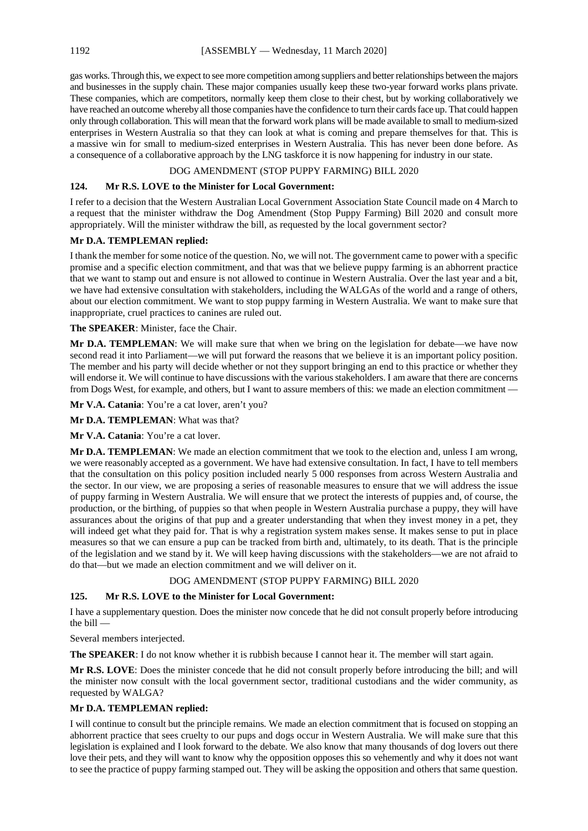gas works. Through this, we expect to see more competition among suppliers and better relationships between the majors and businesses in the supply chain. These major companies usually keep these two-year forward works plans private. These companies, which are competitors, normally keep them close to their chest, but by working collaboratively we have reached an outcome whereby all those companies have the confidence to turn their cards face up. That could happen only through collaboration. This will mean that the forward work plans will be made available to small to medium-sized enterprises in Western Australia so that they can look at what is coming and prepare themselves for that. This is a massive win for small to medium-sized enterprises in Western Australia. This has never been done before. As a consequence of a collaborative approach by the LNG taskforce it is now happening for industry in our state.

### DOG AMENDMENT (STOP PUPPY FARMING) BILL 2020

#### **124. Mr R.S. LOVE to the Minister for Local Government:**

I refer to a decision that the Western Australian Local Government Association State Council made on 4 March to a request that the minister withdraw the Dog Amendment (Stop Puppy Farming) Bill 2020 and consult more appropriately. Will the minister withdraw the bill, as requested by the local government sector?

#### **Mr D.A. TEMPLEMAN replied:**

I thank the member for some notice of the question. No, we will not. The government came to power with a specific promise and a specific election commitment, and that was that we believe puppy farming is an abhorrent practice that we want to stamp out and ensure is not allowed to continue in Western Australia. Over the last year and a bit, we have had extensive consultation with stakeholders, including the WALGAs of the world and a range of others, about our election commitment. We want to stop puppy farming in Western Australia. We want to make sure that inappropriate, cruel practices to canines are ruled out.

**The SPEAKER**: Minister, face the Chair.

**Mr D.A. TEMPLEMAN**: We will make sure that when we bring on the legislation for debate—we have now second read it into Parliament—we will put forward the reasons that we believe it is an important policy position. The member and his party will decide whether or not they support bringing an end to this practice or whether they will endorse it. We will continue to have discussions with the various stakeholders. I am aware that there are concerns from Dogs West, for example, and others, but I want to assure members of this: we made an election commitment —

Mr V.A. Catania: You're a cat lover, aren't you?

**Mr D.A. TEMPLEMAN**: What was that?

**Mr V.A. Catania**: You're a cat lover.

**Mr D.A. TEMPLEMAN**: We made an election commitment that we took to the election and, unless I am wrong, we were reasonably accepted as a government. We have had extensive consultation. In fact, I have to tell members that the consultation on this policy position included nearly 5 000 responses from across Western Australia and the sector. In our view, we are proposing a series of reasonable measures to ensure that we will address the issue of puppy farming in Western Australia. We will ensure that we protect the interests of puppies and, of course, the production, or the birthing, of puppies so that when people in Western Australia purchase a puppy, they will have assurances about the origins of that pup and a greater understanding that when they invest money in a pet, they will indeed get what they paid for. That is why a registration system makes sense. It makes sense to put in place measures so that we can ensure a pup can be tracked from birth and, ultimately, to its death. That is the principle of the legislation and we stand by it. We will keep having discussions with the stakeholders—we are not afraid to do that—but we made an election commitment and we will deliver on it.

#### DOG AMENDMENT (STOP PUPPY FARMING) BILL 2020

#### **125. Mr R.S. LOVE to the Minister for Local Government:**

I have a supplementary question. Does the minister now concede that he did not consult properly before introducing the bill —

Several members interjected.

**The SPEAKER**: I do not know whether it is rubbish because I cannot hear it. The member will start again.

**Mr R.S. LOVE**: Does the minister concede that he did not consult properly before introducing the bill; and will the minister now consult with the local government sector, traditional custodians and the wider community, as requested by WALGA?

#### **Mr D.A. TEMPLEMAN replied:**

I will continue to consult but the principle remains. We made an election commitment that is focused on stopping an abhorrent practice that sees cruelty to our pups and dogs occur in Western Australia. We will make sure that this legislation is explained and I look forward to the debate. We also know that many thousands of dog lovers out there love their pets, and they will want to know why the opposition opposes this so vehemently and why it does not want to see the practice of puppy farming stamped out. They will be asking the opposition and others that same question.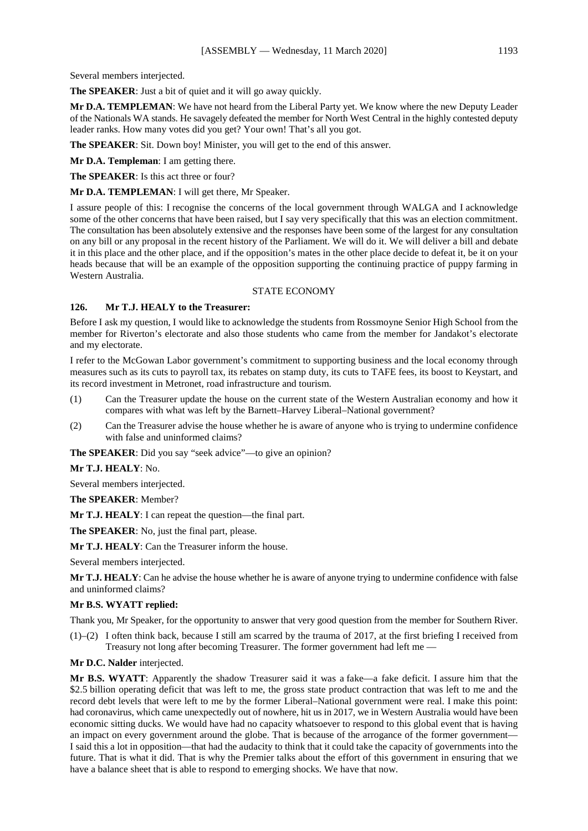Several members interjected.

**The SPEAKER**: Just a bit of quiet and it will go away quickly.

**Mr D.A. TEMPLEMAN**: We have not heard from the Liberal Party yet. We know where the new Deputy Leader of the Nationals WA stands. He savagely defeated the member for North West Central in the highly contested deputy leader ranks. How many votes did you get? Your own! That's all you got.

**The SPEAKER**: Sit. Down boy! Minister, you will get to the end of this answer.

**Mr D.A. Templeman**: I am getting there.

**The SPEAKER**: Is this act three or four?

**Mr D.A. TEMPLEMAN**: I will get there, Mr Speaker.

I assure people of this: I recognise the concerns of the local government through WALGA and I acknowledge some of the other concerns that have been raised, but I say very specifically that this was an election commitment. The consultation has been absolutely extensive and the responses have been some of the largest for any consultation on any bill or any proposal in the recent history of the Parliament. We will do it. We will deliver a bill and debate it in this place and the other place, and if the opposition's mates in the other place decide to defeat it, be it on your heads because that will be an example of the opposition supporting the continuing practice of puppy farming in Western Australia.

#### STATE ECONOMY

#### **126. Mr T.J. HEALY to the Treasurer:**

Before I ask my question, I would like to acknowledge the students from Rossmoyne Senior High School from the member for Riverton's electorate and also those students who came from the member for Jandakot's electorate and my electorate.

I refer to the McGowan Labor government's commitment to supporting business and the local economy through measures such as its cuts to payroll tax, its rebates on stamp duty, its cuts to TAFE fees, its boost to Keystart, and its record investment in Metronet, road infrastructure and tourism.

- (1) Can the Treasurer update the house on the current state of the Western Australian economy and how it compares with what was left by the Barnett–Harvey Liberal–National government?
- (2) Can the Treasurer advise the house whether he is aware of anyone who is trying to undermine confidence with false and uninformed claims?

The **SPEAKER**: Did you say "seek advice"—to give an opinion?

**Mr T.J. HEALY**: No.

Several members interjected.

**The SPEAKER**: Member?

**Mr T.J. HEALY**: I can repeat the question—the final part.

**The SPEAKER**: No, just the final part, please.

**Mr T.J. HEALY**: Can the Treasurer inform the house.

Several members interjected.

**Mr T.J. HEALY**: Can he advise the house whether he is aware of anyone trying to undermine confidence with false and uninformed claims?

#### **Mr B.S. WYATT replied:**

Thank you, Mr Speaker, for the opportunity to answer that very good question from the member for Southern River.

(1)–(2) I often think back, because I still am scarred by the trauma of 2017, at the first briefing I received from Treasury not long after becoming Treasurer. The former government had left me —

**Mr D.C. Nalder** interjected.

**Mr B.S. WYATT**: Apparently the shadow Treasurer said it was a fake—a fake deficit. I assure him that the \$2.5 billion operating deficit that was left to me, the gross state product contraction that was left to me and the record debt levels that were left to me by the former Liberal–National government were real. I make this point: had coronavirus, which came unexpectedly out of nowhere, hit us in 2017, we in Western Australia would have been economic sitting ducks. We would have had no capacity whatsoever to respond to this global event that is having an impact on every government around the globe. That is because of the arrogance of the former government— I said this a lot in opposition—that had the audacity to think that it could take the capacity of governments into the future. That is what it did. That is why the Premier talks about the effort of this government in ensuring that we have a balance sheet that is able to respond to emerging shocks. We have that now.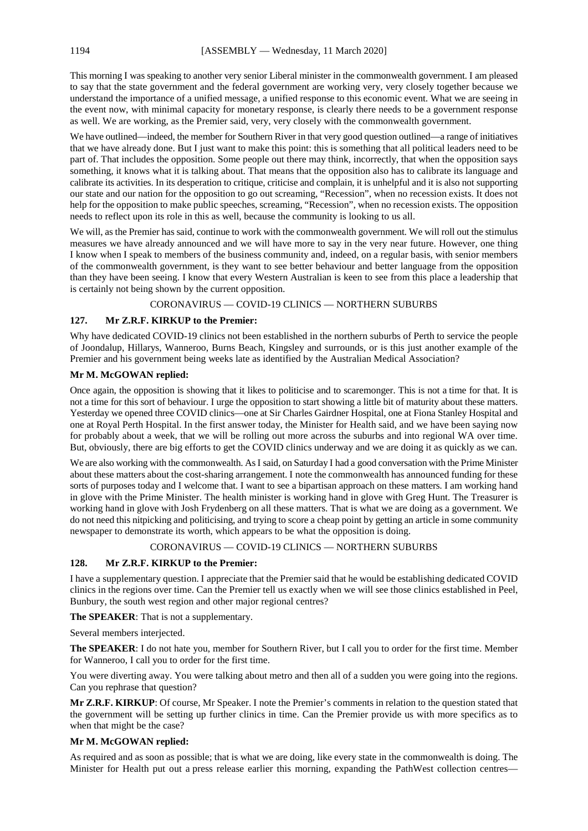This morning I was speaking to another very senior Liberal minister in the commonwealth government. I am pleased to say that the state government and the federal government are working very, very closely together because we understand the importance of a unified message, a unified response to this economic event. What we are seeing in the event now, with minimal capacity for monetary response, is clearly there needs to be a government response as well. We are working, as the Premier said, very, very closely with the commonwealth government.

We have outlined—indeed, the member for Southern River in that very good question outlined—a range of initiatives that we have already done. But I just want to make this point: this is something that all political leaders need to be part of. That includes the opposition. Some people out there may think, incorrectly, that when the opposition says something, it knows what it is talking about. That means that the opposition also has to calibrate its language and calibrate its activities. In its desperation to critique, criticise and complain, it is unhelpful and it is also not supporting our state and our nation for the opposition to go out screaming, "Recession", when no recession exists. It does not help for the opposition to make public speeches, screaming, "Recession", when no recession exists. The opposition needs to reflect upon its role in this as well, because the community is looking to us all.

We will, as the Premier has said, continue to work with the commonwealth government. We will roll out the stimulus measures we have already announced and we will have more to say in the very near future. However, one thing I know when I speak to members of the business community and, indeed, on a regular basis, with senior members of the commonwealth government, is they want to see better behaviour and better language from the opposition than they have been seeing. I know that every Western Australian is keen to see from this place a leadership that is certainly not being shown by the current opposition.

#### CORONAVIRUS — COVID-19 CLINICS — NORTHERN SUBURBS

#### **127. Mr Z.R.F. KIRKUP to the Premier:**

Why have dedicated COVID-19 clinics not been established in the northern suburbs of Perth to service the people of Joondalup, Hillarys, Wanneroo, Burns Beach, Kingsley and surrounds, or is this just another example of the Premier and his government being weeks late as identified by the Australian Medical Association?

#### **Mr M. McGOWAN replied:**

Once again, the opposition is showing that it likes to politicise and to scaremonger. This is not a time for that. It is not a time for this sort of behaviour. I urge the opposition to start showing a little bit of maturity about these matters. Yesterday we opened three COVID clinics—one at Sir Charles Gairdner Hospital, one at Fiona Stanley Hospital and one at Royal Perth Hospital. In the first answer today, the Minister for Health said, and we have been saying now for probably about a week, that we will be rolling out more across the suburbs and into regional WA over time. But, obviously, there are big efforts to get the COVID clinics underway and we are doing it as quickly as we can.

We are also working with the commonwealth. As I said, on Saturday I had a good conversation with the Prime Minister about these matters about the cost-sharing arrangement. I note the commonwealth has announced funding for these sorts of purposes today and I welcome that. I want to see a bipartisan approach on these matters. I am working hand in glove with the Prime Minister. The health minister is working hand in glove with Greg Hunt. The Treasurer is working hand in glove with Josh Frydenberg on all these matters. That is what we are doing as a government. We do not need this nitpicking and politicising, and trying to score a cheap point by getting an article in some community newspaper to demonstrate its worth, which appears to be what the opposition is doing.

#### CORONAVIRUS — COVID-19 CLINICS — NORTHERN SUBURBS

#### **128. Mr Z.R.F. KIRKUP to the Premier:**

I have a supplementary question. I appreciate that the Premier said that he would be establishing dedicated COVID clinics in the regions over time. Can the Premier tell us exactly when we will see those clinics established in Peel, Bunbury, the south west region and other major regional centres?

**The SPEAKER**: That is not a supplementary.

Several members interjected.

**The SPEAKER**: I do not hate you, member for Southern River, but I call you to order for the first time. Member for Wanneroo, I call you to order for the first time.

You were diverting away. You were talking about metro and then all of a sudden you were going into the regions. Can you rephrase that question?

**Mr Z.R.F. KIRKUP**: Of course, Mr Speaker. I note the Premier's comments in relation to the question stated that the government will be setting up further clinics in time. Can the Premier provide us with more specifics as to when that might be the case?

#### **Mr M. McGOWAN replied:**

As required and as soon as possible; that is what we are doing, like every state in the commonwealth is doing. The Minister for Health put out a press release earlier this morning, expanding the PathWest collection centres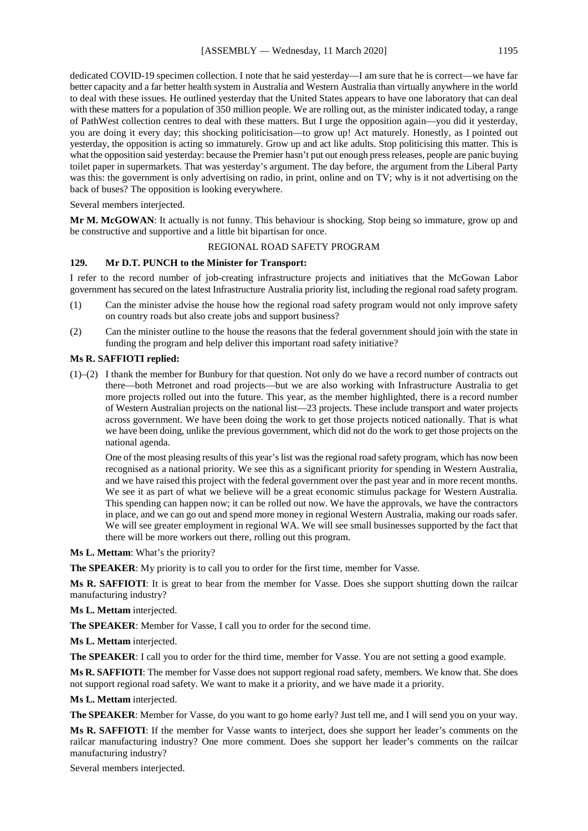dedicated COVID-19 specimen collection. I note that he said yesterday—I am sure that he is correct—we have far better capacity and a far better health system in Australia and Western Australia than virtually anywhere in the world to deal with these issues. He outlined yesterday that the United States appears to have one laboratory that can deal with these matters for a population of 350 million people. We are rolling out, as the minister indicated today, a range of PathWest collection centres to deal with these matters. But I urge the opposition again—you did it yesterday, you are doing it every day; this shocking politicisation—to grow up! Act maturely. Honestly, as I pointed out yesterday, the opposition is acting so immaturely. Grow up and act like adults. Stop politicising this matter. This is what the opposition said yesterday: because the Premier hasn't put out enough press releases, people are panic buying toilet paper in supermarkets. That was yesterday's argument. The day before, the argument from the Liberal Party was this: the government is only advertising on radio, in print, online and on TV; why is it not advertising on the back of buses? The opposition is looking everywhere.

Several members interjected.

**Mr M. McGOWAN**: It actually is not funny. This behaviour is shocking. Stop being so immature, grow up and be constructive and supportive and a little bit bipartisan for once.

#### REGIONAL ROAD SAFETY PROGRAM

#### **129. Mr D.T. PUNCH to the Minister for Transport:**

I refer to the record number of job-creating infrastructure projects and initiatives that the McGowan Labor government has secured on the latest Infrastructure Australia priority list, including the regional road safety program.

- (1) Can the minister advise the house how the regional road safety program would not only improve safety on country roads but also create jobs and support business?
- (2) Can the minister outline to the house the reasons that the federal government should join with the state in funding the program and help deliver this important road safety initiative?

#### **Ms R. SAFFIOTI replied:**

(1)–(2) I thank the member for Bunbury for that question. Not only do we have a record number of contracts out there—both Metronet and road projects—but we are also working with Infrastructure Australia to get more projects rolled out into the future. This year, as the member highlighted, there is a record number of Western Australian projects on the national list—23 projects. These include transport and water projects across government. We have been doing the work to get those projects noticed nationally. That is what we have been doing, unlike the previous government, which did not do the work to get those projects on the national agenda.

One of the most pleasing results of this year's list was the regional road safety program, which has now been recognised as a national priority. We see this as a significant priority for spending in Western Australia, and we have raised this project with the federal government over the past year and in more recent months. We see it as part of what we believe will be a great economic stimulus package for Western Australia. This spending can happen now; it can be rolled out now. We have the approvals, we have the contractors in place, and we can go out and spend more money in regional Western Australia, making our roads safer. We will see greater employment in regional WA. We will see small businesses supported by the fact that there will be more workers out there, rolling out this program.

**Ms L. Mettam**: What's the priority?

**The SPEAKER**: My priority is to call you to order for the first time, member for Vasse.

**Ms R. SAFFIOTI**: It is great to hear from the member for Vasse. Does she support shutting down the railcar manufacturing industry?

#### **Ms L. Mettam** interjected.

**The SPEAKER**: Member for Vasse, I call you to order for the second time.

**Ms L. Mettam** interjected.

**The SPEAKER**: I call you to order for the third time, member for Vasse. You are not setting a good example.

**Ms R. SAFFIOTI**: The member for Vasse does not support regional road safety, members. We know that. She does not support regional road safety. We want to make it a priority, and we have made it a priority.

**Ms L. Mettam** interjected.

**The SPEAKER**: Member for Vasse, do you want to go home early? Just tell me, and I will send you on your way.

**Ms R. SAFFIOTI**: If the member for Vasse wants to interject, does she support her leader's comments on the railcar manufacturing industry? One more comment. Does she support her leader's comments on the railcar manufacturing industry?

Several members interjected.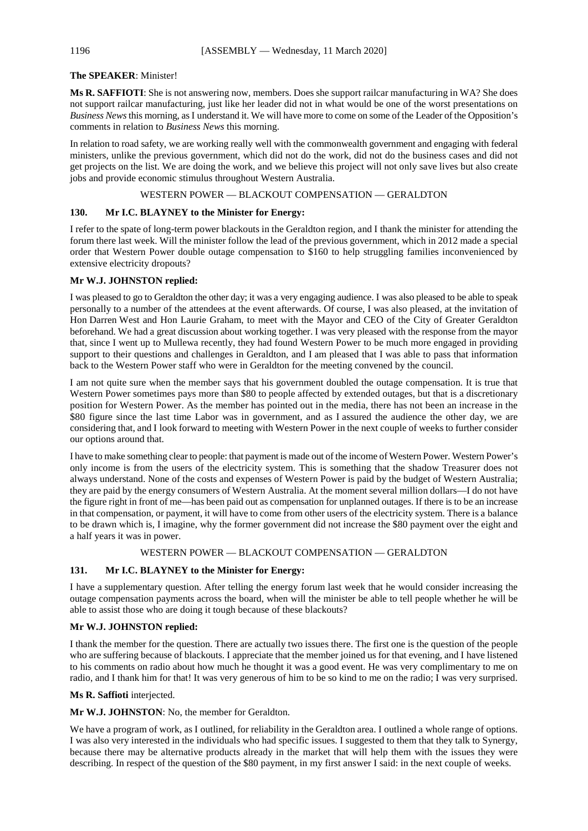#### **The SPEAKER**: Minister!

**Ms R. SAFFIOTI**: She is not answering now, members. Does she support railcar manufacturing in WA? She does not support railcar manufacturing, just like her leader did not in what would be one of the worst presentations on *Business News*this morning, asI understand it. We will have more to come on some of the Leader of the Opposition's comments in relation to *Business News* this morning.

In relation to road safety, we are working really well with the commonwealth government and engaging with federal ministers, unlike the previous government, which did not do the work, did not do the business cases and did not get projects on the list. We are doing the work, and we believe this project will not only save lives but also create jobs and provide economic stimulus throughout Western Australia.

#### WESTERN POWER — BLACKOUT COMPENSATION — GERALDTON

#### **130. Mr I.C. BLAYNEY to the Minister for Energy:**

I refer to the spate of long-term power blackouts in the Geraldton region, and I thank the minister for attending the forum there last week. Will the minister follow the lead of the previous government, which in 2012 made a special order that Western Power double outage compensation to \$160 to help struggling families inconvenienced by extensive electricity dropouts?

#### **Mr W.J. JOHNSTON replied:**

I was pleased to go to Geraldton the other day; it was a very engaging audience. I was also pleased to be able to speak personally to a number of the attendees at the event afterwards. Of course, I was also pleased, at the invitation of Hon Darren West and Hon Laurie Graham, to meet with the Mayor and CEO of the City of Greater Geraldton beforehand. We had a great discussion about working together. I was very pleased with the response from the mayor that, since I went up to Mullewa recently, they had found Western Power to be much more engaged in providing support to their questions and challenges in Geraldton, and I am pleased that I was able to pass that information back to the Western Power staff who were in Geraldton for the meeting convened by the council.

I am not quite sure when the member says that his government doubled the outage compensation. It is true that Western Power sometimes pays more than \$80 to people affected by extended outages, but that is a discretionary position for Western Power. As the member has pointed out in the media, there has not been an increase in the \$80 figure since the last time Labor was in government, and as I assured the audience the other day, we are considering that, and I look forward to meeting with Western Power in the next couple of weeks to further consider our options around that.

I have to make something clear to people: that payment is made out of the income of Western Power. Western Power's only income is from the users of the electricity system. This is something that the shadow Treasurer does not always understand. None of the costs and expenses of Western Power is paid by the budget of Western Australia; they are paid by the energy consumers of Western Australia. At the moment several million dollars—I do not have the figure right in front of me—has been paid out as compensation for unplanned outages. If there is to be an increase in that compensation, or payment, it will have to come from other users of the electricity system. There is a balance to be drawn which is, I imagine, why the former government did not increase the \$80 payment over the eight and a half years it was in power.

#### WESTERN POWER — BLACKOUT COMPENSATION — GERALDTON

### **131. Mr I.C. BLAYNEY to the Minister for Energy:**

I have a supplementary question. After telling the energy forum last week that he would consider increasing the outage compensation payments across the board, when will the minister be able to tell people whether he will be able to assist those who are doing it tough because of these blackouts?

#### **Mr W.J. JOHNSTON replied:**

I thank the member for the question. There are actually two issues there. The first one is the question of the people who are suffering because of blackouts. I appreciate that the member joined us for that evening, and I have listened to his comments on radio about how much he thought it was a good event. He was very complimentary to me on radio, and I thank him for that! It was very generous of him to be so kind to me on the radio; I was very surprised.

#### **Ms R. Saffioti** interjected.

**Mr W.J. JOHNSTON**: No, the member for Geraldton.

We have a program of work, as I outlined, for reliability in the Geraldton area. I outlined a whole range of options. I was also very interested in the individuals who had specific issues. I suggested to them that they talk to Synergy, because there may be alternative products already in the market that will help them with the issues they were describing. In respect of the question of the \$80 payment, in my first answer I said: in the next couple of weeks.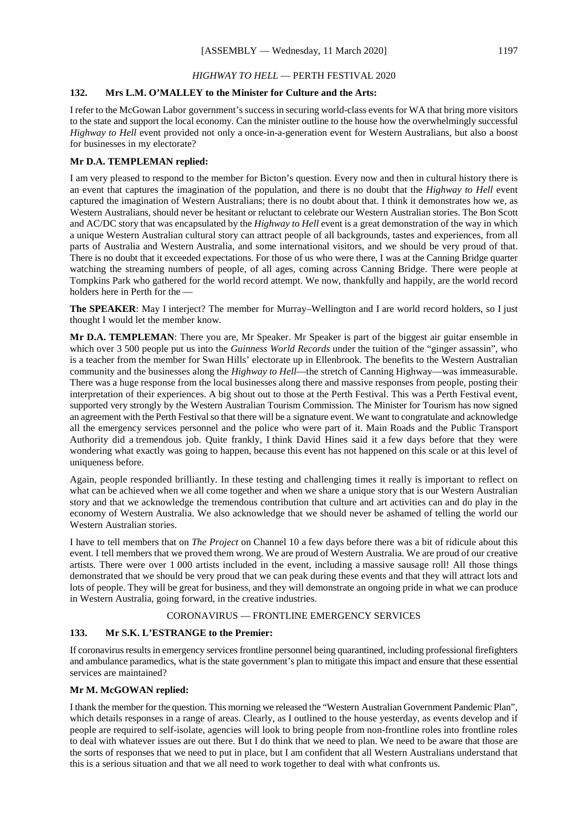#### *HIGHWAY TO HELL* — PERTH FESTIVAL 2020

#### **132. Mrs L.M. O'MALLEY to the Minister for Culture and the Arts:**

I refer to the McGowan Labor government's success in securing world-class events for WA that bring more visitors to the state and support the local economy. Can the minister outline to the house how the overwhelmingly successful *Highway to Hell* event provided not only a once-in-a-generation event for Western Australians, but also a boost for businesses in my electorate?

#### **Mr D.A. TEMPLEMAN replied:**

I am very pleased to respond to the member for Bicton's question. Every now and then in cultural history there is an event that captures the imagination of the population, and there is no doubt that the *Highway to Hell* event captured the imagination of Western Australians; there is no doubt about that. I think it demonstrates how we, as Western Australians, should never be hesitant or reluctant to celebrate our Western Australian stories. The Bon Scott and AC/DC story that was encapsulated by the *Highway to Hell* event is a great demonstration of the way in which a unique Western Australian cultural story can attract people of all backgrounds, tastes and experiences, from all parts of Australia and Western Australia, and some international visitors, and we should be very proud of that. There is no doubt that it exceeded expectations. For those of us who were there, I was at the Canning Bridge quarter watching the streaming numbers of people, of all ages, coming across Canning Bridge. There were people at Tompkins Park who gathered for the world record attempt. We now, thankfully and happily, are the world record holders here in Perth for the —

**The SPEAKER**: May I interject? The member for Murray–Wellington and I are world record holders, so I just thought I would let the member know.

**Mr D.A. TEMPLEMAN**: There you are, Mr Speaker. Mr Speaker is part of the biggest air guitar ensemble in which over 3 500 people put us into the *Guinness World Records* under the tuition of the "ginger assassin", who is a teacher from the member for Swan Hills' electorate up in Ellenbrook. The benefits to the Western Australian community and the businesses along the *Highway to Hell*—the stretch of Canning Highway—was immeasurable. There was a huge response from the local businesses along there and massive responses from people, posting their interpretation of their experiences. A big shout out to those at the Perth Festival. This was a Perth Festival event, supported very strongly by the Western Australian Tourism Commission. The Minister for Tourism has now signed an agreement with the Perth Festival so that there will be a signature event. We want to congratulate and acknowledge all the emergency services personnel and the police who were part of it. Main Roads and the Public Transport Authority did a tremendous job. Quite frankly, I think David Hines said it a few days before that they were wondering what exactly was going to happen, because this event has not happened on this scale or at this level of uniqueness before.

Again, people responded brilliantly. In these testing and challenging times it really is important to reflect on what can be achieved when we all come together and when we share a unique story that is our Western Australian story and that we acknowledge the tremendous contribution that culture and art activities can and do play in the economy of Western Australia. We also acknowledge that we should never be ashamed of telling the world our Western Australian stories.

I have to tell members that on *The Project* on Channel 10 a few days before there was a bit of ridicule about this event. I tell members that we proved them wrong. We are proud of Western Australia. We are proud of our creative artists. There were over 1 000 artists included in the event, including a massive sausage roll! All those things demonstrated that we should be very proud that we can peak during these events and that they will attract lots and lots of people. They will be great for business, and they will demonstrate an ongoing pride in what we can produce in Western Australia, going forward, in the creative industries.

#### CORONAVIRUS — FRONTLINE EMERGENCY SERVICES

#### **133. Mr S.K. L'ESTRANGE to the Premier:**

If coronavirus results in emergency services frontline personnel being quarantined, including professional firefighters and ambulance paramedics, what is the state government's plan to mitigate this impact and ensure that these essential services are maintained?

#### **Mr M. McGOWAN replied:**

I thank the member for the question. This morning we released the "Western Australian Government Pandemic Plan", which details responses in a range of areas. Clearly, as I outlined to the house yesterday, as events develop and if people are required to self-isolate, agencies will look to bring people from non-frontline roles into frontline roles to deal with whatever issues are out there. But I do think that we need to plan. We need to be aware that those are the sorts of responses that we need to put in place, but I am confident that all Western Australians understand that this is a serious situation and that we all need to work together to deal with what confronts us.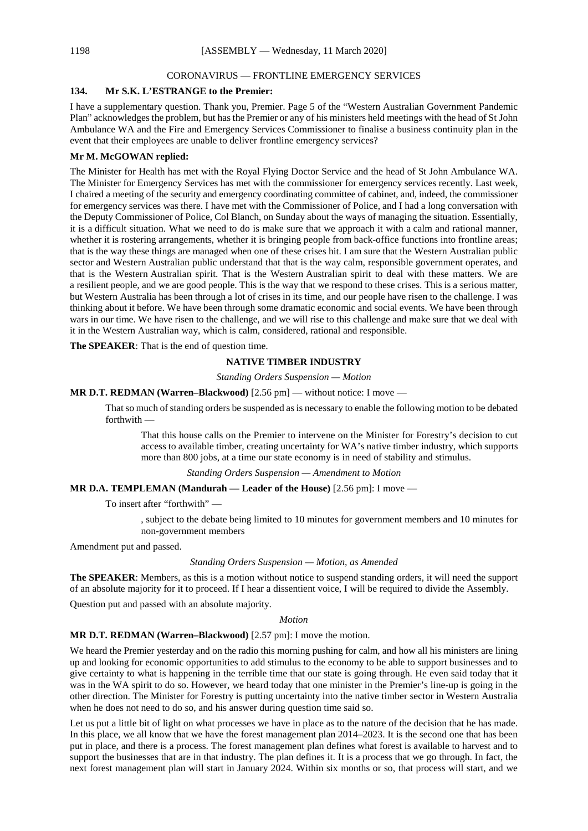#### CORONAVIRUS — FRONTLINE EMERGENCY SERVICES

#### **134. Mr S.K. L'ESTRANGE to the Premier:**

I have a supplementary question. Thank you, Premier. Page 5 of the "Western Australian Government Pandemic Plan" acknowledges the problem, but has the Premier or any of his ministers held meetings with the head of St John Ambulance WA and the Fire and Emergency Services Commissioner to finalise a business continuity plan in the event that their employees are unable to deliver frontline emergency services?

#### **Mr M. McGOWAN replied:**

The Minister for Health has met with the Royal Flying Doctor Service and the head of St John Ambulance WA. The Minister for Emergency Services has met with the commissioner for emergency services recently. Last week, I chaired a meeting of the security and emergency coordinating committee of cabinet, and, indeed, the commissioner for emergency services was there. I have met with the Commissioner of Police, and I had a long conversation with the Deputy Commissioner of Police, Col Blanch, on Sunday about the ways of managing the situation. Essentially, it is a difficult situation. What we need to do is make sure that we approach it with a calm and rational manner, whether it is rostering arrangements, whether it is bringing people from back-office functions into frontline areas; that is the way these things are managed when one of these crises hit. I am sure that the Western Australian public sector and Western Australian public understand that that is the way calm, responsible government operates, and that is the Western Australian spirit. That is the Western Australian spirit to deal with these matters. We are a resilient people, and we are good people. This is the way that we respond to these crises. This is a serious matter, but Western Australia has been through a lot of crises in its time, and our people have risen to the challenge. I was thinking about it before. We have been through some dramatic economic and social events. We have been through wars in our time. We have risen to the challenge, and we will rise to this challenge and make sure that we deal with it in the Western Australian way, which is calm, considered, rational and responsible.

**The SPEAKER**: That is the end of question time.

#### **NATIVE TIMBER INDUSTRY**

*Standing Orders Suspension — Motion*

#### **MR D.T. REDMAN (Warren–Blackwood)** [2.56 pm] — without notice: I move —

That so much of standing orders be suspended as is necessary to enable the following motion to be debated forthwith —

That this house calls on the Premier to intervene on the Minister for Forestry's decision to cut access to available timber, creating uncertainty for WA's native timber industry, which supports more than 800 jobs, at a time our state economy is in need of stability and stimulus.

*Standing Orders Suspension — Amendment to Motion*

#### **MR D.A. TEMPLEMAN (Mandurah — Leader of the House)** [2.56 pm]: I move —

To insert after "forthwith" —

, subject to the debate being limited to 10 minutes for government members and 10 minutes for non-government members

Amendment put and passed.

#### *Standing Orders Suspension — Motion, as Amended*

**The SPEAKER**: Members, as this is a motion without notice to suspend standing orders, it will need the support of an absolute majority for it to proceed. If I hear a dissentient voice, I will be required to divide the Assembly.

Question put and passed with an absolute majority.

#### *Motion*

#### **MR D.T. REDMAN (Warren–Blackwood)** [2.57 pm]: I move the motion.

We heard the Premier yesterday and on the radio this morning pushing for calm, and how all his ministers are lining up and looking for economic opportunities to add stimulus to the economy to be able to support businesses and to give certainty to what is happening in the terrible time that our state is going through. He even said today that it was in the WA spirit to do so. However, we heard today that one minister in the Premier's line-up is going in the other direction. The Minister for Forestry is putting uncertainty into the native timber sector in Western Australia when he does not need to do so, and his answer during question time said so.

Let us put a little bit of light on what processes we have in place as to the nature of the decision that he has made. In this place, we all know that we have the forest management plan  $2014-2023$ . It is the second one that has been put in place, and there is a process. The forest management plan defines what forest is available to harvest and to support the businesses that are in that industry. The plan defines it. It is a process that we go through. In fact, the next forest management plan will start in January 2024. Within six months or so, that process will start, and we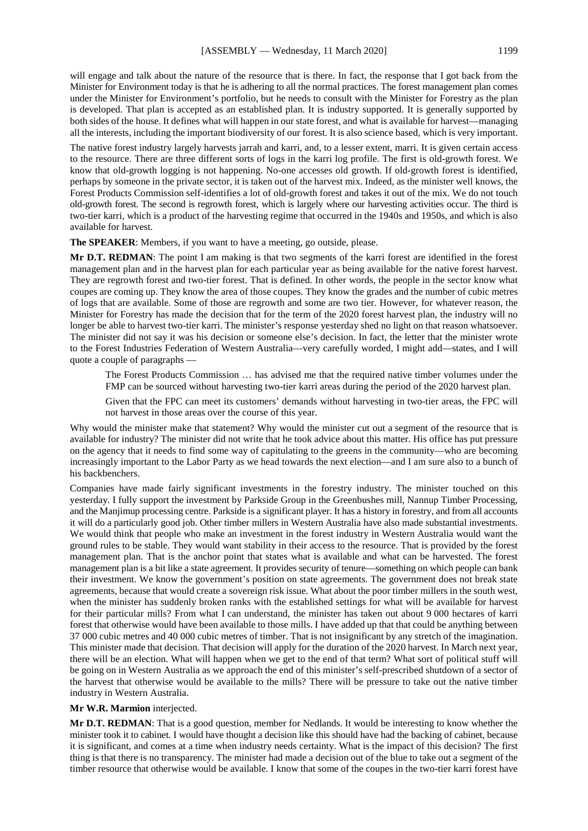will engage and talk about the nature of the resource that is there. In fact, the response that I got back from the Minister for Environment today is that he is adhering to all the normal practices. The forest management plan comes under the Minister for Environment's portfolio, but he needs to consult with the Minister for Forestry as the plan is developed. That plan is accepted as an established plan. It is industry supported. It is generally supported by both sides of the house. It defines what will happen in our state forest, and what is available for harvest—managing all the interests, including the important biodiversity of our forest. It is also science based, which is very important.

The native forest industry largely harvests jarrah and karri, and, to a lesser extent, marri. It is given certain access to the resource. There are three different sorts of logs in the karri log profile. The first is old-growth forest. We know that old-growth logging is not happening. No-one accesses old growth. If old-growth forest is identified, perhaps by someone in the private sector, it is taken out of the harvest mix. Indeed, as the minister well knows, the Forest Products Commission self-identifies a lot of old-growth forest and takes it out of the mix. We do not touch old-growth forest. The second is regrowth forest, which is largely where our harvesting activities occur. The third is two-tier karri, which is a product of the harvesting regime that occurred in the 1940s and 1950s, and which is also available for harvest.

**The SPEAKER**: Members, if you want to have a meeting, go outside, please.

**Mr D.T. REDMAN**: The point I am making is that two segments of the karri forest are identified in the forest management plan and in the harvest plan for each particular year as being available for the native forest harvest. They are regrowth forest and two-tier forest. That is defined. In other words, the people in the sector know what coupes are coming up. They know the area of those coupes. They know the grades and the number of cubic metres of logs that are available. Some of those are regrowth and some are two tier. However, for whatever reason, the Minister for Forestry has made the decision that for the term of the 2020 forest harvest plan, the industry will no longer be able to harvest two-tier karri. The minister's response yesterday shed no light on that reason whatsoever. The minister did not say it was his decision or someone else's decision. In fact, the letter that the minister wrote to the Forest Industries Federation of Western Australia—very carefully worded, I might add—states, and I will quote a couple of paragraphs —

The Forest Products Commission … has advised me that the required native timber volumes under the FMP can be sourced without harvesting two-tier karri areas during the period of the 2020 harvest plan.

Given that the FPC can meet its customers' demands without harvesting in two-tier areas, the FPC will not harvest in those areas over the course of this year.

Why would the minister make that statement? Why would the minister cut out a segment of the resource that is available for industry? The minister did not write that he took advice about this matter. His office has put pressure on the agency that it needs to find some way of capitulating to the greens in the community—who are becoming increasingly important to the Labor Party as we head towards the next election—and I am sure also to a bunch of his backbenchers.

Companies have made fairly significant investments in the forestry industry. The minister touched on this yesterday. I fully support the investment by Parkside Group in the Greenbushes mill, Nannup Timber Processing, and the Manjimup processing centre. Parkside is a significant player. It has a history in forestry, and from all accounts it will do a particularly good job. Other timber millers in Western Australia have also made substantial investments. We would think that people who make an investment in the forest industry in Western Australia would want the ground rules to be stable. They would want stability in their access to the resource. That is provided by the forest management plan. That is the anchor point that states what is available and what can be harvested. The forest management plan is a bit like a state agreement. It provides security of tenure—something on which people can bank their investment. We know the government's position on state agreements. The government does not break state agreements, because that would create a sovereign risk issue. What about the poor timber millers in the south west, when the minister has suddenly broken ranks with the established settings for what will be available for harvest for their particular mills? From what I can understand, the minister has taken out about 9 000 hectares of karri forest that otherwise would have been available to those mills. I have added up that that could be anything between 37 000 cubic metres and 40 000 cubic metres of timber. That is not insignificant by any stretch of the imagination. This minister made that decision. That decision will apply for the duration of the 2020 harvest. In March next year, there will be an election. What will happen when we get to the end of that term? What sort of political stuff will be going on in Western Australia as we approach the end of this minister's self-prescribed shutdown of a sector of the harvest that otherwise would be available to the mills? There will be pressure to take out the native timber industry in Western Australia.

#### **Mr W.R. Marmion** interjected.

**Mr D.T. REDMAN**: That is a good question, member for Nedlands. It would be interesting to know whether the minister took it to cabinet. I would have thought a decision like this should have had the backing of cabinet, because it is significant, and comes at a time when industry needs certainty. What is the impact of this decision? The first thing is that there is no transparency. The minister had made a decision out of the blue to take out a segment of the timber resource that otherwise would be available. I know that some of the coupes in the two-tier karri forest have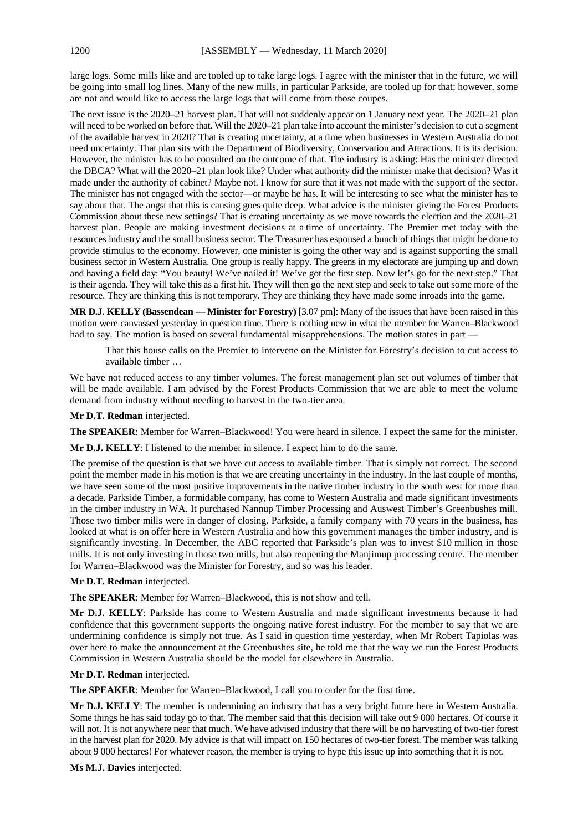large logs. Some mills like and are tooled up to take large logs. I agree with the minister that in the future, we will be going into small log lines. Many of the new mills, in particular Parkside, are tooled up for that; however, some are not and would like to access the large logs that will come from those coupes.

The next issue is the 2020–21 harvest plan. That will not suddenly appear on 1 January next year. The 2020–21 plan will need to be worked on before that. Will the 2020–21 plan take into account the minister's decision to cut a segment of the available harvest in 2020? That is creating uncertainty, at a time when businesses in Western Australia do not need uncertainty. That plan sits with the Department of Biodiversity, Conservation and Attractions. It is its decision. However, the minister has to be consulted on the outcome of that. The industry is asking: Has the minister directed the DBCA? What will the 2020–21 plan look like? Under what authority did the minister make that decision? Was it made under the authority of cabinet? Maybe not. I know for sure that it was not made with the support of the sector. The minister has not engaged with the sector—or maybe he has. It will be interesting to see what the minister has to say about that. The angst that this is causing goes quite deep. What advice is the minister giving the Forest Products Commission about these new settings? That is creating uncertainty as we move towards the election and the 2020–21 harvest plan. People are making investment decisions at a time of uncertainty. The Premier met today with the resources industry and the small business sector. The Treasurer has espoused a bunch of things that might be done to provide stimulus to the economy. However, one minister is going the other way and is against supporting the small business sector in Western Australia. One group is really happy. The greens in my electorate are jumping up and down and having a field day: "You beauty! We've nailed it! We've got the first step. Now let's go for the next step." That is their agenda. They will take this as a first hit. They will then go the next step and seek to take out some more of the resource. They are thinking this is not temporary. They are thinking they have made some inroads into the game.

**MR D.J. KELLY (Bassendean — Minister for Forestry)** [3.07 pm]: Many of the issues that have been raised in this motion were canvassed yesterday in question time. There is nothing new in what the member for Warren–Blackwood had to say. The motion is based on several fundamental misapprehensions. The motion states in part —

That this house calls on the Premier to intervene on the Minister for Forestry's decision to cut access to available timber …

We have not reduced access to any timber volumes. The forest management plan set out volumes of timber that will be made available. I am advised by the Forest Products Commission that we are able to meet the volume demand from industry without needing to harvest in the two-tier area.

**Mr D.T. Redman** interjected.

**The SPEAKER**: Member for Warren–Blackwood! You were heard in silence. I expect the same for the minister.

**Mr D.J. KELLY**: I listened to the member in silence. I expect him to do the same.

The premise of the question is that we have cut access to available timber. That is simply not correct. The second point the member made in his motion is that we are creating uncertainty in the industry. In the last couple of months, we have seen some of the most positive improvements in the native timber industry in the south west for more than a decade. Parkside Timber, a formidable company, has come to Western Australia and made significant investments in the timber industry in WA. It purchased Nannup Timber Processing and Auswest Timber's Greenbushes mill. Those two timber mills were in danger of closing. Parkside, a family company with 70 years in the business, has looked at what is on offer here in Western Australia and how this government manages the timber industry, and is significantly investing. In December, the ABC reported that Parkside's plan was to invest \$10 million in those mills. It is not only investing in those two mills, but also reopening the Manjimup processing centre. The member for Warren–Blackwood was the Minister for Forestry, and so was his leader.

**Mr D.T. Redman** interjected.

**The SPEAKER**: Member for Warren–Blackwood, this is not show and tell.

**Mr D.J. KELLY**: Parkside has come to Western Australia and made significant investments because it had confidence that this government supports the ongoing native forest industry. For the member to say that we are undermining confidence is simply not true. As I said in question time yesterday, when Mr Robert Tapiolas was over here to make the announcement at the Greenbushes site, he told me that the way we run the Forest Products Commission in Western Australia should be the model for elsewhere in Australia.

**Mr D.T. Redman** interjected.

**The SPEAKER**: Member for Warren–Blackwood, I call you to order for the first time.

**Mr D.J. KELLY**: The member is undermining an industry that has a very bright future here in Western Australia. Some things he has said today go to that. The member said that this decision will take out 9 000 hectares. Of course it will not. It is not anywhere near that much. We have advised industry that there will be no harvesting of two-tier forest in the harvest plan for 2020. My advice is that will impact on 150 hectares of two-tier forest. The member was talking about 9 000 hectares! For whatever reason, the member is trying to hype this issue up into something that it is not.

**Ms M.J. Davies** interjected.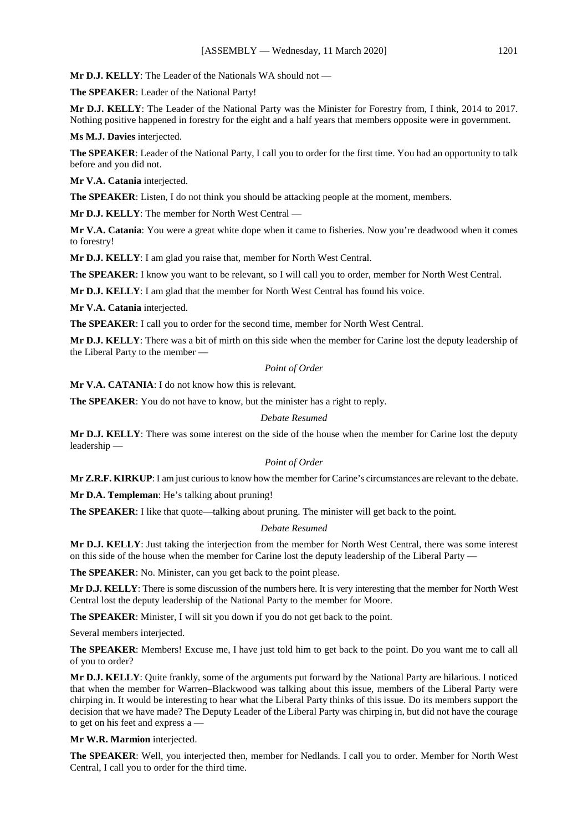**Mr D.J. KELLY**: The Leader of the Nationals WA should not —

**The SPEAKER**: Leader of the National Party!

**Mr D.J. KELLY**: The Leader of the National Party was the Minister for Forestry from, I think, 2014 to 2017. Nothing positive happened in forestry for the eight and a half years that members opposite were in government.

**Ms M.J. Davies** interjected.

**The SPEAKER**: Leader of the National Party, I call you to order for the first time. You had an opportunity to talk before and you did not.

**Mr V.A. Catania** interjected.

**The SPEAKER**: Listen, I do not think you should be attacking people at the moment, members.

**Mr D.J. KELLY**: The member for North West Central —

**Mr V.A. Catania**: You were a great white dope when it came to fisheries. Now you're deadwood when it comes to forestry!

**Mr D.J. KELLY**: I am glad you raise that, member for North West Central.

**The SPEAKER**: I know you want to be relevant, so I will call you to order, member for North West Central.

**Mr D.J. KELLY**: I am glad that the member for North West Central has found his voice.

**Mr V.A. Catania** interjected.

**The SPEAKER**: I call you to order for the second time, member for North West Central.

**Mr D.J. KELLY**: There was a bit of mirth on this side when the member for Carine lost the deputy leadership of the Liberal Party to the member —

#### *Point of Order*

**Mr V.A. CATANIA**: I do not know how this is relevant.

**The SPEAKER**: You do not have to know, but the minister has a right to reply.

#### *Debate Resumed*

**Mr D.J. KELLY**: There was some interest on the side of the house when the member for Carine lost the deputy leadership —

#### *Point of Order*

**Mr Z.R.F. KIRKUP**: I am just curious to know how the member for Carine's circumstances are relevant to the debate.

**Mr D.A. Templeman**: He's talking about pruning!

**The SPEAKER**: I like that quote—talking about pruning. The minister will get back to the point.

#### *Debate Resumed*

**Mr D.J. KELLY**: Just taking the interjection from the member for North West Central, there was some interest on this side of the house when the member for Carine lost the deputy leadership of the Liberal Party —

**The SPEAKER**: No. Minister, can you get back to the point please.

**Mr D.J. KELLY**: There is some discussion of the numbers here. It is very interesting that the member for North West Central lost the deputy leadership of the National Party to the member for Moore.

**The SPEAKER**: Minister, I will sit you down if you do not get back to the point.

Several members interjected.

**The SPEAKER**: Members! Excuse me, I have just told him to get back to the point. Do you want me to call all of you to order?

**Mr D.J. KELLY**: Quite frankly, some of the arguments put forward by the National Party are hilarious. I noticed that when the member for Warren–Blackwood was talking about this issue, members of the Liberal Party were chirping in. It would be interesting to hear what the Liberal Party thinks of this issue. Do its members support the decision that we have made? The Deputy Leader of the Liberal Party was chirping in, but did not have the courage to get on his feet and express a —

**Mr W.R. Marmion** interjected.

**The SPEAKER**: Well, you interjected then, member for Nedlands. I call you to order. Member for North West Central, I call you to order for the third time.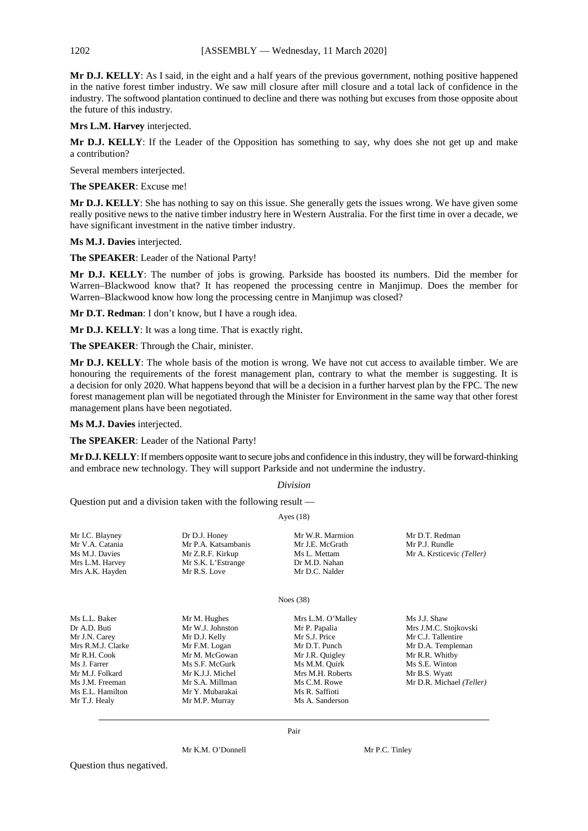**Mr D.J. KELLY**: As I said, in the eight and a half years of the previous government, nothing positive happened in the native forest timber industry. We saw mill closure after mill closure and a total lack of confidence in the industry. The softwood plantation continued to decline and there was nothing but excuses from those opposite about the future of this industry.

**Mrs L.M. Harvey** interjected.

**Mr D.J. KELLY**: If the Leader of the Opposition has something to say, why does she not get up and make a contribution?

Several members interjected.

**The SPEAKER**: Excuse me!

**Mr D.J. KELLY**: She has nothing to say on this issue. She generally gets the issues wrong. We have given some really positive news to the native timber industry here in Western Australia. For the first time in over a decade, we have significant investment in the native timber industry.

**Ms M.J. Davies** interjected.

**The SPEAKER**: Leader of the National Party!

**Mr D.J. KELLY**: The number of jobs is growing. Parkside has boosted its numbers. Did the member for Warren–Blackwood know that? It has reopened the processing centre in Manjimup. Does the member for Warren–Blackwood know how long the processing centre in Manjimup was closed?

**Mr D.T. Redman**: I don't know, but I have a rough idea.

**Mr D.J. KELLY**: It was a long time. That is exactly right.

**The SPEAKER**: Through the Chair, minister.

**Mr D.J. KELLY**: The whole basis of the motion is wrong. We have not cut access to available timber. We are honouring the requirements of the forest management plan, contrary to what the member is suggesting. It is a decision for only 2020. What happens beyond that will be a decision in a further harvest plan by the FPC. The new forest management plan will be negotiated through the Minister for Environment in the same way that other forest management plans have been negotiated.

**Ms M.J. Davies** interjected.

**The SPEAKER**: Leader of the National Party!

**Mr D.J. KELLY**: If members opposite want to secure jobs and confidence in this industry, they will be forward-thinking and embrace new technology. They will support Parkside and not undermine the industry.

#### *Division*

Question put and a division taken with the following result —

Ayes (18)

| Mr I.C. Blayney   | Dr D.J. Honey       | Mr W.R. Marmion   | Mr D.T. Redman            |
|-------------------|---------------------|-------------------|---------------------------|
| Mr V.A. Catania   | Mr P.A. Katsambanis | Mr J.E. McGrath   | Mr P.J. Rundle            |
| Ms M.J. Davies    | Mr Z.R.F. Kirkup    | Ms L. Mettam      | Mr A. Krsticevic (Teller) |
| Mrs L.M. Harvey   | Mr S.K. L'Estrange  | Dr M.D. Nahan     |                           |
| Mrs A.K. Hayden   | Mr R.S. Love        | Mr D.C. Nalder    |                           |
|                   |                     | Noes $(38)$       |                           |
| Ms L.L. Baker     | Mr M. Hughes        | Mrs L.M. O'Malley | Ms J.J. Shaw              |
| Dr A.D. Buti      | Mr W.J. Johnston    | Mr P. Papalia     | Mrs J.M.C. Stojkovski     |
| Mr J.N. Carey     | Mr D.J. Kelly       | Mr S.J. Price     | Mr C.J. Tallentire        |
| Mrs R.M.J. Clarke | Mr F.M. Logan       | Mr D.T. Punch     | Mr D.A. Templeman         |
| Mr R.H. Cook      | Mr M. McGowan       | Mr J.R. Quigley   | Mr R.R. Whitby            |
| Ms J. Farrer      | Ms S.F. McGurk      | Ms M.M. Quirk     | Ms S.E. Winton            |
| Mr M.J. Folkard   | Mr K.J.J. Michel    | Mrs M.H. Roberts  | Mr B.S. Wyatt             |
| Ms J.M. Freeman   | Mr S.A. Millman     | Ms C.M. Rowe      | Mr D.R. Michael (Teller)  |
| Ms E.L. Hamilton  | Mr Y. Mubarakai     | Ms R. Saffioti    |                           |
| Mr T.J. Healy     | Mr M.P. Murray      | Ms A. Sanderson   |                           |

Mr K.M. O'Donnell Mr P.C. Tinley

Question thus negatived.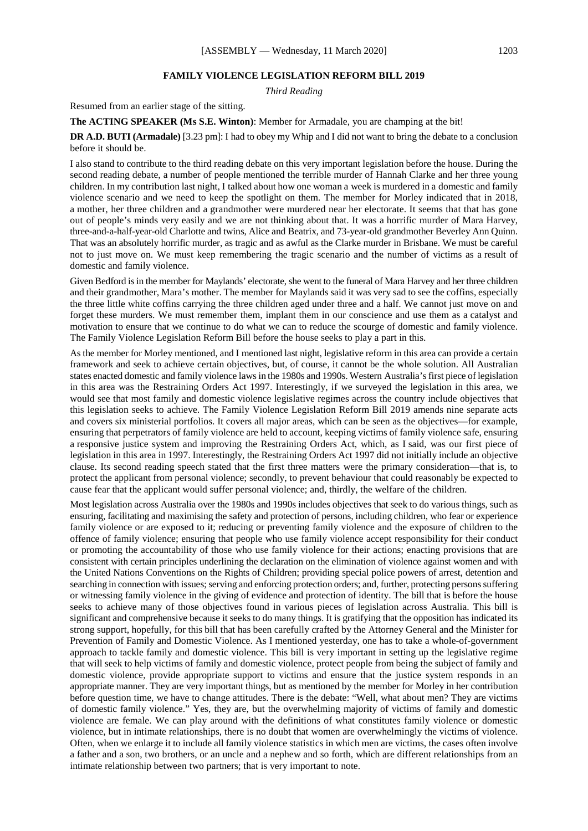#### **FAMILY VIOLENCE LEGISLATION REFORM BILL 2019**

*Third Reading*

Resumed from an earlier stage of the sitting.

**The ACTING SPEAKER (Ms S.E. Winton)**: Member for Armadale, you are champing at the bit!

**DR A.D. BUTI (Armadale)** [3.23 pm]: I had to obey my Whip and I did not want to bring the debate to a conclusion before it should be.

I also stand to contribute to the third reading debate on this very important legislation before the house. During the second reading debate, a number of people mentioned the terrible murder of Hannah Clarke and her three young children. In my contribution last night, I talked about how one woman a week is murdered in a domestic and family violence scenario and we need to keep the spotlight on them. The member for Morley indicated that in 2018, a mother, her three children and a grandmother were murdered near her electorate. It seems that that has gone out of people's minds very easily and we are not thinking about that. It was a horrific murder of Mara Harvey, three-and-a-half-year-old Charlotte and twins, Alice and Beatrix, and 73-year-old grandmother Beverley Ann Quinn. That was an absolutely horrific murder, as tragic and as awful as the Clarke murder in Brisbane. We must be careful not to just move on. We must keep remembering the tragic scenario and the number of victims as a result of domestic and family violence.

Given Bedford is in the member for Maylands' electorate, she went to the funeral of Mara Harvey and her three children and their grandmother, Mara's mother. The member for Maylands said it was very sad to see the coffins, especially the three little white coffins carrying the three children aged under three and a half. We cannot just move on and forget these murders. We must remember them, implant them in our conscience and use them as a catalyst and motivation to ensure that we continue to do what we can to reduce the scourge of domestic and family violence. The Family Violence Legislation Reform Bill before the house seeks to play a part in this.

As the member for Morley mentioned, and I mentioned last night, legislative reform in this area can provide a certain framework and seek to achieve certain objectives, but, of course, it cannot be the whole solution. All Australian states enacted domestic and family violence laws in the 1980s and 1990s. Western Australia's first piece of legislation in this area was the Restraining Orders Act 1997. Interestingly, if we surveyed the legislation in this area, we would see that most family and domestic violence legislative regimes across the country include objectives that this legislation seeks to achieve. The Family Violence Legislation Reform Bill 2019 amends nine separate acts and covers six ministerial portfolios. It covers all major areas, which can be seen as the objectives—for example, ensuring that perpetrators of family violence are held to account, keeping victims of family violence safe, ensuring a responsive justice system and improving the Restraining Orders Act, which, as I said, was our first piece of legislation in this area in 1997. Interestingly, the Restraining Orders Act 1997 did not initially include an objective clause. Its second reading speech stated that the first three matters were the primary consideration—that is, to protect the applicant from personal violence; secondly, to prevent behaviour that could reasonably be expected to cause fear that the applicant would suffer personal violence; and, thirdly, the welfare of the children.

Most legislation across Australia over the 1980s and 1990s includes objectives that seek to do various things, such as ensuring, facilitating and maximising the safety and protection of persons, including children, who fear or experience family violence or are exposed to it; reducing or preventing family violence and the exposure of children to the offence of family violence; ensuring that people who use family violence accept responsibility for their conduct or promoting the accountability of those who use family violence for their actions; enacting provisions that are consistent with certain principles underlining the declaration on the elimination of violence against women and with the United Nations Conventions on the Rights of Children; providing special police powers of arrest, detention and searching in connection with issues; serving and enforcing protection orders; and, further, protecting persons suffering or witnessing family violence in the giving of evidence and protection of identity. The bill that is before the house seeks to achieve many of those objectives found in various pieces of legislation across Australia. This bill is significant and comprehensive because it seeks to do many things. It is gratifying that the opposition has indicated its strong support, hopefully, for this bill that has been carefully crafted by the Attorney General and the Minister for Prevention of Family and Domestic Violence. As I mentioned yesterday, one has to take a whole-of-government approach to tackle family and domestic violence. This bill is very important in setting up the legislative regime that will seek to help victims of family and domestic violence, protect people from being the subject of family and domestic violence, provide appropriate support to victims and ensure that the justice system responds in an appropriate manner. They are very important things, but as mentioned by the member for Morley in her contribution before question time, we have to change attitudes. There is the debate: "Well, what about men? They are victims of domestic family violence." Yes, they are, but the overwhelming majority of victims of family and domestic violence are female. We can play around with the definitions of what constitutes family violence or domestic violence, but in intimate relationships, there is no doubt that women are overwhelmingly the victims of violence. Often, when we enlarge it to include all family violence statistics in which men are victims, the cases often involve a father and a son, two brothers, or an uncle and a nephew and so forth, which are different relationships from an intimate relationship between two partners; that is very important to note.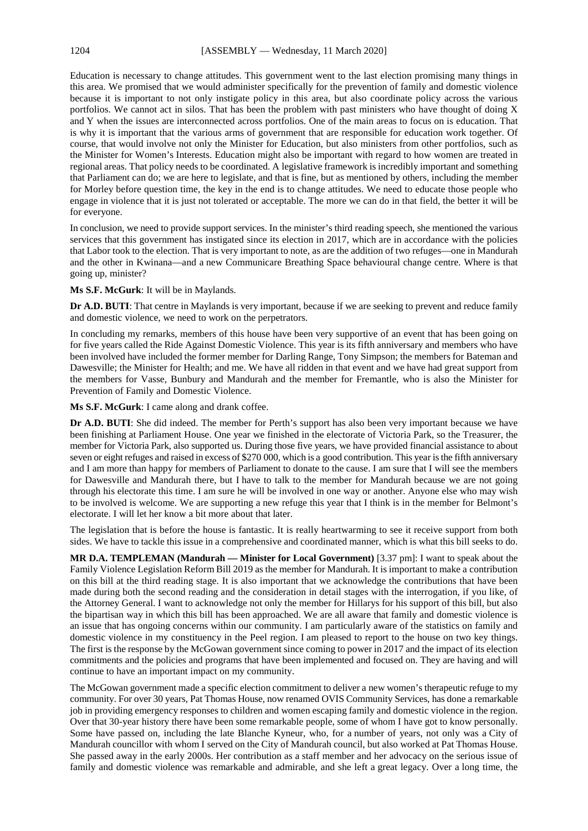Education is necessary to change attitudes. This government went to the last election promising many things in this area. We promised that we would administer specifically for the prevention of family and domestic violence because it is important to not only instigate policy in this area, but also coordinate policy across the various portfolios. We cannot act in silos. That has been the problem with past ministers who have thought of doing X and Y when the issues are interconnected across portfolios. One of the main areas to focus on is education. That is why it is important that the various arms of government that are responsible for education work together. Of course, that would involve not only the Minister for Education, but also ministers from other portfolios, such as the Minister for Women's Interests. Education might also be important with regard to how women are treated in regional areas. That policy needs to be coordinated. A legislative framework is incredibly important and something that Parliament can do; we are here to legislate, and that is fine, but as mentioned by others, including the member for Morley before question time, the key in the end is to change attitudes. We need to educate those people who engage in violence that it is just not tolerated or acceptable. The more we can do in that field, the better it will be for everyone.

In conclusion, we need to provide support services. In the minister's third reading speech, she mentioned the various services that this government has instigated since its election in 2017, which are in accordance with the policies that Labor took to the election. That is very important to note, as are the addition of two refuges—one in Mandurah and the other in Kwinana—and a new Communicare Breathing Space behavioural change centre. Where is that going up, minister?

#### **Ms S.F. McGurk**: It will be in Maylands.

**Dr A.D. BUTI**: That centre in Maylands is very important, because if we are seeking to prevent and reduce family and domestic violence, we need to work on the perpetrators.

In concluding my remarks, members of this house have been very supportive of an event that has been going on for five years called the Ride Against Domestic Violence. This year is its fifth anniversary and members who have been involved have included the former member for Darling Range, Tony Simpson; the members for Bateman and Dawesville; the Minister for Health; and me. We have all ridden in that event and we have had great support from the members for Vasse, Bunbury and Mandurah and the member for Fremantle, who is also the Minister for Prevention of Family and Domestic Violence.

**Ms S.F. McGurk**: I came along and drank coffee.

**Dr A.D. BUTI**: She did indeed. The member for Perth's support has also been very important because we have been finishing at Parliament House. One year we finished in the electorate of Victoria Park, so the Treasurer, the member for Victoria Park, also supported us. During those five years, we have provided financial assistance to about seven or eight refuges and raised in excess of \$270 000, which is a good contribution. This year is the fifth anniversary and I am more than happy for members of Parliament to donate to the cause. I am sure that I will see the members for Dawesville and Mandurah there, but I have to talk to the member for Mandurah because we are not going through his electorate this time. I am sure he will be involved in one way or another. Anyone else who may wish to be involved is welcome. We are supporting a new refuge this year that I think is in the member for Belmont's electorate. I will let her know a bit more about that later.

The legislation that is before the house is fantastic. It is really heartwarming to see it receive support from both sides. We have to tackle this issue in a comprehensive and coordinated manner, which is what this bill seeks to do.

**MR D.A. TEMPLEMAN (Mandurah — Minister for Local Government)** [3.37 pm]: I want to speak about the Family Violence Legislation Reform Bill 2019 as the member for Mandurah. It is important to make a contribution on this bill at the third reading stage. It is also important that we acknowledge the contributions that have been made during both the second reading and the consideration in detail stages with the interrogation, if you like, of the Attorney General. I want to acknowledge not only the member for Hillarys for his support of this bill, but also the bipartisan way in which this bill has been approached. We are all aware that family and domestic violence is an issue that has ongoing concerns within our community. I am particularly aware of the statistics on family and domestic violence in my constituency in the Peel region. I am pleased to report to the house on two key things. The first is the response by the McGowan government since coming to power in 2017 and the impact of its election commitments and the policies and programs that have been implemented and focused on. They are having and will continue to have an important impact on my community.

The McGowan government made a specific election commitment to deliver a new women's therapeutic refuge to my community. For over 30 years, Pat Thomas House, now renamed OVIS Community Services, has done a remarkable job in providing emergency responses to children and women escaping family and domestic violence in the region. Over that 30-year history there have been some remarkable people, some of whom I have got to know personally. Some have passed on, including the late Blanche Kyneur, who, for a number of years, not only was a City of Mandurah councillor with whom I served on the City of Mandurah council, but also worked at Pat Thomas House. She passed away in the early 2000s. Her contribution as a staff member and her advocacy on the serious issue of family and domestic violence was remarkable and admirable, and she left a great legacy. Over a long time, the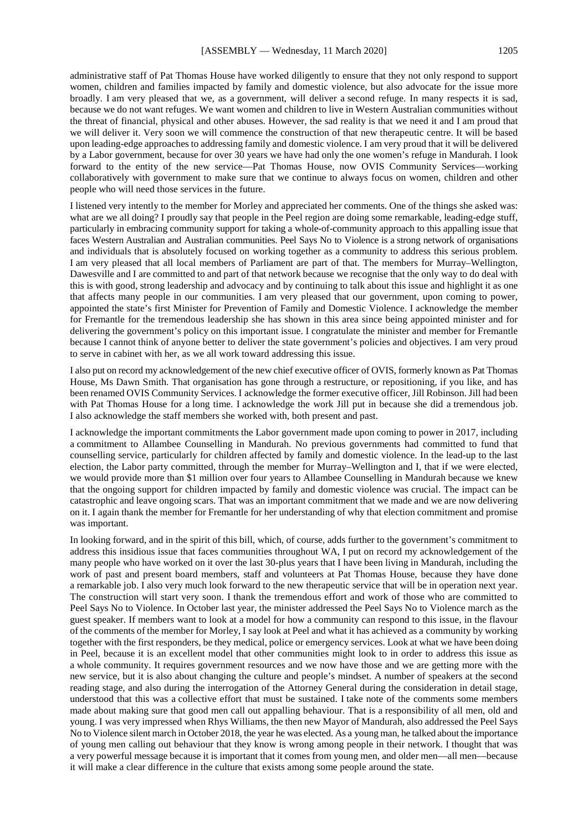administrative staff of Pat Thomas House have worked diligently to ensure that they not only respond to support women, children and families impacted by family and domestic violence, but also advocate for the issue more broadly. I am very pleased that we, as a government, will deliver a second refuge. In many respects it is sad, because we do not want refuges. We want women and children to live in Western Australian communities without the threat of financial, physical and other abuses. However, the sad reality is that we need it and I am proud that we will deliver it. Very soon we will commence the construction of that new therapeutic centre. It will be based upon leading-edge approaches to addressing family and domestic violence. I am very proud that it will be delivered by a Labor government, because for over 30 years we have had only the one women's refuge in Mandurah. I look forward to the entity of the new service—Pat Thomas House, now OVIS Community Services—working collaboratively with government to make sure that we continue to always focus on women, children and other people who will need those services in the future.

I listened very intently to the member for Morley and appreciated her comments. One of the things she asked was: what are we all doing? I proudly say that people in the Peel region are doing some remarkable, leading-edge stuff, particularly in embracing community support for taking a whole-of-community approach to this appalling issue that faces Western Australian and Australian communities. Peel Says No to Violence is a strong network of organisations and individuals that is absolutely focused on working together as a community to address this serious problem. I am very pleased that all local members of Parliament are part of that. The members for Murray–Wellington, Dawesville and I are committed to and part of that network because we recognise that the only way to do deal with this is with good, strong leadership and advocacy and by continuing to talk about this issue and highlight it as one that affects many people in our communities. I am very pleased that our government, upon coming to power, appointed the state's first Minister for Prevention of Family and Domestic Violence. I acknowledge the member for Fremantle for the tremendous leadership she has shown in this area since being appointed minister and for delivering the government's policy on this important issue. I congratulate the minister and member for Fremantle because I cannot think of anyone better to deliver the state government's policies and objectives. I am very proud to serve in cabinet with her, as we all work toward addressing this issue.

I also put on record my acknowledgement of the new chief executive officer of OVIS, formerly known as Pat Thomas House, Ms Dawn Smith. That organisation has gone through a restructure, or repositioning, if you like, and has been renamed OVIS Community Services. I acknowledge the former executive officer, Jill Robinson. Jill had been with Pat Thomas House for a long time. I acknowledge the work Jill put in because she did a tremendous job. I also acknowledge the staff members she worked with, both present and past.

I acknowledge the important commitments the Labor government made upon coming to power in 2017, including a commitment to Allambee Counselling in Mandurah. No previous governments had committed to fund that counselling service, particularly for children affected by family and domestic violence. In the lead-up to the last election, the Labor party committed, through the member for Murray–Wellington and I, that if we were elected, we would provide more than \$1 million over four years to Allambee Counselling in Mandurah because we knew that the ongoing support for children impacted by family and domestic violence was crucial. The impact can be catastrophic and leave ongoing scars. That was an important commitment that we made and we are now delivering on it. I again thank the member for Fremantle for her understanding of why that election commitment and promise was important.

In looking forward, and in the spirit of this bill, which, of course, adds further to the government's commitment to address this insidious issue that faces communities throughout WA, I put on record my acknowledgement of the many people who have worked on it over the last 30-plus years that I have been living in Mandurah, including the work of past and present board members, staff and volunteers at Pat Thomas House, because they have done a remarkable job. I also very much look forward to the new therapeutic service that will be in operation next year. The construction will start very soon. I thank the tremendous effort and work of those who are committed to Peel Says No to Violence. In October last year, the minister addressed the Peel Says No to Violence march as the guest speaker. If members want to look at a model for how a community can respond to this issue, in the flavour of the comments of the member for Morley, I say look at Peel and what it has achieved as a community by working together with the first responders, be they medical, police or emergency services. Look at what we have been doing in Peel, because it is an excellent model that other communities might look to in order to address this issue as a whole community. It requires government resources and we now have those and we are getting more with the new service, but it is also about changing the culture and people's mindset. A number of speakers at the second reading stage, and also during the interrogation of the Attorney General during the consideration in detail stage, understood that this was a collective effort that must be sustained. I take note of the comments some members made about making sure that good men call out appalling behaviour. That is a responsibility of all men, old and young. I was very impressed when Rhys Williams, the then new Mayor of Mandurah, also addressed the Peel Says No to Violence silent march in October 2018, the year he was elected. As a young man, he talked about the importance of young men calling out behaviour that they know is wrong among people in their network. I thought that was a very powerful message because it is important that it comes from young men, and older men—all men—because it will make a clear difference in the culture that exists among some people around the state.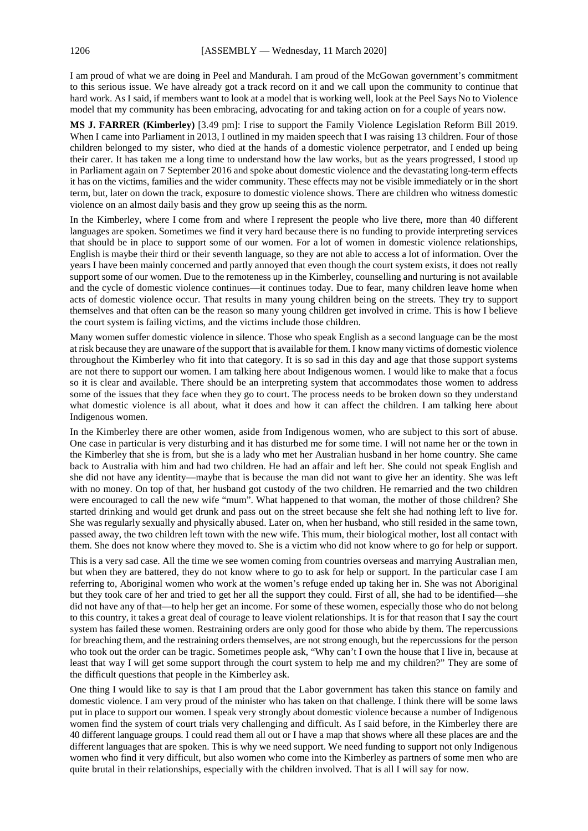I am proud of what we are doing in Peel and Mandurah. I am proud of the McGowan government's commitment to this serious issue. We have already got a track record on it and we call upon the community to continue that hard work. As I said, if members want to look at a model that is working well, look at the Peel Says No to Violence model that my community has been embracing, advocating for and taking action on for a couple of years now.

**MS J. FARRER (Kimberley)** [3.49 pm]: I rise to support the Family Violence Legislation Reform Bill 2019. When I came into Parliament in 2013, I outlined in my maiden speech that I was raising 13 children. Four of those children belonged to my sister, who died at the hands of a domestic violence perpetrator, and I ended up being their carer. It has taken me a long time to understand how the law works, but as the years progressed, I stood up in Parliament again on 7 September 2016 and spoke about domestic violence and the devastating long-term effects it has on the victims, families and the wider community. These effects may not be visible immediately or in the short term, but, later on down the track, exposure to domestic violence shows. There are children who witness domestic violence on an almost daily basis and they grow up seeing this as the norm.

In the Kimberley, where I come from and where I represent the people who live there, more than 40 different languages are spoken. Sometimes we find it very hard because there is no funding to provide interpreting services that should be in place to support some of our women. For a lot of women in domestic violence relationships, English is maybe their third or their seventh language, so they are not able to access a lot of information. Over the years I have been mainly concerned and partly annoyed that even though the court system exists, it does not really support some of our women. Due to the remoteness up in the Kimberley, counselling and nurturing is not available and the cycle of domestic violence continues—it continues today. Due to fear, many children leave home when acts of domestic violence occur. That results in many young children being on the streets. They try to support themselves and that often can be the reason so many young children get involved in crime. This is how I believe the court system is failing victims, and the victims include those children.

Many women suffer domestic violence in silence. Those who speak English as a second language can be the most at risk because they are unaware of the support that is available for them. I know many victims of domestic violence throughout the Kimberley who fit into that category. It is so sad in this day and age that those support systems are not there to support our women. I am talking here about Indigenous women. I would like to make that a focus so it is clear and available. There should be an interpreting system that accommodates those women to address some of the issues that they face when they go to court. The process needs to be broken down so they understand what domestic violence is all about, what it does and how it can affect the children. I am talking here about Indigenous women.

In the Kimberley there are other women, aside from Indigenous women, who are subject to this sort of abuse. One case in particular is very disturbing and it has disturbed me for some time. I will not name her or the town in the Kimberley that she is from, but she is a lady who met her Australian husband in her home country. She came back to Australia with him and had two children. He had an affair and left her. She could not speak English and she did not have any identity—maybe that is because the man did not want to give her an identity. She was left with no money. On top of that, her husband got custody of the two children. He remarried and the two children were encouraged to call the new wife "mum". What happened to that woman, the mother of those children? She started drinking and would get drunk and pass out on the street because she felt she had nothing left to live for. She was regularly sexually and physically abused. Later on, when her husband, who still resided in the same town, passed away, the two children left town with the new wife. This mum, their biological mother, lost all contact with them. She does not know where they moved to. She is a victim who did not know where to go for help or support.

This is a very sad case. All the time we see women coming from countries overseas and marrying Australian men, but when they are battered, they do not know where to go to ask for help or support. In the particular case I am referring to, Aboriginal women who work at the women's refuge ended up taking her in. She was not Aboriginal but they took care of her and tried to get her all the support they could. First of all, she had to be identified—she did not have any of that—to help her get an income. For some of these women, especially those who do not belong to this country, it takes a great deal of courage to leave violent relationships. It is for that reason that I say the court system has failed these women. Restraining orders are only good for those who abide by them. The repercussions for breaching them, and the restraining orders themselves, are not strong enough, but the repercussions for the person who took out the order can be tragic. Sometimes people ask, "Why can't I own the house that I live in, because at least that way I will get some support through the court system to help me and my children?" They are some of the difficult questions that people in the Kimberley ask.

One thing I would like to say is that I am proud that the Labor government has taken this stance on family and domestic violence. I am very proud of the minister who has taken on that challenge. I think there will be some laws put in place to support our women. I speak very strongly about domestic violence because a number of Indigenous women find the system of court trials very challenging and difficult. As I said before, in the Kimberley there are 40 different language groups. I could read them all out or I have a map that shows where all these places are and the different languages that are spoken. This is why we need support. We need funding to support not only Indigenous women who find it very difficult, but also women who come into the Kimberley as partners of some men who are quite brutal in their relationships, especially with the children involved. That is all I will say for now.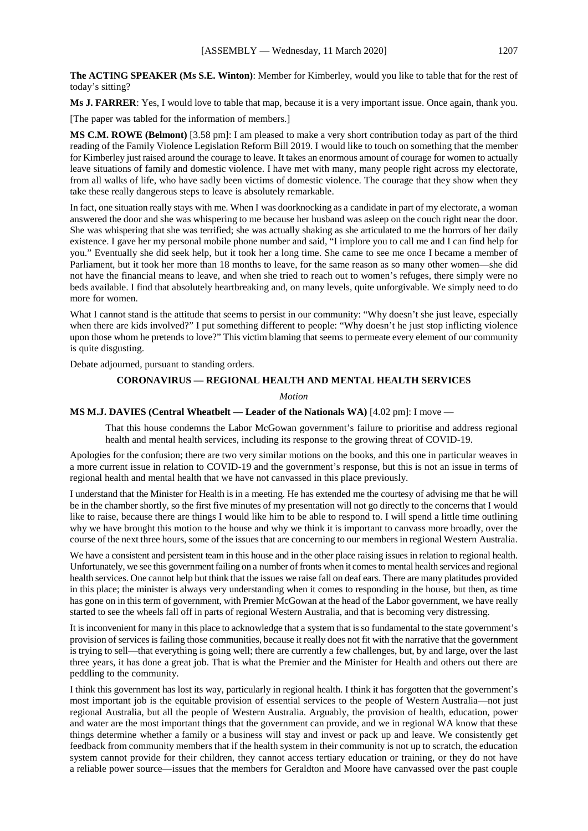**The ACTING SPEAKER (Ms S.E. Winton)**: Member for Kimberley, would you like to table that for the rest of today's sitting?

**Ms J. FARRER**: Yes, I would love to table that map, because it is a very important issue. Once again, thank you.

[The paper was tabled for the information of members.]

**MS C.M. ROWE (Belmont)** [3.58 pm]: I am pleased to make a very short contribution today as part of the third reading of the Family Violence Legislation Reform Bill 2019. I would like to touch on something that the member for Kimberley just raised around the courage to leave. It takes an enormous amount of courage for women to actually leave situations of family and domestic violence. I have met with many, many people right across my electorate, from all walks of life, who have sadly been victims of domestic violence. The courage that they show when they take these really dangerous steps to leave is absolutely remarkable.

In fact, one situation really stays with me. When I was doorknocking as a candidate in part of my electorate, a woman answered the door and she was whispering to me because her husband was asleep on the couch right near the door. She was whispering that she was terrified; she was actually shaking as she articulated to me the horrors of her daily existence. I gave her my personal mobile phone number and said, "I implore you to call me and I can find help for you." Eventually she did seek help, but it took her a long time. She came to see me once I became a member of Parliament, but it took her more than 18 months to leave, for the same reason as so many other women—she did not have the financial means to leave, and when she tried to reach out to women's refuges, there simply were no beds available. I find that absolutely heartbreaking and, on many levels, quite unforgivable. We simply need to do more for women.

What I cannot stand is the attitude that seems to persist in our community: "Why doesn't she just leave, especially when there are kids involved?" I put something different to people: "Why doesn't he just stop inflicting violence upon those whom he pretends to love?" This victim blaming that seems to permeate every element of our community is quite disgusting.

Debate adjourned, pursuant to standing orders.

### **CORONAVIRUS — REGIONAL HEALTH AND MENTAL HEALTH SERVICES**

*Motion*

#### **MS M.J. DAVIES (Central Wheatbelt — Leader of the Nationals WA)** [4.02 pm]: I move —

That this house condemns the Labor McGowan government's failure to prioritise and address regional health and mental health services, including its response to the growing threat of COVID-19.

Apologies for the confusion; there are two very similar motions on the books, and this one in particular weaves in a more current issue in relation to COVID-19 and the government's response, but this is not an issue in terms of regional health and mental health that we have not canvassed in this place previously.

I understand that the Minister for Health is in a meeting. He has extended me the courtesy of advising me that he will be in the chamber shortly, so the first five minutes of my presentation will not go directly to the concerns that I would like to raise, because there are things I would like him to be able to respond to. I will spend a little time outlining why we have brought this motion to the house and why we think it is important to canvass more broadly, over the course of the next three hours, some of the issues that are concerning to our members in regional Western Australia.

We have a consistent and persistent team in this house and in the other place raising issues in relation to regional health. Unfortunately, we see this government failing on a number of fronts when it comes to mental health services and regional health services. One cannot help but think that the issues we raise fall on deaf ears. There are many platitudes provided in this place; the minister is always very understanding when it comes to responding in the house, but then, as time has gone on in this term of government, with Premier McGowan at the head of the Labor government, we have really started to see the wheels fall off in parts of regional Western Australia, and that is becoming very distressing.

It is inconvenient for many in this place to acknowledge that a system that is so fundamental to the state government's provision of services is failing those communities, because it really does not fit with the narrative that the government is trying to sell—that everything is going well; there are currently a few challenges, but, by and large, over the last three years, it has done a great job. That is what the Premier and the Minister for Health and others out there are peddling to the community.

I think this government has lost its way, particularly in regional health. I think it has forgotten that the government's most important job is the equitable provision of essential services to the people of Western Australia—not just regional Australia, but all the people of Western Australia. Arguably, the provision of health, education, power and water are the most important things that the government can provide, and we in regional WA know that these things determine whether a family or a business will stay and invest or pack up and leave. We consistently get feedback from community members that if the health system in their community is not up to scratch, the education system cannot provide for their children, they cannot access tertiary education or training, or they do not have a reliable power source—issues that the members for Geraldton and Moore have canvassed over the past couple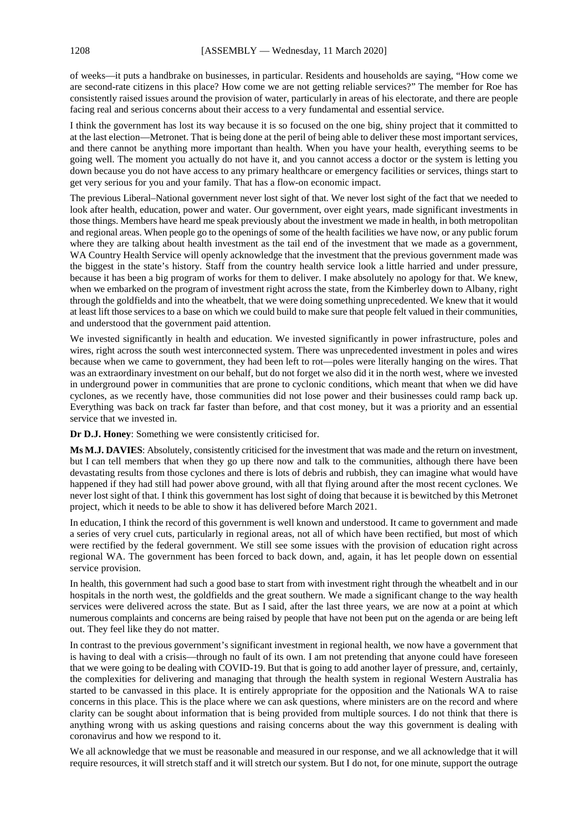of weeks—it puts a handbrake on businesses, in particular. Residents and households are saying, "How come we are second-rate citizens in this place? How come we are not getting reliable services?" The member for Roe has consistently raised issues around the provision of water, particularly in areas of his electorate, and there are people facing real and serious concerns about their access to a very fundamental and essential service.

I think the government has lost its way because it is so focused on the one big, shiny project that it committed to at the last election—Metronet. That is being done at the peril of being able to deliver these most important services, and there cannot be anything more important than health. When you have your health, everything seems to be going well. The moment you actually do not have it, and you cannot access a doctor or the system is letting you down because you do not have access to any primary healthcare or emergency facilities or services, things start to get very serious for you and your family. That has a flow-on economic impact.

The previous Liberal–National government never lost sight of that. We never lost sight of the fact that we needed to look after health, education, power and water. Our government, over eight years, made significant investments in those things. Members have heard me speak previously about the investment we made in health, in both metropolitan and regional areas. When people go to the openings of some of the health facilities we have now, or any public forum where they are talking about health investment as the tail end of the investment that we made as a government, WA Country Health Service will openly acknowledge that the investment that the previous government made was the biggest in the state's history. Staff from the country health service look a little harried and under pressure, because it has been a big program of works for them to deliver. I make absolutely no apology for that. We knew, when we embarked on the program of investment right across the state, from the Kimberley down to Albany, right through the goldfields and into the wheatbelt, that we were doing something unprecedented. We knew that it would at least lift those services to a base on which we could build to make sure that people felt valued in their communities, and understood that the government paid attention.

We invested significantly in health and education. We invested significantly in power infrastructure, poles and wires, right across the south west interconnected system. There was unprecedented investment in poles and wires because when we came to government, they had been left to rot—poles were literally hanging on the wires. That was an extraordinary investment on our behalf, but do not forget we also did it in the north west, where we invested in underground power in communities that are prone to cyclonic conditions, which meant that when we did have cyclones, as we recently have, those communities did not lose power and their businesses could ramp back up. Everything was back on track far faster than before, and that cost money, but it was a priority and an essential service that we invested in.

**Dr D.J. Honey**: Something we were consistently criticised for.

**Ms M.J. DAVIES**: Absolutely, consistently criticised for the investment that was made and the return on investment, but I can tell members that when they go up there now and talk to the communities, although there have been devastating results from those cyclones and there is lots of debris and rubbish, they can imagine what would have happened if they had still had power above ground, with all that flying around after the most recent cyclones. We never lost sight of that. I think this government has lost sight of doing that because it is bewitched by this Metronet project, which it needs to be able to show it has delivered before March 2021.

In education, I think the record of this government is well known and understood. It came to government and made a series of very cruel cuts, particularly in regional areas, not all of which have been rectified, but most of which were rectified by the federal government. We still see some issues with the provision of education right across regional WA. The government has been forced to back down, and, again, it has let people down on essential service provision.

In health, this government had such a good base to start from with investment right through the wheatbelt and in our hospitals in the north west, the goldfields and the great southern. We made a significant change to the way health services were delivered across the state. But as I said, after the last three years, we are now at a point at which numerous complaints and concerns are being raised by people that have not been put on the agenda or are being left out. They feel like they do not matter.

In contrast to the previous government's significant investment in regional health, we now have a government that is having to deal with a crisis—through no fault of its own. I am not pretending that anyone could have foreseen that we were going to be dealing with COVID-19. But that is going to add another layer of pressure, and, certainly, the complexities for delivering and managing that through the health system in regional Western Australia has started to be canvassed in this place. It is entirely appropriate for the opposition and the Nationals WA to raise concerns in this place. This is the place where we can ask questions, where ministers are on the record and where clarity can be sought about information that is being provided from multiple sources. I do not think that there is anything wrong with us asking questions and raising concerns about the way this government is dealing with coronavirus and how we respond to it.

We all acknowledge that we must be reasonable and measured in our response, and we all acknowledge that it will require resources, it will stretch staff and it will stretch our system. But I do not, for one minute, support the outrage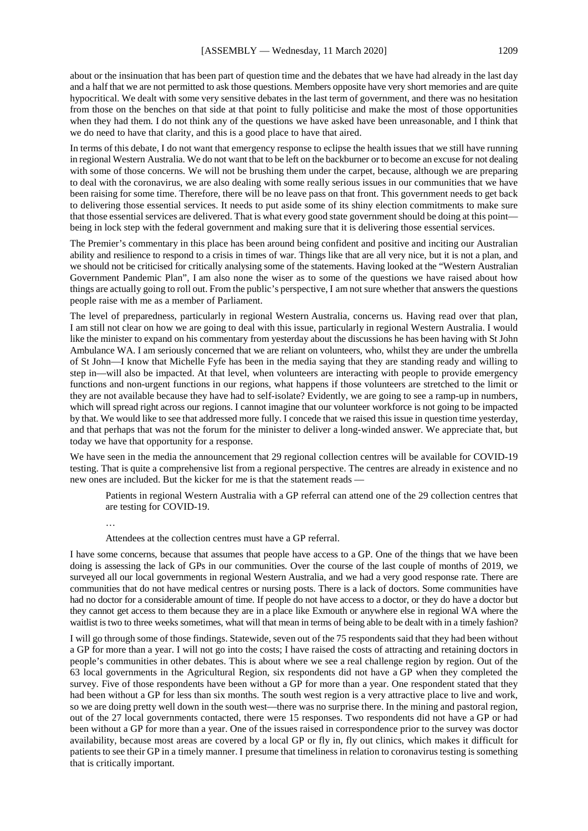about or the insinuation that has been part of question time and the debates that we have had already in the last day and a half that we are not permitted to ask those questions. Members opposite have very short memories and are quite hypocritical. We dealt with some very sensitive debates in the last term of government, and there was no hesitation from those on the benches on that side at that point to fully politicise and make the most of those opportunities when they had them. I do not think any of the questions we have asked have been unreasonable, and I think that we do need to have that clarity, and this is a good place to have that aired.

In terms of this debate, I do not want that emergency response to eclipse the health issues that we still have running in regional Western Australia. We do not want that to be left on the backburner or to become an excuse for not dealing with some of those concerns. We will not be brushing them under the carpet, because, although we are preparing to deal with the coronavirus, we are also dealing with some really serious issues in our communities that we have been raising for some time. Therefore, there will be no leave pass on that front. This government needs to get back to delivering those essential services. It needs to put aside some of its shiny election commitments to make sure that those essential services are delivered. That is what every good state government should be doing at this point being in lock step with the federal government and making sure that it is delivering those essential services.

The Premier's commentary in this place has been around being confident and positive and inciting our Australian ability and resilience to respond to a crisis in times of war. Things like that are all very nice, but it is not a plan, and we should not be criticised for critically analysing some of the statements. Having looked at the "Western Australian Government Pandemic Plan", I am also none the wiser as to some of the questions we have raised about how things are actually going to roll out. From the public's perspective, I am not sure whether that answers the questions people raise with me as a member of Parliament.

The level of preparedness, particularly in regional Western Australia, concerns us. Having read over that plan, I am still not clear on how we are going to deal with this issue, particularly in regional Western Australia. I would like the minister to expand on his commentary from yesterday about the discussions he has been having with St John Ambulance WA. I am seriously concerned that we are reliant on volunteers, who, whilst they are under the umbrella of St John—I know that Michelle Fyfe has been in the media saying that they are standing ready and willing to step in—will also be impacted. At that level, when volunteers are interacting with people to provide emergency functions and non-urgent functions in our regions, what happens if those volunteers are stretched to the limit or they are not available because they have had to self-isolate? Evidently, we are going to see a ramp-up in numbers, which will spread right across our regions. I cannot imagine that our volunteer workforce is not going to be impacted by that. We would like to see that addressed more fully. I concede that we raised this issue in question time yesterday, and that perhaps that was not the forum for the minister to deliver a long-winded answer. We appreciate that, but today we have that opportunity for a response.

We have seen in the media the announcement that 29 regional collection centres will be available for COVID-19 testing. That is quite a comprehensive list from a regional perspective. The centres are already in existence and no new ones are included. But the kicker for me is that the statement reads —

Patients in regional Western Australia with a GP referral can attend one of the 29 collection centres that are testing for COVID-19.

…

Attendees at the collection centres must have a GP referral.

I have some concerns, because that assumes that people have access to a GP. One of the things that we have been doing is assessing the lack of GPs in our communities. Over the course of the last couple of months of 2019, we surveyed all our local governments in regional Western Australia, and we had a very good response rate. There are communities that do not have medical centres or nursing posts. There is a lack of doctors. Some communities have had no doctor for a considerable amount of time. If people do not have access to a doctor, or they do have a doctor but they cannot get access to them because they are in a place like Exmouth or anywhere else in regional WA where the waitlist is two to three weeks sometimes, what will that mean in terms of being able to be dealt with in a timely fashion?

I will go through some of those findings. Statewide, seven out of the 75 respondents said that they had been without a GP for more than a year. I will not go into the costs; I have raised the costs of attracting and retaining doctors in people's communities in other debates. This is about where we see a real challenge region by region. Out of the 63 local governments in the Agricultural Region, six respondents did not have a GP when they completed the survey. Five of those respondents have been without a GP for more than a year. One respondent stated that they had been without a GP for less than six months. The south west region is a very attractive place to live and work, so we are doing pretty well down in the south west—there was no surprise there. In the mining and pastoral region, out of the 27 local governments contacted, there were 15 responses. Two respondents did not have a GP or had been without a GP for more than a year. One of the issues raised in correspondence prior to the survey was doctor availability, because most areas are covered by a local GP or fly in, fly out clinics, which makes it difficult for patients to see their GP in a timely manner. I presume that timeliness in relation to coronavirus testing is something that is critically important.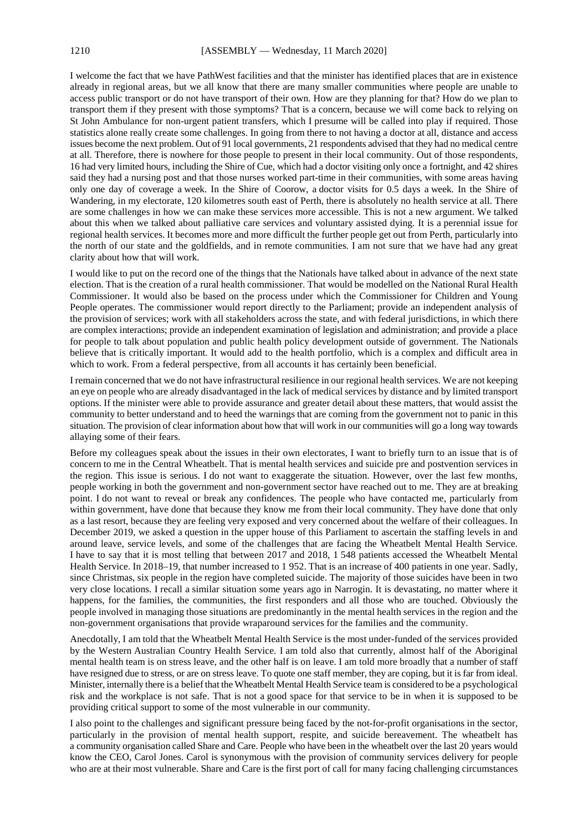I welcome the fact that we have PathWest facilities and that the minister has identified places that are in existence already in regional areas, but we all know that there are many smaller communities where people are unable to access public transport or do not have transport of their own. How are they planning for that? How do we plan to transport them if they present with those symptoms? That is a concern, because we will come back to relying on St John Ambulance for non-urgent patient transfers, which I presume will be called into play if required. Those statistics alone really create some challenges. In going from there to not having a doctor at all, distance and access issues become the next problem. Out of 91 local governments, 21 respondents advised that they had no medical centre at all. Therefore, there is nowhere for those people to present in their local community. Out of those respondents, 16 had very limited hours, including the Shire of Cue, which had a doctor visiting only once a fortnight, and 42 shires said they had a nursing post and that those nurses worked part-time in their communities, with some areas having only one day of coverage a week. In the Shire of Coorow, a doctor visits for 0.5 days a week. In the Shire of Wandering, in my electorate, 120 kilometres south east of Perth, there is absolutely no health service at all. There are some challenges in how we can make these services more accessible. This is not a new argument. We talked about this when we talked about palliative care services and voluntary assisted dying. It is a perennial issue for regional health services. It becomes more and more difficult the further people get out from Perth, particularly into the north of our state and the goldfields, and in remote communities. I am not sure that we have had any great clarity about how that will work.

I would like to put on the record one of the things that the Nationals have talked about in advance of the next state election. That is the creation of a rural health commissioner. That would be modelled on the National Rural Health Commissioner. It would also be based on the process under which the Commissioner for Children and Young People operates. The commissioner would report directly to the Parliament; provide an independent analysis of the provision of services; work with all stakeholders across the state, and with federal jurisdictions, in which there are complex interactions; provide an independent examination of legislation and administration; and provide a place for people to talk about population and public health policy development outside of government. The Nationals believe that is critically important. It would add to the health portfolio, which is a complex and difficult area in which to work. From a federal perspective, from all accounts it has certainly been beneficial.

I remain concerned that we do not have infrastructural resilience in our regional health services. We are not keeping an eye on people who are already disadvantaged in the lack of medical services by distance and by limited transport options. If the minister were able to provide assurance and greater detail about these matters, that would assist the community to better understand and to heed the warnings that are coming from the government not to panic in this situation. The provision of clear information about how that will work in our communities will go a long way towards allaying some of their fears.

Before my colleagues speak about the issues in their own electorates, I want to briefly turn to an issue that is of concern to me in the Central Wheatbelt. That is mental health services and suicide pre and postvention services in the region. This issue is serious. I do not want to exaggerate the situation. However, over the last few months, people working in both the government and non-government sector have reached out to me. They are at breaking point. I do not want to reveal or break any confidences. The people who have contacted me, particularly from within government, have done that because they know me from their local community. They have done that only as a last resort, because they are feeling very exposed and very concerned about the welfare of their colleagues. In December 2019, we asked a question in the upper house of this Parliament to ascertain the staffing levels in and around leave, service levels, and some of the challenges that are facing the Wheatbelt Mental Health Service. I have to say that it is most telling that between 2017 and 2018, 1 548 patients accessed the Wheatbelt Mental Health Service. In 2018–19, that number increased to 1952. That is an increase of 400 patients in one year. Sadly, since Christmas, six people in the region have completed suicide. The majority of those suicides have been in two very close locations. I recall a similar situation some years ago in Narrogin. It is devastating, no matter where it happens, for the families, the communities, the first responders and all those who are touched. Obviously the people involved in managing those situations are predominantly in the mental health services in the region and the non-government organisations that provide wraparound services for the families and the community.

Anecdotally, I am told that the Wheatbelt Mental Health Service is the most under-funded of the services provided by the Western Australian Country Health Service. I am told also that currently, almost half of the Aboriginal mental health team is on stress leave, and the other half is on leave. I am told more broadly that a number of staff have resigned due to stress, or are on stress leave. To quote one staff member, they are coping, but it is far from ideal. Minister, internally there is a belief that the Wheatbelt Mental Health Service team is considered to be a psychological risk and the workplace is not safe. That is not a good space for that service to be in when it is supposed to be providing critical support to some of the most vulnerable in our community.

I also point to the challenges and significant pressure being faced by the not-for-profit organisations in the sector, particularly in the provision of mental health support, respite, and suicide bereavement. The wheatbelt has a community organisation called Share and Care. People who have been in the wheatbelt over the last 20 years would know the CEO, Carol Jones. Carol is synonymous with the provision of community services delivery for people who are at their most vulnerable. Share and Care is the first port of call for many facing challenging circumstances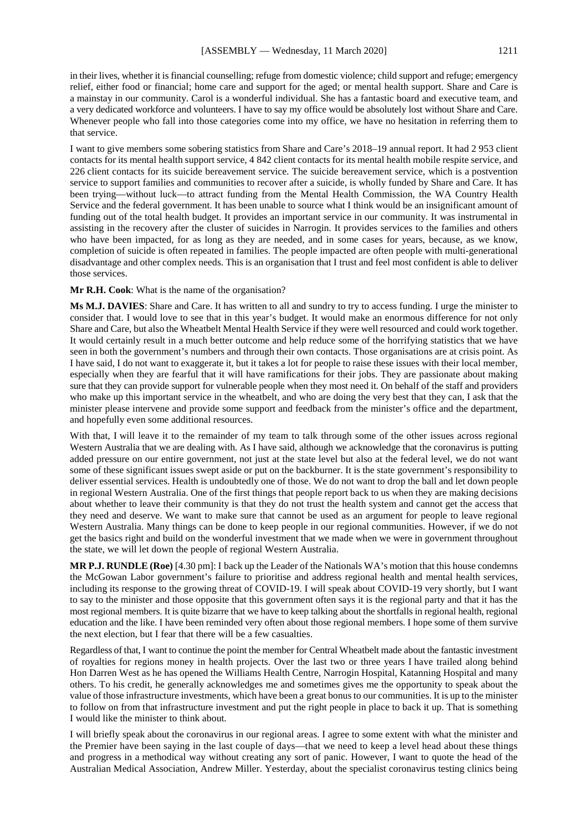in their lives, whether it is financial counselling; refuge from domestic violence; child support and refuge; emergency relief, either food or financial; home care and support for the aged; or mental health support. Share and Care is a mainstay in our community. Carol is a wonderful individual. She has a fantastic board and executive team, and a very dedicated workforce and volunteers. I have to say my office would be absolutely lost without Share and Care. Whenever people who fall into those categories come into my office, we have no hesitation in referring them to that service.

I want to give members some sobering statistics from Share and Care's 2018–19 annual report. It had 2 953 client contacts for its mental health support service, 4 842 client contacts for its mental health mobile respite service, and 226 client contacts for its suicide bereavement service. The suicide bereavement service, which is a postvention service to support families and communities to recover after a suicide, is wholly funded by Share and Care. It has been trying—without luck—to attract funding from the Mental Health Commission, the WA Country Health Service and the federal government. It has been unable to source what I think would be an insignificant amount of funding out of the total health budget. It provides an important service in our community. It was instrumental in assisting in the recovery after the cluster of suicides in Narrogin. It provides services to the families and others who have been impacted, for as long as they are needed, and in some cases for years, because, as we know, completion of suicide is often repeated in families. The people impacted are often people with multi-generational disadvantage and other complex needs. This is an organisation that I trust and feel most confident is able to deliver those services.

## **Mr R.H. Cook**: What is the name of the organisation?

**Ms M.J. DAVIES**: Share and Care. It has written to all and sundry to try to access funding. I urge the minister to consider that. I would love to see that in this year's budget. It would make an enormous difference for not only Share and Care, but also the Wheatbelt Mental Health Service if they were well resourced and could work together. It would certainly result in a much better outcome and help reduce some of the horrifying statistics that we have seen in both the government's numbers and through their own contacts. Those organisations are at crisis point. As I have said, I do not want to exaggerate it, but it takes a lot for people to raise these issues with their local member, especially when they are fearful that it will have ramifications for their jobs. They are passionate about making sure that they can provide support for vulnerable people when they most need it. On behalf of the staff and providers who make up this important service in the wheatbelt, and who are doing the very best that they can, I ask that the minister please intervene and provide some support and feedback from the minister's office and the department, and hopefully even some additional resources.

With that, I will leave it to the remainder of my team to talk through some of the other issues across regional Western Australia that we are dealing with. As I have said, although we acknowledge that the coronavirus is putting added pressure on our entire government, not just at the state level but also at the federal level, we do not want some of these significant issues swept aside or put on the backburner. It is the state government's responsibility to deliver essential services. Health is undoubtedly one of those. We do not want to drop the ball and let down people in regional Western Australia. One of the first things that people report back to us when they are making decisions about whether to leave their community is that they do not trust the health system and cannot get the access that they need and deserve. We want to make sure that cannot be used as an argument for people to leave regional Western Australia. Many things can be done to keep people in our regional communities. However, if we do not get the basics right and build on the wonderful investment that we made when we were in government throughout the state, we will let down the people of regional Western Australia.

**MR P.J. RUNDLE (Roe)** [4.30 pm]: I back up the Leader of the Nationals WA's motion that this house condemns the McGowan Labor government's failure to prioritise and address regional health and mental health services, including its response to the growing threat of COVID-19. I will speak about COVID-19 very shortly, but I want to say to the minister and those opposite that this government often says it is the regional party and that it has the most regional members. It is quite bizarre that we have to keep talking about the shortfalls in regional health, regional education and the like. I have been reminded very often about those regional members. I hope some of them survive the next election, but I fear that there will be a few casualties.

Regardless of that, I want to continue the point the member for Central Wheatbelt made about the fantastic investment of royalties for regions money in health projects. Over the last two or three years I have trailed along behind Hon Darren West as he has opened the Williams Health Centre, Narrogin Hospital, Katanning Hospital and many others. To his credit, he generally acknowledges me and sometimes gives me the opportunity to speak about the value of those infrastructure investments, which have been a great bonus to our communities. It is up to the minister to follow on from that infrastructure investment and put the right people in place to back it up. That is something I would like the minister to think about.

I will briefly speak about the coronavirus in our regional areas. I agree to some extent with what the minister and the Premier have been saying in the last couple of days—that we need to keep a level head about these things and progress in a methodical way without creating any sort of panic. However, I want to quote the head of the Australian Medical Association, Andrew Miller. Yesterday, about the specialist coronavirus testing clinics being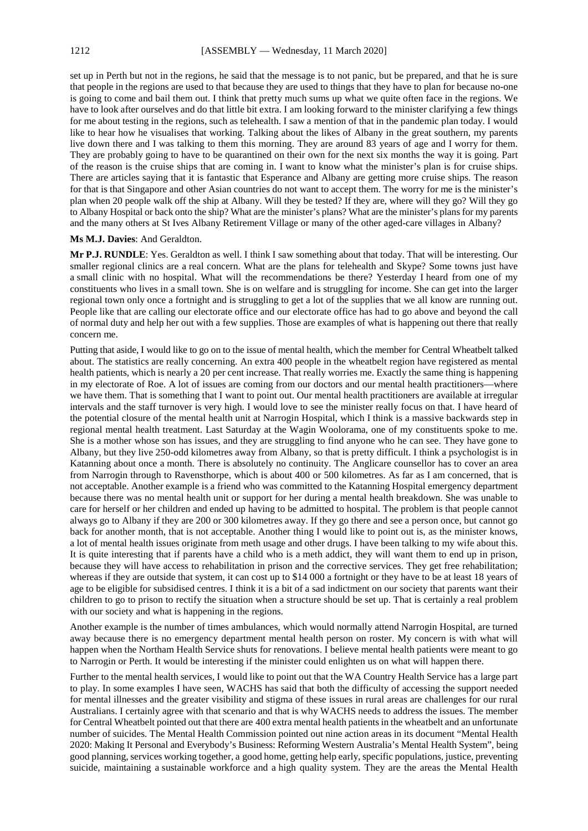set up in Perth but not in the regions, he said that the message is to not panic, but be prepared, and that he is sure that people in the regions are used to that because they are used to things that they have to plan for because no-one is going to come and bail them out. I think that pretty much sums up what we quite often face in the regions. We have to look after ourselves and do that little bit extra. I am looking forward to the minister clarifying a few things for me about testing in the regions, such as telehealth. I saw a mention of that in the pandemic plan today. I would like to hear how he visualises that working. Talking about the likes of Albany in the great southern, my parents live down there and I was talking to them this morning. They are around 83 years of age and I worry for them. They are probably going to have to be quarantined on their own for the next six months the way it is going. Part of the reason is the cruise ships that are coming in. I want to know what the minister's plan is for cruise ships. There are articles saying that it is fantastic that Esperance and Albany are getting more cruise ships. The reason for that is that Singapore and other Asian countries do not want to accept them. The worry for me is the minister's plan when 20 people walk off the ship at Albany. Will they be tested? If they are, where will they go? Will they go to Albany Hospital or back onto the ship? What are the minister's plans? What are the minister's plans for my parents and the many others at St Ives Albany Retirement Village or many of the other aged-care villages in Albany?

#### **Ms M.J. Davies**: And Geraldton.

**Mr P.J. RUNDLE**: Yes. Geraldton as well. I think I saw something about that today. That will be interesting. Our smaller regional clinics are a real concern. What are the plans for telehealth and Skype? Some towns just have a small clinic with no hospital. What will the recommendations be there? Yesterday I heard from one of my constituents who lives in a small town. She is on welfare and is struggling for income. She can get into the larger regional town only once a fortnight and is struggling to get a lot of the supplies that we all know are running out. People like that are calling our electorate office and our electorate office has had to go above and beyond the call of normal duty and help her out with a few supplies. Those are examples of what is happening out there that really concern me.

Putting that aside, I would like to go on to the issue of mental health, which the member for Central Wheatbelt talked about. The statistics are really concerning. An extra 400 people in the wheatbelt region have registered as mental health patients, which is nearly a 20 per cent increase. That really worries me. Exactly the same thing is happening in my electorate of Roe. A lot of issues are coming from our doctors and our mental health practitioners—where we have them. That is something that I want to point out. Our mental health practitioners are available at irregular intervals and the staff turnover is very high. I would love to see the minister really focus on that. I have heard of the potential closure of the mental health unit at Narrogin Hospital, which I think is a massive backwards step in regional mental health treatment. Last Saturday at the Wagin Woolorama, one of my constituents spoke to me. She is a mother whose son has issues, and they are struggling to find anyone who he can see. They have gone to Albany, but they live 250-odd kilometres away from Albany, so that is pretty difficult. I think a psychologist is in Katanning about once a month. There is absolutely no continuity. The Anglicare counsellor has to cover an area from Narrogin through to Ravensthorpe, which is about 400 or 500 kilometres. As far as I am concerned, that is not acceptable. Another example is a friend who was committed to the Katanning Hospital emergency department because there was no mental health unit or support for her during a mental health breakdown. She was unable to care for herself or her children and ended up having to be admitted to hospital. The problem is that people cannot always go to Albany if they are 200 or 300 kilometres away. If they go there and see a person once, but cannot go back for another month, that is not acceptable. Another thing I would like to point out is, as the minister knows, a lot of mental health issues originate from meth usage and other drugs. I have been talking to my wife about this. It is quite interesting that if parents have a child who is a meth addict, they will want them to end up in prison, because they will have access to rehabilitation in prison and the corrective services. They get free rehabilitation; whereas if they are outside that system, it can cost up to \$14 000 a fortnight or they have to be at least 18 years of age to be eligible for subsidised centres. I think it is a bit of a sad indictment on our society that parents want their children to go to prison to rectify the situation when a structure should be set up. That is certainly a real problem with our society and what is happening in the regions.

Another example is the number of times ambulances, which would normally attend Narrogin Hospital, are turned away because there is no emergency department mental health person on roster. My concern is with what will happen when the Northam Health Service shuts for renovations. I believe mental health patients were meant to go to Narrogin or Perth. It would be interesting if the minister could enlighten us on what will happen there.

Further to the mental health services, I would like to point out that the WA Country Health Service has a large part to play. In some examples I have seen, WACHS has said that both the difficulty of accessing the support needed for mental illnesses and the greater visibility and stigma of these issues in rural areas are challenges for our rural Australians. I certainly agree with that scenario and that is why WACHS needs to address the issues. The member for Central Wheatbelt pointed out that there are 400 extra mental health patients in the wheatbelt and an unfortunate number of suicides. The Mental Health Commission pointed out nine action areas in its document "Mental Health 2020: Making It Personal and Everybody's Business: Reforming Western Australia's Mental Health System", being good planning, services working together, a good home, getting help early, specific populations, justice, preventing suicide, maintaining a sustainable workforce and a high quality system. They are the areas the Mental Health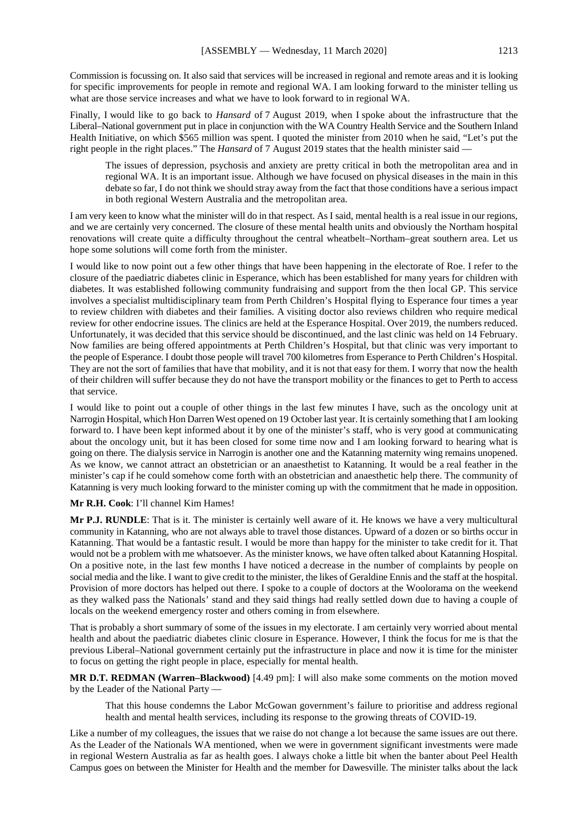Commission is focussing on. It also said that services will be increased in regional and remote areas and it is looking for specific improvements for people in remote and regional WA. I am looking forward to the minister telling us what are those service increases and what we have to look forward to in regional WA.

Finally, I would like to go back to *Hansard* of 7 August 2019, when I spoke about the infrastructure that the Liberal–National government put in place in conjunction with the WA Country Health Service and the Southern Inland Health Initiative, on which \$565 million was spent. I quoted the minister from 2010 when he said, "Let's put the right people in the right places." The *Hansard* of 7 August 2019 states that the health minister said —

The issues of depression, psychosis and anxiety are pretty critical in both the metropolitan area and in regional WA. It is an important issue. Although we have focused on physical diseases in the main in this debate so far, I do not think we should stray away from the fact that those conditions have a serious impact in both regional Western Australia and the metropolitan area.

I am very keen to know what the minister will do in that respect. As I said, mental health is a real issue in our regions, and we are certainly very concerned. The closure of these mental health units and obviously the Northam hospital renovations will create quite a difficulty throughout the central wheatbelt–Northam–great southern area. Let us hope some solutions will come forth from the minister.

I would like to now point out a few other things that have been happening in the electorate of Roe. I refer to the closure of the paediatric diabetes clinic in Esperance, which has been established for many years for children with diabetes. It was established following community fundraising and support from the then local GP. This service involves a specialist multidisciplinary team from Perth Children's Hospital flying to Esperance four times a year to review children with diabetes and their families. A visiting doctor also reviews children who require medical review for other endocrine issues. The clinics are held at the Esperance Hospital. Over 2019, the numbers reduced. Unfortunately, it was decided that this service should be discontinued, and the last clinic was held on 14 February. Now families are being offered appointments at Perth Children's Hospital, but that clinic was very important to the people of Esperance. I doubt those people will travel 700 kilometres from Esperance to Perth Children's Hospital. They are not the sort of families that have that mobility, and it is not that easy for them. I worry that now the health of their children will suffer because they do not have the transport mobility or the finances to get to Perth to access that service.

I would like to point out a couple of other things in the last few minutes I have, such as the oncology unit at Narrogin Hospital, which Hon Darren West opened on 19 October last year. It is certainly something that I am looking forward to. I have been kept informed about it by one of the minister's staff, who is very good at communicating about the oncology unit, but it has been closed for some time now and I am looking forward to hearing what is going on there. The dialysis service in Narrogin is another one and the Katanning maternity wing remains unopened. As we know, we cannot attract an obstetrician or an anaesthetist to Katanning. It would be a real feather in the minister's cap if he could somehow come forth with an obstetrician and anaesthetic help there. The community of Katanning is very much looking forward to the minister coming up with the commitment that he made in opposition.

### **Mr R.H. Cook**: I'll channel Kim Hames!

**Mr P.J. RUNDLE**: That is it. The minister is certainly well aware of it. He knows we have a very multicultural community in Katanning, who are not always able to travel those distances. Upward of a dozen or so births occur in Katanning. That would be a fantastic result. I would be more than happy for the minister to take credit for it. That would not be a problem with me whatsoever. As the minister knows, we have often talked about Katanning Hospital. On a positive note, in the last few months I have noticed a decrease in the number of complaints by people on social media and the like. I want to give credit to the minister, the likes of Geraldine Ennis and the staff at the hospital. Provision of more doctors has helped out there. I spoke to a couple of doctors at the Woolorama on the weekend as they walked pass the Nationals' stand and they said things had really settled down due to having a couple of locals on the weekend emergency roster and others coming in from elsewhere.

That is probably a short summary of some of the issues in my electorate. I am certainly very worried about mental health and about the paediatric diabetes clinic closure in Esperance. However, I think the focus for me is that the previous Liberal–National government certainly put the infrastructure in place and now it is time for the minister to focus on getting the right people in place, especially for mental health.

**MR D.T. REDMAN (Warren–Blackwood)** [4.49 pm]: I will also make some comments on the motion moved by the Leader of the National Party —

That this house condemns the Labor McGowan government's failure to prioritise and address regional health and mental health services, including its response to the growing threats of COVID-19.

Like a number of my colleagues, the issues that we raise do not change a lot because the same issues are out there. As the Leader of the Nationals WA mentioned, when we were in government significant investments were made in regional Western Australia as far as health goes. I always choke a little bit when the banter about Peel Health Campus goes on between the Minister for Health and the member for Dawesville. The minister talks about the lack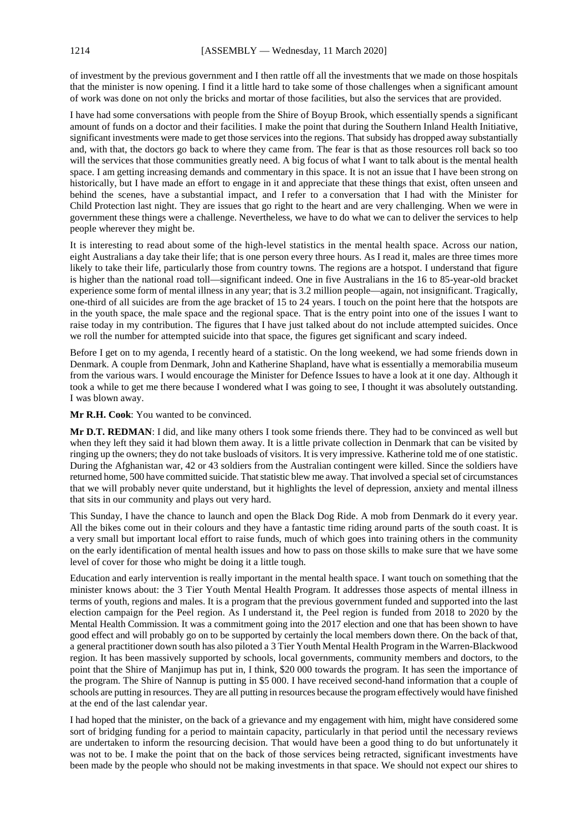of investment by the previous government and I then rattle off all the investments that we made on those hospitals that the minister is now opening. I find it a little hard to take some of those challenges when a significant amount of work was done on not only the bricks and mortar of those facilities, but also the services that are provided.

I have had some conversations with people from the Shire of Boyup Brook, which essentially spends a significant amount of funds on a doctor and their facilities. I make the point that during the Southern Inland Health Initiative, significant investments were made to get those services into the regions. That subsidy has dropped away substantially and, with that, the doctors go back to where they came from. The fear is that as those resources roll back so too will the services that those communities greatly need. A big focus of what I want to talk about is the mental health space. I am getting increasing demands and commentary in this space. It is not an issue that I have been strong on historically, but I have made an effort to engage in it and appreciate that these things that exist, often unseen and behind the scenes, have a substantial impact, and I refer to a conversation that I had with the Minister for Child Protection last night. They are issues that go right to the heart and are very challenging. When we were in government these things were a challenge. Nevertheless, we have to do what we can to deliver the services to help people wherever they might be.

It is interesting to read about some of the high-level statistics in the mental health space. Across our nation, eight Australians a day take their life; that is one person every three hours. As I read it, males are three times more likely to take their life, particularly those from country towns. The regions are a hotspot. I understand that figure is higher than the national road toll—significant indeed. One in five Australians in the 16 to 85-year-old bracket experience some form of mental illness in any year; that is 3.2 million people—again, not insignificant. Tragically, one-third of all suicides are from the age bracket of 15 to 24 years. I touch on the point here that the hotspots are in the youth space, the male space and the regional space. That is the entry point into one of the issues I want to raise today in my contribution. The figures that I have just talked about do not include attempted suicides. Once we roll the number for attempted suicide into that space, the figures get significant and scary indeed.

Before I get on to my agenda, I recently heard of a statistic. On the long weekend, we had some friends down in Denmark. A couple from Denmark, John and Katherine Shapland, have what is essentially a memorabilia museum from the various wars. I would encourage the Minister for Defence Issues to have a look at it one day. Although it took a while to get me there because I wondered what I was going to see, I thought it was absolutely outstanding. I was blown away.

#### **Mr R.H. Cook**: You wanted to be convinced.

**Mr D.T. REDMAN**: I did, and like many others I took some friends there. They had to be convinced as well but when they left they said it had blown them away. It is a little private collection in Denmark that can be visited by ringing up the owners; they do not take busloads of visitors. It is very impressive. Katherine told me of one statistic. During the Afghanistan war, 42 or 43 soldiers from the Australian contingent were killed. Since the soldiers have returned home, 500 have committed suicide. That statistic blew me away. That involved a special set of circumstances that we will probably never quite understand, but it highlights the level of depression, anxiety and mental illness that sits in our community and plays out very hard.

This Sunday, I have the chance to launch and open the Black Dog Ride. A mob from Denmark do it every year. All the bikes come out in their colours and they have a fantastic time riding around parts of the south coast. It is a very small but important local effort to raise funds, much of which goes into training others in the community on the early identification of mental health issues and how to pass on those skills to make sure that we have some level of cover for those who might be doing it a little tough.

Education and early intervention is really important in the mental health space. I want touch on something that the minister knows about: the 3 Tier Youth Mental Health Program. It addresses those aspects of mental illness in terms of youth, regions and males. It is a program that the previous government funded and supported into the last election campaign for the Peel region. As I understand it, the Peel region is funded from 2018 to 2020 by the Mental Health Commission. It was a commitment going into the 2017 election and one that has been shown to have good effect and will probably go on to be supported by certainly the local members down there. On the back of that, a general practitioner down south has also piloted a 3 Tier Youth Mental Health Program in the Warren-Blackwood region. It has been massively supported by schools, local governments, community members and doctors, to the point that the Shire of Manjimup has put in, I think, \$20 000 towards the program. It has seen the importance of the program. The Shire of Nannup is putting in \$5 000. I have received second-hand information that a couple of schools are putting in resources. They are all putting in resources because the program effectively would have finished at the end of the last calendar year.

I had hoped that the minister, on the back of a grievance and my engagement with him, might have considered some sort of bridging funding for a period to maintain capacity, particularly in that period until the necessary reviews are undertaken to inform the resourcing decision. That would have been a good thing to do but unfortunately it was not to be. I make the point that on the back of those services being retracted, significant investments have been made by the people who should not be making investments in that space. We should not expect our shires to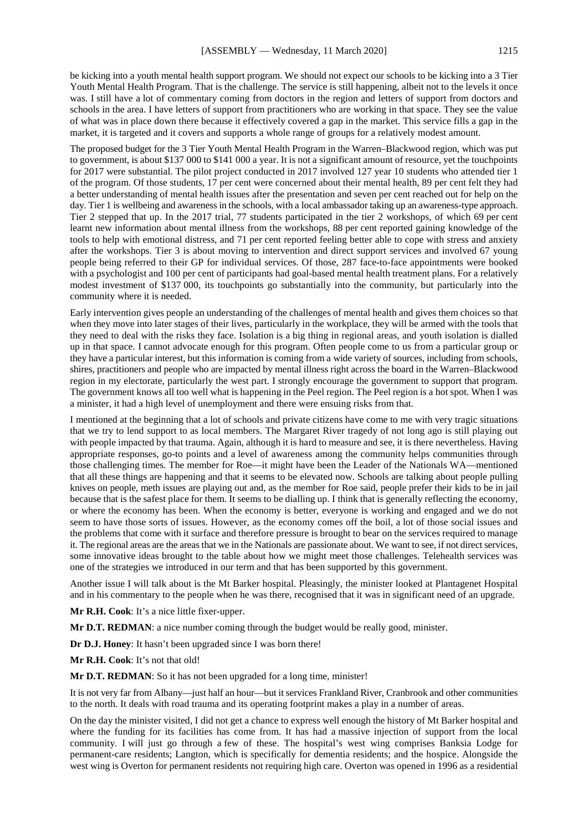be kicking into a youth mental health support program. We should not expect our schools to be kicking into a 3 Tier Youth Mental Health Program. That is the challenge. The service is still happening, albeit not to the levels it once was. I still have a lot of commentary coming from doctors in the region and letters of support from doctors and schools in the area. I have letters of support from practitioners who are working in that space. They see the value of what was in place down there because it effectively covered a gap in the market. This service fills a gap in the market, it is targeted and it covers and supports a whole range of groups for a relatively modest amount.

The proposed budget for the 3 Tier Youth Mental Health Program in the Warren–Blackwood region, which was put to government, is about \$137 000 to \$141 000 a year. It is not a significant amount of resource, yet the touchpoints for 2017 were substantial. The pilot project conducted in 2017 involved 127 year 10 students who attended tier 1 of the program. Of those students, 17 per cent were concerned about their mental health, 89 per cent felt they had a better understanding of mental health issues after the presentation and seven per cent reached out for help on the day. Tier 1 is wellbeing and awareness in the schools, with a local ambassador taking up an awareness-type approach. Tier 2 stepped that up. In the 2017 trial, 77 students participated in the tier 2 workshops, of which 69 per cent learnt new information about mental illness from the workshops, 88 per cent reported gaining knowledge of the tools to help with emotional distress, and 71 per cent reported feeling better able to cope with stress and anxiety after the workshops. Tier 3 is about moving to intervention and direct support services and involved 67 young people being referred to their GP for individual services. Of those, 287 face-to-face appointments were booked with a psychologist and 100 per cent of participants had goal-based mental health treatment plans. For a relatively modest investment of \$137 000, its touchpoints go substantially into the community, but particularly into the community where it is needed.

Early intervention gives people an understanding of the challenges of mental health and gives them choices so that when they move into later stages of their lives, particularly in the workplace, they will be armed with the tools that they need to deal with the risks they face. Isolation is a big thing in regional areas, and youth isolation is dialled up in that space. I cannot advocate enough for this program. Often people come to us from a particular group or they have a particular interest, but this information is coming from a wide variety of sources, including from schools, shires, practitioners and people who are impacted by mental illness right across the board in the Warren–Blackwood region in my electorate, particularly the west part. I strongly encourage the government to support that program. The government knows all too well what is happening in the Peel region. The Peel region is a hot spot. When I was a minister, it had a high level of unemployment and there were ensuing risks from that.

I mentioned at the beginning that a lot of schools and private citizens have come to me with very tragic situations that we try to lend support to as local members. The Margaret River tragedy of not long ago is still playing out with people impacted by that trauma. Again, although it is hard to measure and see, it is there nevertheless. Having appropriate responses, go-to points and a level of awareness among the community helps communities through those challenging times. The member for Roe—it might have been the Leader of the Nationals WA—mentioned that all these things are happening and that it seems to be elevated now. Schools are talking about people pulling knives on people, meth issues are playing out and, as the member for Roe said, people prefer their kids to be in jail because that is the safest place for them. It seems to be dialling up. I think that is generally reflecting the economy, or where the economy has been. When the economy is better, everyone is working and engaged and we do not seem to have those sorts of issues. However, as the economy comes off the boil, a lot of those social issues and the problems that come with it surface and therefore pressure is brought to bear on the services required to manage it. The regional areas are the areas that we in the Nationals are passionate about. We want to see, if not direct services, some innovative ideas brought to the table about how we might meet those challenges. Telehealth services was one of the strategies we introduced in our term and that has been supported by this government.

Another issue I will talk about is the Mt Barker hospital. Pleasingly, the minister looked at Plantagenet Hospital and in his commentary to the people when he was there, recognised that it was in significant need of an upgrade.

**Mr R.H. Cook**: It's a nice little fixer-upper.

**Mr D.T. REDMAN**: a nice number coming through the budget would be really good, minister.

**Dr D.J. Honey**: It hasn't been upgraded since I was born there!

**Mr R.H. Cook**: It's not that old!

**Mr D.T. REDMAN**: So it has not been upgraded for a long time, minister!

It is not very far from Albany—just half an hour—but it services Frankland River, Cranbrook and other communities to the north. It deals with road trauma and its operating footprint makes a play in a number of areas.

On the day the minister visited, I did not get a chance to express well enough the history of Mt Barker hospital and where the funding for its facilities has come from. It has had a massive injection of support from the local community. I will just go through a few of these. The hospital's west wing comprises Banksia Lodge for permanent-care residents; Langton, which is specifically for dementia residents; and the hospice. Alongside the west wing is Overton for permanent residents not requiring high care. Overton was opened in 1996 as a residential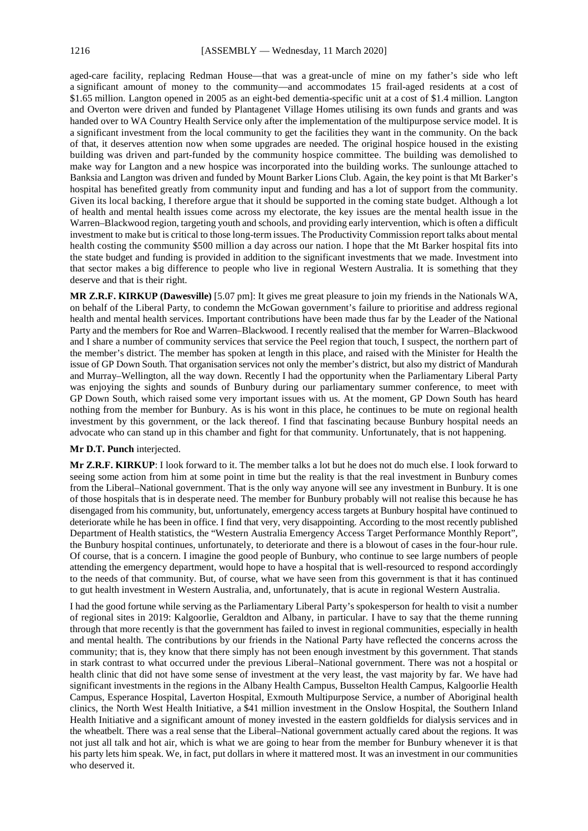aged-care facility, replacing Redman House—that was a great-uncle of mine on my father's side who left a significant amount of money to the community—and accommodates 15 frail-aged residents at a cost of \$1.65 million. Langton opened in 2005 as an eight-bed dementia-specific unit at a cost of \$1.4 million. Langton and Overton were driven and funded by Plantagenet Village Homes utilising its own funds and grants and was handed over to WA Country Health Service only after the implementation of the multipurpose service model. It is a significant investment from the local community to get the facilities they want in the community. On the back of that, it deserves attention now when some upgrades are needed. The original hospice housed in the existing building was driven and part-funded by the community hospice committee. The building was demolished to make way for Langton and a new hospice was incorporated into the building works. The sunlounge attached to Banksia and Langton was driven and funded by Mount Barker Lions Club. Again, the key point is that Mt Barker's hospital has benefited greatly from community input and funding and has a lot of support from the community. Given its local backing, I therefore argue that it should be supported in the coming state budget. Although a lot of health and mental health issues come across my electorate, the key issues are the mental health issue in the Warren–Blackwood region, targeting youth and schools, and providing early intervention, which is often a difficult investment to make but is critical to those long-term issues. The Productivity Commission report talks about mental health costing the community \$500 million a day across our nation. I hope that the Mt Barker hospital fits into the state budget and funding is provided in addition to the significant investments that we made. Investment into that sector makes a big difference to people who live in regional Western Australia. It is something that they deserve and that is their right.

**MR Z.R.F. KIRKUP (Dawesville)** [5.07 pm]: It gives me great pleasure to join my friends in the Nationals WA, on behalf of the Liberal Party, to condemn the McGowan government's failure to prioritise and address regional health and mental health services. Important contributions have been made thus far by the Leader of the National Party and the members for Roe and Warren–Blackwood. I recently realised that the member for Warren–Blackwood and I share a number of community services that service the Peel region that touch, I suspect, the northern part of the member's district. The member has spoken at length in this place, and raised with the Minister for Health the issue of GP Down South. That organisation services not only the member's district, but also my district of Mandurah and Murray–Wellington, all the way down. Recently I had the opportunity when the Parliamentary Liberal Party was enjoying the sights and sounds of Bunbury during our parliamentary summer conference, to meet with GP Down South, which raised some very important issues with us. At the moment, GP Down South has heard nothing from the member for Bunbury. As is his wont in this place, he continues to be mute on regional health investment by this government, or the lack thereof. I find that fascinating because Bunbury hospital needs an advocate who can stand up in this chamber and fight for that community. Unfortunately, that is not happening.

# **Mr D.T. Punch** interjected.

**Mr Z.R.F. KIRKUP**: I look forward to it. The member talks a lot but he does not do much else. I look forward to seeing some action from him at some point in time but the reality is that the real investment in Bunbury comes from the Liberal–National government. That is the only way anyone will see any investment in Bunbury. It is one of those hospitals that is in desperate need. The member for Bunbury probably will not realise this because he has disengaged from his community, but, unfortunately, emergency access targets at Bunbury hospital have continued to deteriorate while he has been in office. I find that very, very disappointing. According to the most recently published Department of Health statistics, the "Western Australia Emergency Access Target Performance Monthly Report", the Bunbury hospital continues, unfortunately, to deteriorate and there is a blowout of cases in the four-hour rule. Of course, that is a concern. I imagine the good people of Bunbury, who continue to see large numbers of people attending the emergency department, would hope to have a hospital that is well-resourced to respond accordingly to the needs of that community. But, of course, what we have seen from this government is that it has continued to gut health investment in Western Australia, and, unfortunately, that is acute in regional Western Australia.

I had the good fortune while serving as the Parliamentary Liberal Party's spokesperson for health to visit a number of regional sites in 2019: Kalgoorlie, Geraldton and Albany, in particular. I have to say that the theme running through that more recently is that the government has failed to invest in regional communities, especially in health and mental health. The contributions by our friends in the National Party have reflected the concerns across the community; that is, they know that there simply has not been enough investment by this government. That stands in stark contrast to what occurred under the previous Liberal–National government. There was not a hospital or health clinic that did not have some sense of investment at the very least, the vast majority by far. We have had significant investments in the regions in the Albany Health Campus, Busselton Health Campus, Kalgoorlie Health Campus, Esperance Hospital, Laverton Hospital, Exmouth Multipurpose Service, a number of Aboriginal health clinics, the North West Health Initiative, a \$41 million investment in the Onslow Hospital, the Southern Inland Health Initiative and a significant amount of money invested in the eastern goldfields for dialysis services and in the wheatbelt. There was a real sense that the Liberal–National government actually cared about the regions. It was not just all talk and hot air, which is what we are going to hear from the member for Bunbury whenever it is that his party lets him speak. We, in fact, put dollars in where it mattered most. It was an investment in our communities who deserved it.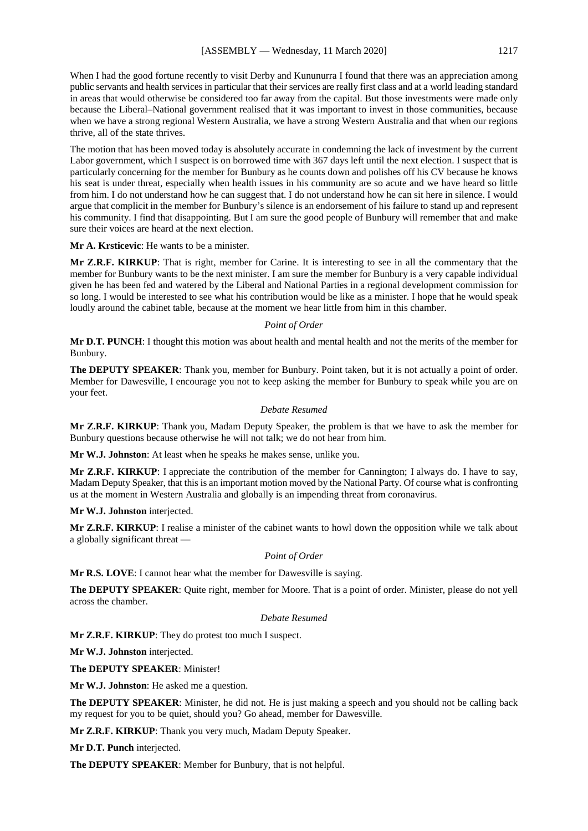When I had the good fortune recently to visit Derby and Kununurra I found that there was an appreciation among public servants and health services in particular that their services are really first class and at a world leading standard in areas that would otherwise be considered too far away from the capital. But those investments were made only because the Liberal–National government realised that it was important to invest in those communities, because when we have a strong regional Western Australia, we have a strong Western Australia and that when our regions thrive, all of the state thrives.

The motion that has been moved today is absolutely accurate in condemning the lack of investment by the current Labor government, which I suspect is on borrowed time with 367 days left until the next election. I suspect that is particularly concerning for the member for Bunbury as he counts down and polishes off his CV because he knows his seat is under threat, especially when health issues in his community are so acute and we have heard so little from him. I do not understand how he can suggest that. I do not understand how he can sit here in silence. I would argue that complicit in the member for Bunbury's silence is an endorsement of his failure to stand up and represent his community. I find that disappointing. But I am sure the good people of Bunbury will remember that and make sure their voices are heard at the next election.

**Mr A. Krsticevic**: He wants to be a minister.

**Mr Z.R.F. KIRKUP**: That is right, member for Carine. It is interesting to see in all the commentary that the member for Bunbury wants to be the next minister. I am sure the member for Bunbury is a very capable individual given he has been fed and watered by the Liberal and National Parties in a regional development commission for so long. I would be interested to see what his contribution would be like as a minister. I hope that he would speak loudly around the cabinet table, because at the moment we hear little from him in this chamber.

#### *Point of Order*

**Mr D.T. PUNCH**: I thought this motion was about health and mental health and not the merits of the member for Bunbury.

**The DEPUTY SPEAKER**: Thank you, member for Bunbury. Point taken, but it is not actually a point of order. Member for Dawesville, I encourage you not to keep asking the member for Bunbury to speak while you are on your feet.

### *Debate Resumed*

**Mr Z.R.F. KIRKUP**: Thank you, Madam Deputy Speaker, the problem is that we have to ask the member for Bunbury questions because otherwise he will not talk; we do not hear from him.

**Mr W.J. Johnston**: At least when he speaks he makes sense, unlike you.

**Mr Z.R.F. KIRKUP**: I appreciate the contribution of the member for Cannington; I always do. I have to say, Madam Deputy Speaker, that this is an important motion moved by the National Party. Of course what is confronting us at the moment in Western Australia and globally is an impending threat from coronavirus.

**Mr W.J. Johnston** interjected.

**Mr Z.R.F. KIRKUP**: I realise a minister of the cabinet wants to howl down the opposition while we talk about a globally significant threat —

#### *Point of Order*

**Mr R.S. LOVE**: I cannot hear what the member for Dawesville is saying.

**The DEPUTY SPEAKER**: Quite right, member for Moore. That is a point of order. Minister, please do not yell across the chamber.

#### *Debate Resumed*

**Mr Z.R.F. KIRKUP**: They do protest too much I suspect.

**Mr W.J. Johnston** interjected.

**The DEPUTY SPEAKER**: Minister!

**Mr W.J. Johnston**: He asked me a question.

**The DEPUTY SPEAKER**: Minister, he did not. He is just making a speech and you should not be calling back my request for you to be quiet, should you? Go ahead, member for Dawesville.

**Mr Z.R.F. KIRKUP**: Thank you very much, Madam Deputy Speaker.

**Mr D.T. Punch** interjected.

**The DEPUTY SPEAKER**: Member for Bunbury, that is not helpful.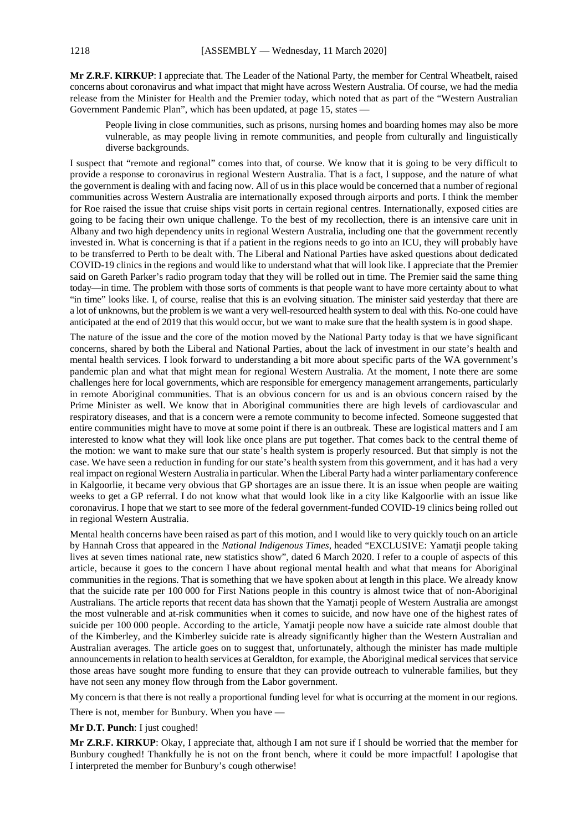**Mr Z.R.F. KIRKUP**: I appreciate that. The Leader of the National Party, the member for Central Wheatbelt, raised concerns about coronavirus and what impact that might have across Western Australia. Of course, we had the media release from the Minister for Health and the Premier today, which noted that as part of the "Western Australian Government Pandemic Plan", which has been updated, at page 15, states -

People living in close communities, such as prisons, nursing homes and boarding homes may also be more vulnerable, as may people living in remote communities, and people from culturally and linguistically diverse backgrounds.

I suspect that "remote and regional" comes into that, of course. We know that it is going to be very difficult to provide a response to coronavirus in regional Western Australia. That is a fact, I suppose, and the nature of what the government is dealing with and facing now. All of us in this place would be concerned that a number of regional communities across Western Australia are internationally exposed through airports and ports. I think the member for Roe raised the issue that cruise ships visit ports in certain regional centres. Internationally, exposed cities are going to be facing their own unique challenge. To the best of my recollection, there is an intensive care unit in Albany and two high dependency units in regional Western Australia, including one that the government recently invested in. What is concerning is that if a patient in the regions needs to go into an ICU, they will probably have to be transferred to Perth to be dealt with. The Liberal and National Parties have asked questions about dedicated COVID-19 clinics in the regions and would like to understand what that will look like. I appreciate that the Premier said on Gareth Parker's radio program today that they will be rolled out in time. The Premier said the same thing today—in time. The problem with those sorts of comments is that people want to have more certainty about to what "in time" looks like. I, of course, realise that this is an evolving situation. The minister said yesterday that there are a lot of unknowns, but the problem is we want a very well-resourced health system to deal with this. No-one could have anticipated at the end of 2019 that this would occur, but we want to make sure that the health system is in good shape.

The nature of the issue and the core of the motion moved by the National Party today is that we have significant concerns, shared by both the Liberal and National Parties, about the lack of investment in our state's health and mental health services. I look forward to understanding a bit more about specific parts of the WA government's pandemic plan and what that might mean for regional Western Australia. At the moment, I note there are some challenges here for local governments, which are responsible for emergency management arrangements, particularly in remote Aboriginal communities. That is an obvious concern for us and is an obvious concern raised by the Prime Minister as well. We know that in Aboriginal communities there are high levels of cardiovascular and respiratory diseases, and that is a concern were a remote community to become infected. Someone suggested that entire communities might have to move at some point if there is an outbreak. These are logistical matters and I am interested to know what they will look like once plans are put together. That comes back to the central theme of the motion: we want to make sure that our state's health system is properly resourced. But that simply is not the case. We have seen a reduction in funding for our state's health system from this government, and it has had a very real impact on regional Western Australia in particular. When the Liberal Party had a winter parliamentary conference in Kalgoorlie, it became very obvious that GP shortages are an issue there. It is an issue when people are waiting weeks to get a GP referral. I do not know what that would look like in a city like Kalgoorlie with an issue like coronavirus. I hope that we start to see more of the federal government-funded COVID-19 clinics being rolled out in regional Western Australia.

Mental health concerns have been raised as part of this motion, and I would like to very quickly touch on an article by Hannah Cross that appeared in the *National Indigenous Times*, headed "EXCLUSIVE: Yamatji people taking lives at seven times national rate, new statistics show", dated 6 March 2020. I refer to a couple of aspects of this article, because it goes to the concern I have about regional mental health and what that means for Aboriginal communities in the regions. That is something that we have spoken about at length in this place. We already know that the suicide rate per 100 000 for First Nations people in this country is almost twice that of non-Aboriginal Australians. The article reports that recent data has shown that the Yamatji people of Western Australia are amongst the most vulnerable and at-risk communities when it comes to suicide, and now have one of the highest rates of suicide per 100 000 people. According to the article, Yamatji people now have a suicide rate almost double that of the Kimberley, and the Kimberley suicide rate is already significantly higher than the Western Australian and Australian averages. The article goes on to suggest that, unfortunately, although the minister has made multiple announcements in relation to health services at Geraldton, for example, the Aboriginal medical services that service those areas have sought more funding to ensure that they can provide outreach to vulnerable families, but they have not seen any money flow through from the Labor government.

My concern is that there is not really a proportional funding level for what is occurring at the moment in our regions.

There is not, member for Bunbury. When you have —

### **Mr D.T. Punch**: I just coughed!

**Mr Z.R.F. KIRKUP**: Okay, I appreciate that, although I am not sure if I should be worried that the member for Bunbury coughed! Thankfully he is not on the front bench, where it could be more impactful! I apologise that I interpreted the member for Bunbury's cough otherwise!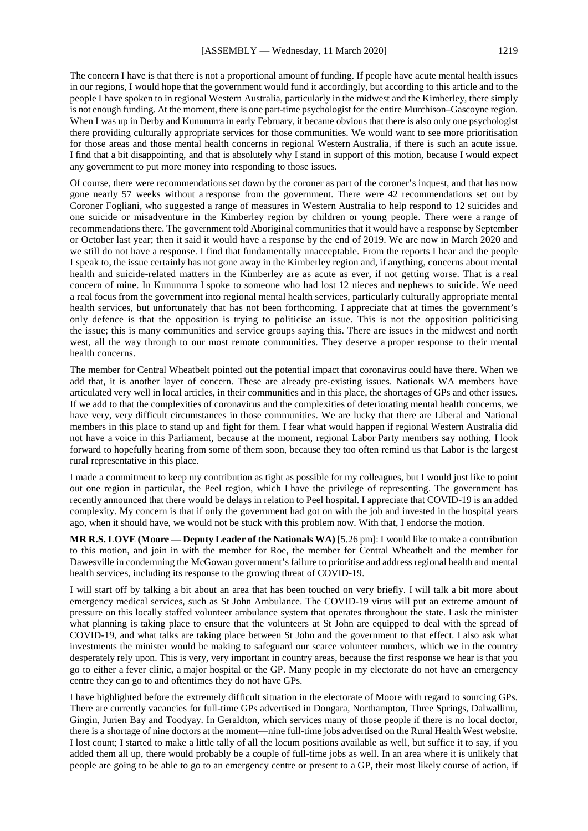The concern I have is that there is not a proportional amount of funding. If people have acute mental health issues in our regions, I would hope that the government would fund it accordingly, but according to this article and to the people I have spoken to in regional Western Australia, particularly in the midwest and the Kimberley, there simply is not enough funding. At the moment, there is one part-time psychologist for the entire Murchison–Gascoyne region. When I was up in Derby and Kununurra in early February, it became obvious that there is also only one psychologist there providing culturally appropriate services for those communities. We would want to see more prioritisation for those areas and those mental health concerns in regional Western Australia, if there is such an acute issue. I find that a bit disappointing, and that is absolutely why I stand in support of this motion, because I would expect any government to put more money into responding to those issues.

Of course, there were recommendations set down by the coroner as part of the coroner's inquest, and that has now gone nearly 57 weeks without a response from the government. There were 42 recommendations set out by Coroner Fogliani, who suggested a range of measures in Western Australia to help respond to 12 suicides and one suicide or misadventure in the Kimberley region by children or young people. There were a range of recommendations there. The government told Aboriginal communities that it would have a response by September or October last year; then it said it would have a response by the end of 2019. We are now in March 2020 and we still do not have a response. I find that fundamentally unacceptable. From the reports I hear and the people I speak to, the issue certainly has not gone away in the Kimberley region and, if anything, concerns about mental health and suicide-related matters in the Kimberley are as acute as ever, if not getting worse. That is a real concern of mine. In Kununurra I spoke to someone who had lost 12 nieces and nephews to suicide. We need a real focus from the government into regional mental health services, particularly culturally appropriate mental health services, but unfortunately that has not been forthcoming. I appreciate that at times the government's only defence is that the opposition is trying to politicise an issue. This is not the opposition politicising the issue; this is many communities and service groups saying this. There are issues in the midwest and north west, all the way through to our most remote communities. They deserve a proper response to their mental health concerns.

The member for Central Wheatbelt pointed out the potential impact that coronavirus could have there. When we add that, it is another layer of concern. These are already pre-existing issues. Nationals WA members have articulated very well in local articles, in their communities and in this place, the shortages of GPs and other issues. If we add to that the complexities of coronavirus and the complexities of deteriorating mental health concerns, we have very, very difficult circumstances in those communities. We are lucky that there are Liberal and National members in this place to stand up and fight for them. I fear what would happen if regional Western Australia did not have a voice in this Parliament, because at the moment, regional Labor Party members say nothing. I look forward to hopefully hearing from some of them soon, because they too often remind us that Labor is the largest rural representative in this place.

I made a commitment to keep my contribution as tight as possible for my colleagues, but I would just like to point out one region in particular, the Peel region, which I have the privilege of representing. The government has recently announced that there would be delays in relation to Peel hospital. I appreciate that COVID-19 is an added complexity. My concern is that if only the government had got on with the job and invested in the hospital years ago, when it should have, we would not be stuck with this problem now. With that, I endorse the motion.

**MR R.S. LOVE (Moore — Deputy Leader of the Nationals WA)** [5.26 pm]: I would like to make a contribution to this motion, and join in with the member for Roe, the member for Central Wheatbelt and the member for Dawesville in condemning the McGowan government's failure to prioritise and address regional health and mental health services, including its response to the growing threat of COVID-19.

I will start off by talking a bit about an area that has been touched on very briefly. I will talk a bit more about emergency medical services, such as St John Ambulance. The COVID-19 virus will put an extreme amount of pressure on this locally staffed volunteer ambulance system that operates throughout the state. I ask the minister what planning is taking place to ensure that the volunteers at St John are equipped to deal with the spread of COVID-19, and what talks are taking place between St John and the government to that effect. I also ask what investments the minister would be making to safeguard our scarce volunteer numbers, which we in the country desperately rely upon. This is very, very important in country areas, because the first response we hear is that you go to either a fever clinic, a major hospital or the GP. Many people in my electorate do not have an emergency centre they can go to and oftentimes they do not have GPs.

I have highlighted before the extremely difficult situation in the electorate of Moore with regard to sourcing GPs. There are currently vacancies for full-time GPs advertised in Dongara, Northampton, Three Springs, Dalwallinu, Gingin, Jurien Bay and Toodyay. In Geraldton, which services many of those people if there is no local doctor, there is a shortage of nine doctors at the moment—nine full-time jobs advertised on the Rural Health West website. I lost count; I started to make a little tally of all the locum positions available as well, but suffice it to say, if you added them all up, there would probably be a couple of full-time jobs as well. In an area where it is unlikely that people are going to be able to go to an emergency centre or present to a GP, their most likely course of action, if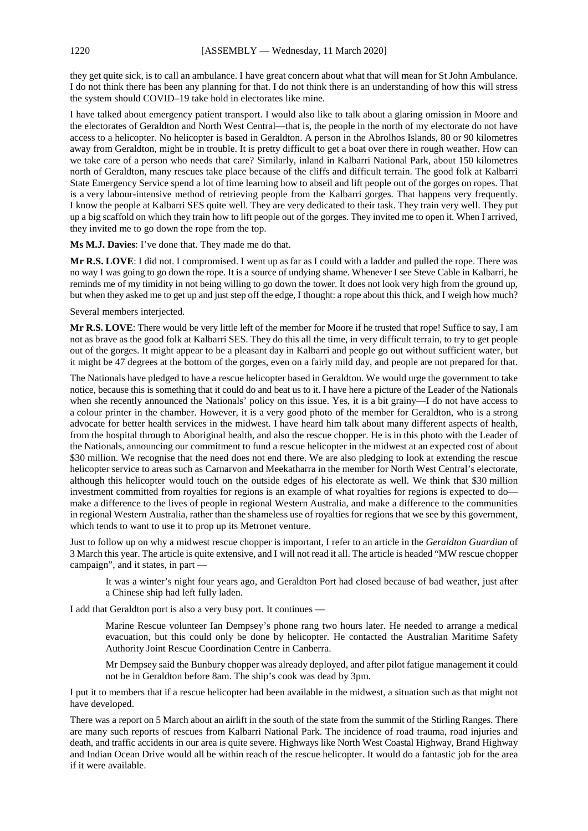they get quite sick, is to call an ambulance. I have great concern about what that will mean for St John Ambulance. I do not think there has been any planning for that. I do not think there is an understanding of how this will stress the system should COVID–19 take hold in electorates like mine.

I have talked about emergency patient transport. I would also like to talk about a glaring omission in Moore and the electorates of Geraldton and North West Central—that is, the people in the north of my electorate do not have access to a helicopter. No helicopter is based in Geraldton. A person in the Abrolhos Islands, 80 or 90 kilometres away from Geraldton, might be in trouble. It is pretty difficult to get a boat over there in rough weather. How can we take care of a person who needs that care? Similarly, inland in Kalbarri National Park, about 150 kilometres north of Geraldton, many rescues take place because of the cliffs and difficult terrain. The good folk at Kalbarri State Emergency Service spend a lot of time learning how to abseil and lift people out of the gorges on ropes. That is a very labour-intensive method of retrieving people from the Kalbarri gorges. That happens very frequently. I know the people at Kalbarri SES quite well. They are very dedicated to their task. They train very well. They put up a big scaffold on which they train how to lift people out of the gorges. They invited me to open it. When I arrived, they invited me to go down the rope from the top.

**Ms M.J. Davies**: I've done that. They made me do that.

**Mr R.S. LOVE**: I did not. I compromised. I went up as far as I could with a ladder and pulled the rope. There was no way I was going to go down the rope. It is a source of undying shame. Whenever I see Steve Cable in Kalbarri, he reminds me of my timidity in not being willing to go down the tower. It does not look very high from the ground up, but when they asked me to get up and just step off the edge, I thought: a rope about this thick, and I weigh how much?

Several members interjected.

**Mr R.S. LOVE**: There would be very little left of the member for Moore if he trusted that rope! Suffice to say, I am not as brave as the good folk at Kalbarri SES. They do this all the time, in very difficult terrain, to try to get people out of the gorges. It might appear to be a pleasant day in Kalbarri and people go out without sufficient water, but it might be 47 degrees at the bottom of the gorges, even on a fairly mild day, and people are not prepared for that.

The Nationals have pledged to have a rescue helicopter based in Geraldton. We would urge the government to take notice, because this is something that it could do and beat us to it. I have here a picture of the Leader of the Nationals when she recently announced the Nationals' policy on this issue. Yes, it is a bit grainy—I do not have access to a colour printer in the chamber. However, it is a very good photo of the member for Geraldton, who is a strong advocate for better health services in the midwest. I have heard him talk about many different aspects of health, from the hospital through to Aboriginal health, and also the rescue chopper. He is in this photo with the Leader of the Nationals, announcing our commitment to fund a rescue helicopter in the midwest at an expected cost of about \$30 million. We recognise that the need does not end there. We are also pledging to look at extending the rescue helicopter service to areas such as Carnarvon and Meekatharra in the member for North West Central's electorate, although this helicopter would touch on the outside edges of his electorate as well. We think that \$30 million investment committed from royalties for regions is an example of what royalties for regions is expected to do make a difference to the lives of people in regional Western Australia, and make a difference to the communities in regional Western Australia, rather than the shameless use of royalties for regions that we see by this government, which tends to want to use it to prop up its Metronet venture.

Just to follow up on why a midwest rescue chopper is important, I refer to an article in the *Geraldton Guardian* of 3 March this year. The article is quite extensive, and I will not read it all. The article is headed "MW rescue chopper campaign", and it states, in part —

It was a winter's night four years ago, and Geraldton Port had closed because of bad weather, just after a Chinese ship had left fully laden.

I add that Geraldton port is also a very busy port. It continues —

Marine Rescue volunteer Ian Dempsey's phone rang two hours later. He needed to arrange a medical evacuation, but this could only be done by helicopter. He contacted the Australian Maritime Safety Authority Joint Rescue Coordination Centre in Canberra.

Mr Dempsey said the Bunbury chopper was already deployed, and after pilot fatigue management it could not be in Geraldton before 8am. The ship's cook was dead by 3pm.

I put it to members that if a rescue helicopter had been available in the midwest, a situation such as that might not have developed.

There was a report on 5 March about an airlift in the south of the state from the summit of the Stirling Ranges. There are many such reports of rescues from Kalbarri National Park. The incidence of road trauma, road injuries and death, and traffic accidents in our area is quite severe. Highways like North West Coastal Highway, Brand Highway and Indian Ocean Drive would all be within reach of the rescue helicopter. It would do a fantastic job for the area if it were available.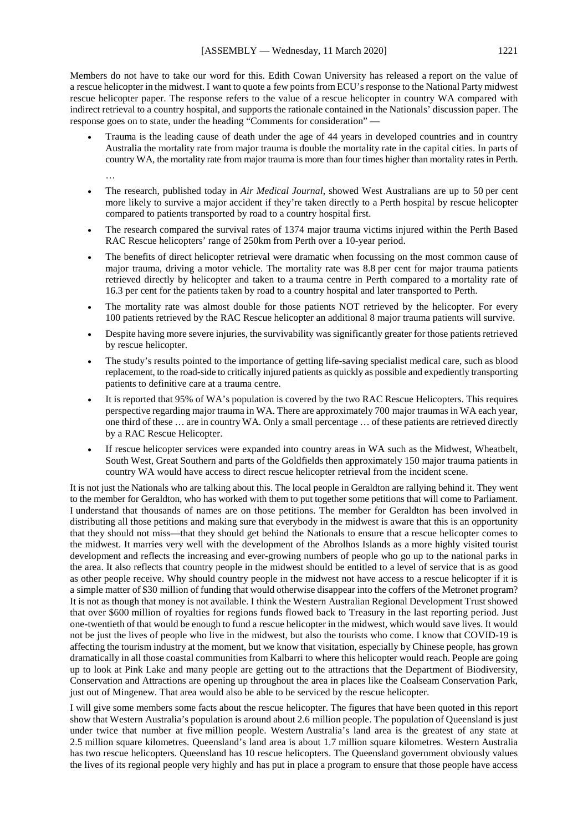Members do not have to take our word for this. Edith Cowan University has released a report on the value of a rescue helicopter in the midwest. I want to quote a few points from ECU's response to the National Party midwest rescue helicopter paper. The response refers to the value of a rescue helicopter in country WA compared with indirect retrieval to a country hospital, and supports the rationale contained in the Nationals' discussion paper. The response goes on to state, under the heading "Comments for consideration" —

- Trauma is the leading cause of death under the age of 44 years in developed countries and in country Australia the mortality rate from major trauma is double the mortality rate in the capital cities. In parts of country WA, the mortality rate from major trauma is more than four times higher than mortality rates in Perth. …
- The research, published today in *Air Medical Journal*, showed West Australians are up to 50 per cent more likely to survive a major accident if they're taken directly to a Perth hospital by rescue helicopter compared to patients transported by road to a country hospital first.
- The research compared the survival rates of 1374 major trauma victims injured within the Perth Based RAC Rescue helicopters' range of 250km from Perth over a 10-year period.
- The benefits of direct helicopter retrieval were dramatic when focussing on the most common cause of major trauma, driving a motor vehicle. The mortality rate was 8.8 per cent for major trauma patients retrieved directly by helicopter and taken to a trauma centre in Perth compared to a mortality rate of 16.3 per cent for the patients taken by road to a country hospital and later transported to Perth.
- The mortality rate was almost double for those patients NOT retrieved by the helicopter. For every 100 patients retrieved by the RAC Rescue helicopter an additional 8 major trauma patients will survive.
- Despite having more severe injuries, the survivability was significantly greater for those patients retrieved by rescue helicopter.
- The study's results pointed to the importance of getting life-saving specialist medical care, such as blood replacement, to the road-side to critically injured patients as quickly as possible and expediently transporting patients to definitive care at a trauma centre.
- It is reported that 95% of WA's population is covered by the two RAC Rescue Helicopters. This requires perspective regarding major trauma in WA. There are approximately 700 major traumas in WA each year, one third of these … are in country WA. Only a small percentage … of these patients are retrieved directly by a RAC Rescue Helicopter.
- If rescue helicopter services were expanded into country areas in WA such as the Midwest, Wheatbelt, South West, Great Southern and parts of the Goldfields then approximately 150 major trauma patients in country WA would have access to direct rescue helicopter retrieval from the incident scene.

It is not just the Nationals who are talking about this. The local people in Geraldton are rallying behind it. They went to the member for Geraldton, who has worked with them to put together some petitions that will come to Parliament. I understand that thousands of names are on those petitions. The member for Geraldton has been involved in distributing all those petitions and making sure that everybody in the midwest is aware that this is an opportunity that they should not miss—that they should get behind the Nationals to ensure that a rescue helicopter comes to the midwest. It marries very well with the development of the Abrolhos Islands as a more highly visited tourist development and reflects the increasing and ever-growing numbers of people who go up to the national parks in the area. It also reflects that country people in the midwest should be entitled to a level of service that is as good as other people receive. Why should country people in the midwest not have access to a rescue helicopter if it is a simple matter of \$30 million of funding that would otherwise disappear into the coffers of the Metronet program? It is not as though that money is not available. I think the Western Australian Regional Development Trust showed that over \$600 million of royalties for regions funds flowed back to Treasury in the last reporting period. Just one-twentieth of that would be enough to fund a rescue helicopter in the midwest, which would save lives. It would not be just the lives of people who live in the midwest, but also the tourists who come. I know that COVID-19 is affecting the tourism industry at the moment, but we know that visitation, especially by Chinese people, has grown dramatically in all those coastal communities from Kalbarri to where this helicopter would reach. People are going up to look at Pink Lake and many people are getting out to the attractions that the Department of Biodiversity, Conservation and Attractions are opening up throughout the area in places like the Coalseam Conservation Park, just out of Mingenew. That area would also be able to be serviced by the rescue helicopter.

I will give some members some facts about the rescue helicopter. The figures that have been quoted in this report show that Western Australia's population is around about 2.6 million people. The population of Queensland is just under twice that number at five million people. Western Australia's land area is the greatest of any state at 2.5 million square kilometres. Queensland's land area is about 1.7 million square kilometres. Western Australia has two rescue helicopters. Queensland has 10 rescue helicopters. The Queensland government obviously values the lives of its regional people very highly and has put in place a program to ensure that those people have access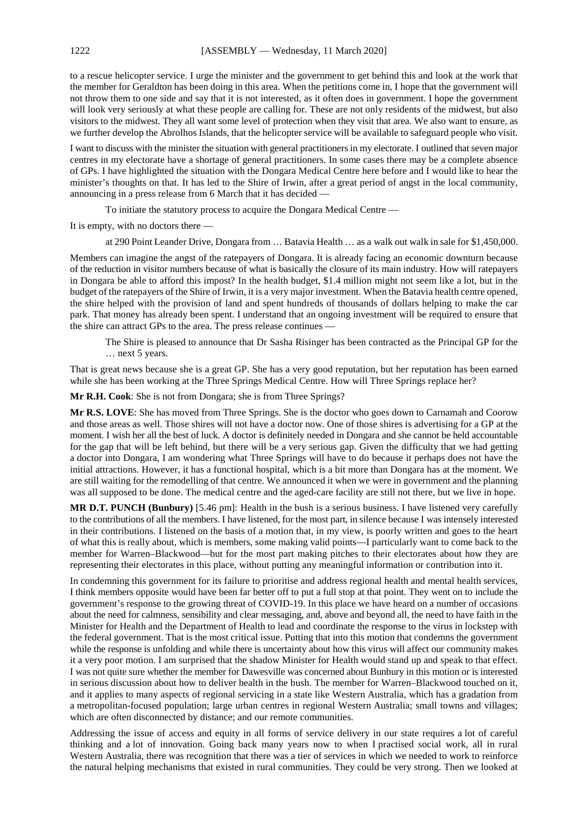to a rescue helicopter service. I urge the minister and the government to get behind this and look at the work that the member for Geraldton has been doing in this area. When the petitions come in, I hope that the government will not throw them to one side and say that it is not interested, as it often does in government. I hope the government will look very seriously at what these people are calling for. These are not only residents of the midwest, but also visitors to the midwest. They all want some level of protection when they visit that area. We also want to ensure, as we further develop the Abrolhos Islands, that the helicopter service will be available to safeguard people who visit.

I want to discuss with the minister the situation with general practitioners in my electorate. I outlined that seven major centres in my electorate have a shortage of general practitioners. In some cases there may be a complete absence of GPs. I have highlighted the situation with the Dongara Medical Centre here before and I would like to hear the minister's thoughts on that. It has led to the Shire of Irwin, after a great period of angst in the local community, announcing in a press release from 6 March that it has decided —

To initiate the statutory process to acquire the Dongara Medical Centre —

It is empty, with no doctors there —

at 290 Point Leander Drive, Dongara from … Batavia Health … as a walk out walk in sale for \$1,450,000.

Members can imagine the angst of the ratepayers of Dongara. It is already facing an economic downturn because of the reduction in visitor numbers because of what is basically the closure of its main industry. How will ratepayers in Dongara be able to afford this impost? In the health budget, \$1.4 million might not seem like a lot, but in the budget of the ratepayers of the Shire of Irwin, it is a very major investment. When the Batavia health centre opened, the shire helped with the provision of land and spent hundreds of thousands of dollars helping to make the car park. That money has already been spent. I understand that an ongoing investment will be required to ensure that the shire can attract GPs to the area. The press release continues —

The Shire is pleased to announce that Dr Sasha Risinger has been contracted as the Principal GP for the … next 5 years.

That is great news because she is a great GP. She has a very good reputation, but her reputation has been earned while she has been working at the Three Springs Medical Centre. How will Three Springs replace her?

**Mr R.H. Cook**: She is not from Dongara; she is from Three Springs?

**Mr R.S. LOVE**: She has moved from Three Springs. She is the doctor who goes down to Carnamah and Coorow and those areas as well. Those shires will not have a doctor now. One of those shires is advertising for a GP at the moment. I wish her all the best of luck. A doctor is definitely needed in Dongara and she cannot be held accountable for the gap that will be left behind, but there will be a very serious gap. Given the difficulty that we had getting a doctor into Dongara, I am wondering what Three Springs will have to do because it perhaps does not have the initial attractions. However, it has a functional hospital, which is a bit more than Dongara has at the moment. We are still waiting for the remodelling of that centre. We announced it when we were in government and the planning was all supposed to be done. The medical centre and the aged-care facility are still not there, but we live in hope.

**MR D.T. PUNCH (Bunbury)** [5.46 pm]: Health in the bush is a serious business. I have listened very carefully to the contributions of all the members. I have listened, for the most part, in silence because I was intensely interested in their contributions. I listened on the basis of a motion that, in my view, is poorly written and goes to the heart of what this is really about, which is members, some making valid points—I particularly want to come back to the member for Warren–Blackwood—but for the most part making pitches to their electorates about how they are representing their electorates in this place, without putting any meaningful information or contribution into it.

In condemning this government for its failure to prioritise and address regional health and mental health services, I think members opposite would have been far better off to put a full stop at that point. They went on to include the government's response to the growing threat of COVID-19. In this place we have heard on a number of occasions about the need for calmness, sensibility and clear messaging, and, above and beyond all, the need to have faith in the Minister for Health and the Department of Health to lead and coordinate the response to the virus in lockstep with the federal government. That is the most critical issue. Putting that into this motion that condemns the government while the response is unfolding and while there is uncertainty about how this virus will affect our community makes it a very poor motion. I am surprised that the shadow Minister for Health would stand up and speak to that effect. I was not quite sure whether the member for Dawesville was concerned about Bunbury in this motion or is interested in serious discussion about how to deliver health in the bush. The member for Warren–Blackwood touched on it, and it applies to many aspects of regional servicing in a state like Western Australia, which has a gradation from a metropolitan-focused population; large urban centres in regional Western Australia; small towns and villages; which are often disconnected by distance; and our remote communities.

Addressing the issue of access and equity in all forms of service delivery in our state requires a lot of careful thinking and a lot of innovation. Going back many years now to when I practised social work, all in rural Western Australia, there was recognition that there was a tier of services in which we needed to work to reinforce the natural helping mechanisms that existed in rural communities. They could be very strong. Then we looked at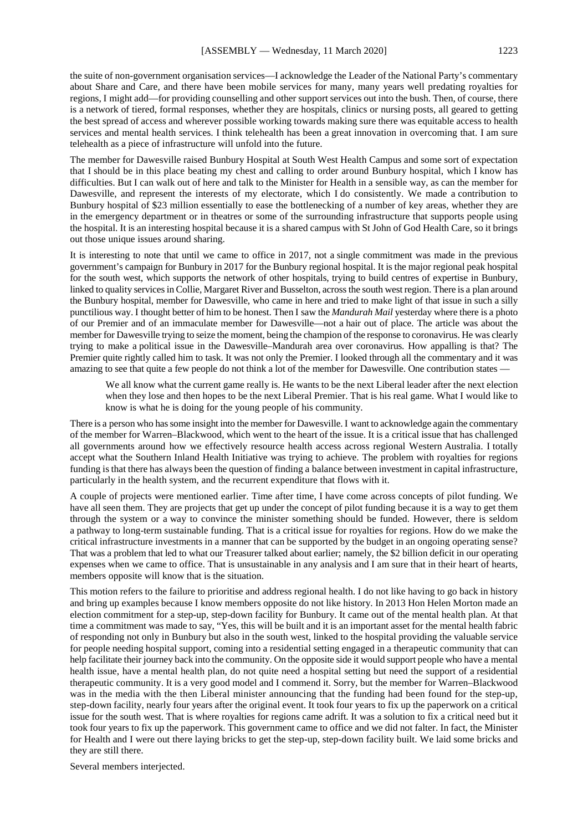the suite of non-government organisation services—I acknowledge the Leader of the National Party's commentary about Share and Care, and there have been mobile services for many, many years well predating royalties for regions, I might add—for providing counselling and other support services out into the bush. Then, of course, there is a network of tiered, formal responses, whether they are hospitals, clinics or nursing posts, all geared to getting the best spread of access and wherever possible working towards making sure there was equitable access to health services and mental health services. I think telehealth has been a great innovation in overcoming that. I am sure telehealth as a piece of infrastructure will unfold into the future.

The member for Dawesville raised Bunbury Hospital at South West Health Campus and some sort of expectation that I should be in this place beating my chest and calling to order around Bunbury hospital, which I know has difficulties. But I can walk out of here and talk to the Minister for Health in a sensible way, as can the member for Dawesville, and represent the interests of my electorate, which I do consistently. We made a contribution to Bunbury hospital of \$23 million essentially to ease the bottlenecking of a number of key areas, whether they are in the emergency department or in theatres or some of the surrounding infrastructure that supports people using the hospital. It is an interesting hospital because it is a shared campus with St John of God Health Care, so it brings out those unique issues around sharing.

It is interesting to note that until we came to office in 2017, not a single commitment was made in the previous government's campaign for Bunbury in 2017 for the Bunbury regional hospital. It is the major regional peak hospital for the south west, which supports the network of other hospitals, trying to build centres of expertise in Bunbury, linked to quality services in Collie, Margaret River and Busselton, across the south west region. There is a plan around the Bunbury hospital, member for Dawesville, who came in here and tried to make light of that issue in such a silly punctilious way. I thought better of him to be honest. Then I saw the *Mandurah Mail* yesterday where there is a photo of our Premier and of an immaculate member for Dawesville—not a hair out of place. The article was about the member for Dawesville trying to seize the moment, being the champion of the response to coronavirus. He was clearly trying to make a political issue in the Dawesville–Mandurah area over coronavirus. How appalling is that? The Premier quite rightly called him to task. It was not only the Premier. I looked through all the commentary and it was amazing to see that quite a few people do not think a lot of the member for Dawesville. One contribution states -

We all know what the current game really is. He wants to be the next Liberal leader after the next election when they lose and then hopes to be the next Liberal Premier. That is his real game. What I would like to know is what he is doing for the young people of his community.

There is a person who has some insight into the member for Dawesville. I want to acknowledge again the commentary of the member for Warren–Blackwood, which went to the heart of the issue. It is a critical issue that has challenged all governments around how we effectively resource health access across regional Western Australia. I totally accept what the Southern Inland Health Initiative was trying to achieve. The problem with royalties for regions funding is that there has always been the question of finding a balance between investment in capital infrastructure, particularly in the health system, and the recurrent expenditure that flows with it.

A couple of projects were mentioned earlier. Time after time, I have come across concepts of pilot funding. We have all seen them. They are projects that get up under the concept of pilot funding because it is a way to get them through the system or a way to convince the minister something should be funded. However, there is seldom a pathway to long-term sustainable funding. That is a critical issue for royalties for regions. How do we make the critical infrastructure investments in a manner that can be supported by the budget in an ongoing operating sense? That was a problem that led to what our Treasurer talked about earlier; namely, the \$2 billion deficit in our operating expenses when we came to office. That is unsustainable in any analysis and I am sure that in their heart of hearts, members opposite will know that is the situation.

This motion refers to the failure to prioritise and address regional health. I do not like having to go back in history and bring up examples because I know members opposite do not like history. In 2013 Hon Helen Morton made an election commitment for a step-up, step-down facility for Bunbury. It came out of the mental health plan. At that time a commitment was made to say, "Yes, this will be built and it is an important asset for the mental health fabric of responding not only in Bunbury but also in the south west, linked to the hospital providing the valuable service for people needing hospital support, coming into a residential setting engaged in a therapeutic community that can help facilitate their journey back into the community. On the opposite side it would support people who have a mental health issue, have a mental health plan, do not quite need a hospital setting but need the support of a residential therapeutic community. It is a very good model and I commend it. Sorry, but the member for Warren–Blackwood was in the media with the then Liberal minister announcing that the funding had been found for the step-up, step-down facility, nearly four years after the original event. It took four years to fix up the paperwork on a critical issue for the south west. That is where royalties for regions came adrift. It was a solution to fix a critical need but it took four years to fix up the paperwork. This government came to office and we did not falter. In fact, the Minister for Health and I were out there laying bricks to get the step-up, step-down facility built. We laid some bricks and they are still there.

Several members interjected.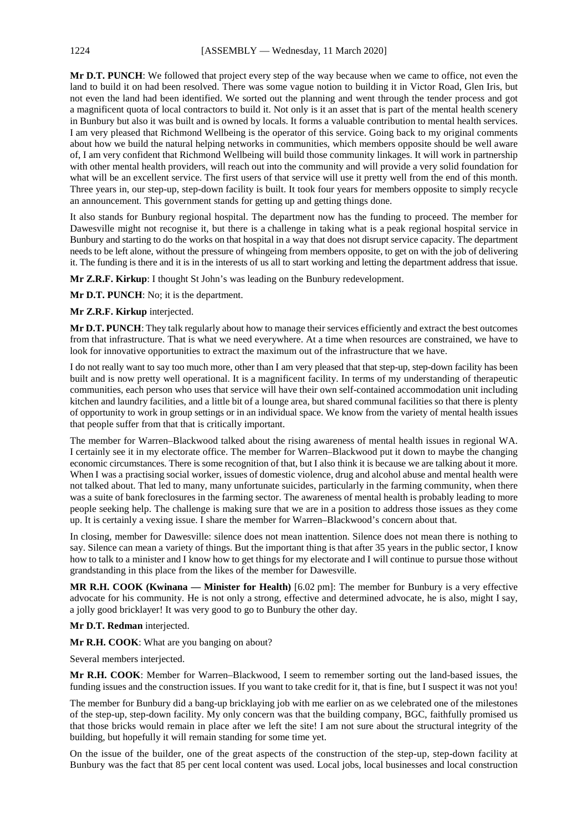**Mr D.T. PUNCH**: We followed that project every step of the way because when we came to office, not even the land to build it on had been resolved. There was some vague notion to building it in Victor Road, Glen Iris, but not even the land had been identified. We sorted out the planning and went through the tender process and got a magnificent quota of local contractors to build it. Not only is it an asset that is part of the mental health scenery in Bunbury but also it was built and is owned by locals. It forms a valuable contribution to mental health services. I am very pleased that Richmond Wellbeing is the operator of this service. Going back to my original comments about how we build the natural helping networks in communities, which members opposite should be well aware of, I am very confident that Richmond Wellbeing will build those community linkages. It will work in partnership with other mental health providers, will reach out into the community and will provide a very solid foundation for what will be an excellent service. The first users of that service will use it pretty well from the end of this month. Three years in, our step-up, step-down facility is built. It took four years for members opposite to simply recycle an announcement. This government stands for getting up and getting things done.

It also stands for Bunbury regional hospital. The department now has the funding to proceed. The member for Dawesville might not recognise it, but there is a challenge in taking what is a peak regional hospital service in Bunbury and starting to do the works on that hospital in a way that does not disrupt service capacity. The department needs to be left alone, without the pressure of whingeing from members opposite, to get on with the job of delivering it. The funding is there and it is in the interests of us all to start working and letting the department address that issue.

**Mr Z.R.F. Kirkup**: I thought St John's was leading on the Bunbury redevelopment.

**Mr D.T. PUNCH**: No; it is the department.

#### **Mr Z.R.F. Kirkup** interjected.

**Mr D.T. PUNCH**: They talk regularly about how to manage their services efficiently and extract the best outcomes from that infrastructure. That is what we need everywhere. At a time when resources are constrained, we have to look for innovative opportunities to extract the maximum out of the infrastructure that we have.

I do not really want to say too much more, other than I am very pleased that that step-up, step-down facility has been built and is now pretty well operational. It is a magnificent facility. In terms of my understanding of therapeutic communities, each person who uses that service will have their own self-contained accommodation unit including kitchen and laundry facilities, and a little bit of a lounge area, but shared communal facilities so that there is plenty of opportunity to work in group settings or in an individual space. We know from the variety of mental health issues that people suffer from that that is critically important.

The member for Warren–Blackwood talked about the rising awareness of mental health issues in regional WA. I certainly see it in my electorate office. The member for Warren–Blackwood put it down to maybe the changing economic circumstances. There is some recognition of that, but I also think it is because we are talking about it more. When I was a practising social worker, issues of domestic violence, drug and alcohol abuse and mental health were not talked about. That led to many, many unfortunate suicides, particularly in the farming community, when there was a suite of bank foreclosures in the farming sector. The awareness of mental health is probably leading to more people seeking help. The challenge is making sure that we are in a position to address those issues as they come up. It is certainly a vexing issue. I share the member for Warren–Blackwood's concern about that.

In closing, member for Dawesville: silence does not mean inattention. Silence does not mean there is nothing to say. Silence can mean a variety of things. But the important thing is that after 35 years in the public sector, I know how to talk to a minister and I know how to get things for my electorate and I will continue to pursue those without grandstanding in this place from the likes of the member for Dawesville.

**MR R.H. COOK (Kwinana — Minister for Health)** [6.02 pm]: The member for Bunbury is a very effective advocate for his community. He is not only a strong, effective and determined advocate, he is also, might I say, a jolly good bricklayer! It was very good to go to Bunbury the other day.

#### **Mr D.T. Redman** interjected.

**Mr R.H. COOK**: What are you banging on about?

Several members interjected.

**Mr R.H. COOK**: Member for Warren–Blackwood, I seem to remember sorting out the land-based issues, the funding issues and the construction issues. If you want to take credit for it, that is fine, but I suspect it was not you!

The member for Bunbury did a bang-up bricklaying job with me earlier on as we celebrated one of the milestones of the step-up, step-down facility. My only concern was that the building company, BGC, faithfully promised us that those bricks would remain in place after we left the site! I am not sure about the structural integrity of the building, but hopefully it will remain standing for some time yet.

On the issue of the builder, one of the great aspects of the construction of the step-up, step-down facility at Bunbury was the fact that 85 per cent local content was used. Local jobs, local businesses and local construction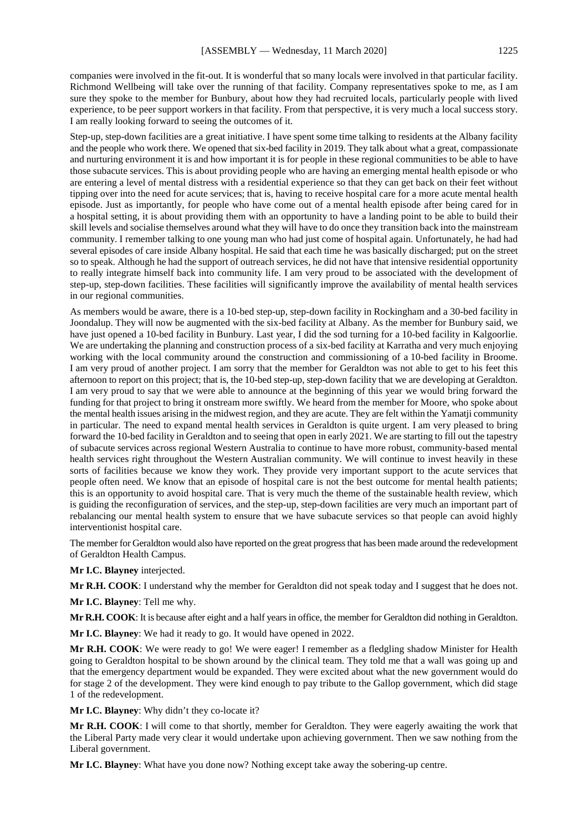companies were involved in the fit-out. It is wonderful that so many locals were involved in that particular facility. Richmond Wellbeing will take over the running of that facility. Company representatives spoke to me, as I am sure they spoke to the member for Bunbury, about how they had recruited locals, particularly people with lived experience, to be peer support workers in that facility. From that perspective, it is very much a local success story. I am really looking forward to seeing the outcomes of it.

Step-up, step-down facilities are a great initiative. I have spent some time talking to residents at the Albany facility and the people who work there. We opened that six-bed facility in 2019. They talk about what a great, compassionate and nurturing environment it is and how important it is for people in these regional communities to be able to have those subacute services. This is about providing people who are having an emerging mental health episode or who are entering a level of mental distress with a residential experience so that they can get back on their feet without tipping over into the need for acute services; that is, having to receive hospital care for a more acute mental health episode. Just as importantly, for people who have come out of a mental health episode after being cared for in a hospital setting, it is about providing them with an opportunity to have a landing point to be able to build their skill levels and socialise themselves around what they will have to do once they transition back into the mainstream community. I remember talking to one young man who had just come of hospital again. Unfortunately, he had had several episodes of care inside Albany hospital. He said that each time he was basically discharged; put on the street so to speak. Although he had the support of outreach services, he did not have that intensive residential opportunity to really integrate himself back into community life. I am very proud to be associated with the development of step-up, step-down facilities. These facilities will significantly improve the availability of mental health services in our regional communities.

As members would be aware, there is a 10-bed step-up, step-down facility in Rockingham and a 30-bed facility in Joondalup. They will now be augmented with the six-bed facility at Albany. As the member for Bunbury said, we have just opened a 10-bed facility in Bunbury. Last year, I did the sod turning for a 10-bed facility in Kalgoorlie. We are undertaking the planning and construction process of a six-bed facility at Karratha and very much enjoying working with the local community around the construction and commissioning of a 10-bed facility in Broome. I am very proud of another project. I am sorry that the member for Geraldton was not able to get to his feet this afternoon to report on this project; that is, the 10-bed step-up, step-down facility that we are developing at Geraldton. I am very proud to say that we were able to announce at the beginning of this year we would bring forward the funding for that project to bring it onstream more swiftly. We heard from the member for Moore, who spoke about the mental health issues arising in the midwest region, and they are acute. They are felt within the Yamatji community in particular. The need to expand mental health services in Geraldton is quite urgent. I am very pleased to bring forward the 10-bed facility in Geraldton and to seeing that open in early 2021. We are starting to fill out the tapestry of subacute services across regional Western Australia to continue to have more robust, community-based mental health services right throughout the Western Australian community. We will continue to invest heavily in these sorts of facilities because we know they work. They provide very important support to the acute services that people often need. We know that an episode of hospital care is not the best outcome for mental health patients; this is an opportunity to avoid hospital care. That is very much the theme of the sustainable health review, which is guiding the reconfiguration of services, and the step-up, step-down facilities are very much an important part of rebalancing our mental health system to ensure that we have subacute services so that people can avoid highly interventionist hospital care.

The member for Geraldton would also have reported on the great progress that has been made around the redevelopment of Geraldton Health Campus.

**Mr I.C. Blayney** interjected.

**Mr R.H. COOK**: I understand why the member for Geraldton did not speak today and I suggest that he does not.

**Mr I.C. Blayney**: Tell me why.

**Mr R.H. COOK**: It is because after eight and a half years in office, the member for Geraldton did nothing in Geraldton.

**Mr I.C. Blayney**: We had it ready to go. It would have opened in 2022.

**Mr R.H. COOK**: We were ready to go! We were eager! I remember as a fledgling shadow Minister for Health going to Geraldton hospital to be shown around by the clinical team. They told me that a wall was going up and that the emergency department would be expanded. They were excited about what the new government would do for stage 2 of the development. They were kind enough to pay tribute to the Gallop government, which did stage 1 of the redevelopment.

**Mr I.C. Blayney**: Why didn't they co-locate it?

**Mr R.H. COOK**: I will come to that shortly, member for Geraldton. They were eagerly awaiting the work that the Liberal Party made very clear it would undertake upon achieving government. Then we saw nothing from the Liberal government.

**Mr I.C. Blayney**: What have you done now? Nothing except take away the sobering-up centre.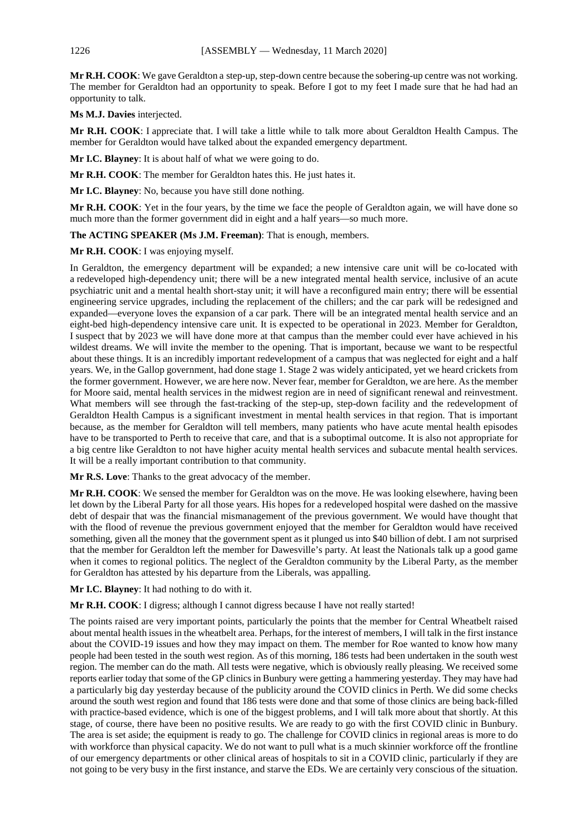**Mr R.H. COOK**: We gave Geraldton a step-up, step-down centre because the sobering-up centre was not working. The member for Geraldton had an opportunity to speak. Before I got to my feet I made sure that he had had an opportunity to talk.

**Ms M.J. Davies** interjected.

**Mr R.H. COOK**: I appreciate that. I will take a little while to talk more about Geraldton Health Campus. The member for Geraldton would have talked about the expanded emergency department.

**Mr I.C. Blayney**: It is about half of what we were going to do.

**Mr R.H. COOK**: The member for Geraldton hates this. He just hates it.

**Mr I.C. Blayney**: No, because you have still done nothing.

**Mr R.H. COOK**: Yet in the four years, by the time we face the people of Geraldton again, we will have done so much more than the former government did in eight and a half years—so much more.

**The ACTING SPEAKER (Ms J.M. Freeman)**: That is enough, members.

**Mr R.H. COOK**: I was enjoying myself.

In Geraldton, the emergency department will be expanded; a new intensive care unit will be co-located with a redeveloped high-dependency unit; there will be a new integrated mental health service, inclusive of an acute psychiatric unit and a mental health short-stay unit; it will have a reconfigured main entry; there will be essential engineering service upgrades, including the replacement of the chillers; and the car park will be redesigned and expanded—everyone loves the expansion of a car park. There will be an integrated mental health service and an eight-bed high-dependency intensive care unit. It is expected to be operational in 2023. Member for Geraldton, I suspect that by 2023 we will have done more at that campus than the member could ever have achieved in his wildest dreams. We will invite the member to the opening. That is important, because we want to be respectful about these things. It is an incredibly important redevelopment of a campus that was neglected for eight and a half years. We, in the Gallop government, had done stage 1. Stage 2 was widely anticipated, yet we heard crickets from the former government. However, we are here now. Never fear, member for Geraldton, we are here. As the member for Moore said, mental health services in the midwest region are in need of significant renewal and reinvestment. What members will see through the fast-tracking of the step-up, step-down facility and the redevelopment of Geraldton Health Campus is a significant investment in mental health services in that region. That is important because, as the member for Geraldton will tell members, many patients who have acute mental health episodes have to be transported to Perth to receive that care, and that is a suboptimal outcome. It is also not appropriate for a big centre like Geraldton to not have higher acuity mental health services and subacute mental health services. It will be a really important contribution to that community.

**Mr R.S. Love**: Thanks to the great advocacy of the member.

**Mr R.H. COOK**: We sensed the member for Geraldton was on the move. He was looking elsewhere, having been let down by the Liberal Party for all those years. His hopes for a redeveloped hospital were dashed on the massive debt of despair that was the financial mismanagement of the previous government. We would have thought that with the flood of revenue the previous government enjoyed that the member for Geraldton would have received something, given all the money that the government spent as it plunged us into \$40 billion of debt. I am not surprised that the member for Geraldton left the member for Dawesville's party. At least the Nationals talk up a good game when it comes to regional politics. The neglect of the Geraldton community by the Liberal Party, as the member for Geraldton has attested by his departure from the Liberals, was appalling.

**Mr I.C. Blayney**: It had nothing to do with it.

**Mr R.H. COOK**: I digress; although I cannot digress because I have not really started!

The points raised are very important points, particularly the points that the member for Central Wheatbelt raised about mental health issues in the wheatbelt area. Perhaps, for the interest of members, I will talk in the first instance about the COVID-19 issues and how they may impact on them. The member for Roe wanted to know how many people had been tested in the south west region. As of this morning, 186 tests had been undertaken in the south west region. The member can do the math. All tests were negative, which is obviously really pleasing. We received some reports earlier today that some of the GP clinics in Bunbury were getting a hammering yesterday. They may have had a particularly big day yesterday because of the publicity around the COVID clinics in Perth. We did some checks around the south west region and found that 186 tests were done and that some of those clinics are being back-filled with practice-based evidence, which is one of the biggest problems, and I will talk more about that shortly. At this stage, of course, there have been no positive results. We are ready to go with the first COVID clinic in Bunbury. The area is set aside; the equipment is ready to go. The challenge for COVID clinics in regional areas is more to do with workforce than physical capacity. We do not want to pull what is a much skinnier workforce off the frontline of our emergency departments or other clinical areas of hospitals to sit in a COVID clinic, particularly if they are not going to be very busy in the first instance, and starve the EDs. We are certainly very conscious of the situation.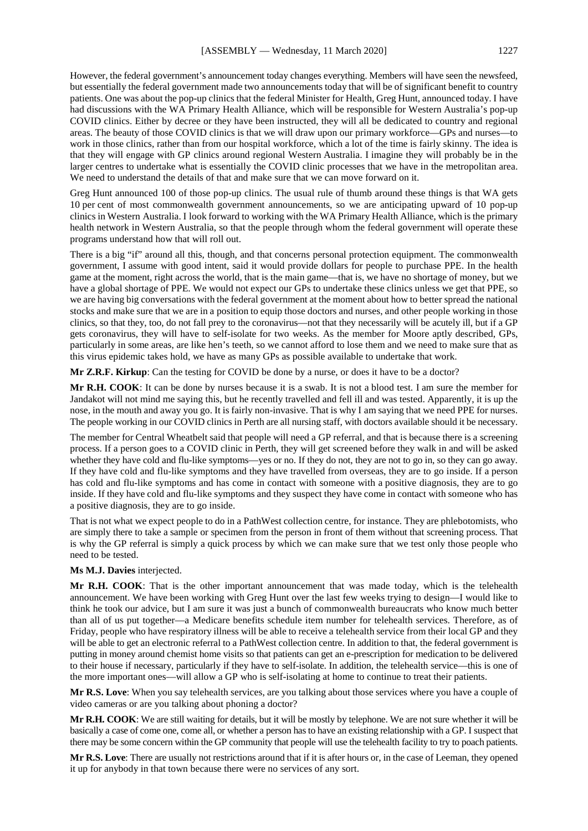However, the federal government's announcement today changes everything. Members will have seen the newsfeed, but essentially the federal government made two announcements today that will be of significant benefit to country patients. One was about the pop-up clinics that the federal Minister for Health, Greg Hunt, announced today. I have had discussions with the WA Primary Health Alliance, which will be responsible for Western Australia's pop-up COVID clinics. Either by decree or they have been instructed, they will all be dedicated to country and regional areas. The beauty of those COVID clinics is that we will draw upon our primary workforce—GPs and nurses—to work in those clinics, rather than from our hospital workforce, which a lot of the time is fairly skinny. The idea is that they will engage with GP clinics around regional Western Australia. I imagine they will probably be in the larger centres to undertake what is essentially the COVID clinic processes that we have in the metropolitan area. We need to understand the details of that and make sure that we can move forward on it.

Greg Hunt announced 100 of those pop-up clinics. The usual rule of thumb around these things is that WA gets 10 per cent of most commonwealth government announcements, so we are anticipating upward of 10 pop-up clinics in Western Australia. I look forward to working with the WA Primary Health Alliance, which is the primary health network in Western Australia, so that the people through whom the federal government will operate these programs understand how that will roll out.

There is a big "if" around all this, though, and that concerns personal protection equipment. The commonwealth government, I assume with good intent, said it would provide dollars for people to purchase PPE. In the health game at the moment, right across the world, that is the main game—that is, we have no shortage of money, but we have a global shortage of PPE. We would not expect our GPs to undertake these clinics unless we get that PPE, so we are having big conversations with the federal government at the moment about how to better spread the national stocks and make sure that we are in a position to equip those doctors and nurses, and other people working in those clinics, so that they, too, do not fall prey to the coronavirus—not that they necessarily will be acutely ill, but if a GP gets coronavirus, they will have to self-isolate for two weeks. As the member for Moore aptly described, GPs, particularly in some areas, are like hen's teeth, so we cannot afford to lose them and we need to make sure that as this virus epidemic takes hold, we have as many GPs as possible available to undertake that work.

**Mr Z.R.F. Kirkup**: Can the testing for COVID be done by a nurse, or does it have to be a doctor?

**Mr R.H. COOK**: It can be done by nurses because it is a swab. It is not a blood test. I am sure the member for Jandakot will not mind me saying this, but he recently travelled and fell ill and was tested. Apparently, it is up the nose, in the mouth and away you go. It is fairly non-invasive. That is why I am saying that we need PPE for nurses. The people working in our COVID clinics in Perth are all nursing staff, with doctors available should it be necessary.

The member for Central Wheatbelt said that people will need a GP referral, and that is because there is a screening process. If a person goes to a COVID clinic in Perth, they will get screened before they walk in and will be asked whether they have cold and flu-like symptoms—yes or no. If they do not, they are not to go in, so they can go away. If they have cold and flu-like symptoms and they have travelled from overseas, they are to go inside. If a person has cold and flu-like symptoms and has come in contact with someone with a positive diagnosis, they are to go inside. If they have cold and flu-like symptoms and they suspect they have come in contact with someone who has a positive diagnosis, they are to go inside.

That is not what we expect people to do in a PathWest collection centre, for instance. They are phlebotomists, who are simply there to take a sample or specimen from the person in front of them without that screening process. That is why the GP referral is simply a quick process by which we can make sure that we test only those people who need to be tested.

#### **Ms M.J. Davies** interjected.

**Mr R.H. COOK**: That is the other important announcement that was made today, which is the telehealth announcement. We have been working with Greg Hunt over the last few weeks trying to design—I would like to think he took our advice, but I am sure it was just a bunch of commonwealth bureaucrats who know much better than all of us put together—a Medicare benefits schedule item number for telehealth services. Therefore, as of Friday, people who have respiratory illness will be able to receive a telehealth service from their local GP and they will be able to get an electronic referral to a PathWest collection centre. In addition to that, the federal government is putting in money around chemist home visits so that patients can get an e-prescription for medication to be delivered to their house if necessary, particularly if they have to self-isolate. In addition, the telehealth service—this is one of the more important ones—will allow a GP who is self-isolating at home to continue to treat their patients.

**Mr R.S. Love**: When you say telehealth services, are you talking about those services where you have a couple of video cameras or are you talking about phoning a doctor?

**Mr R.H. COOK**: We are still waiting for details, but it will be mostly by telephone. We are not sure whether it will be basically a case of come one, come all, or whether a person has to have an existing relationship with a GP. I suspect that there may be some concern within the GP community that people will use the telehealth facility to try to poach patients.

**Mr R.S. Love**: There are usually not restrictions around that if it is after hours or, in the case of Leeman, they opened it up for anybody in that town because there were no services of any sort.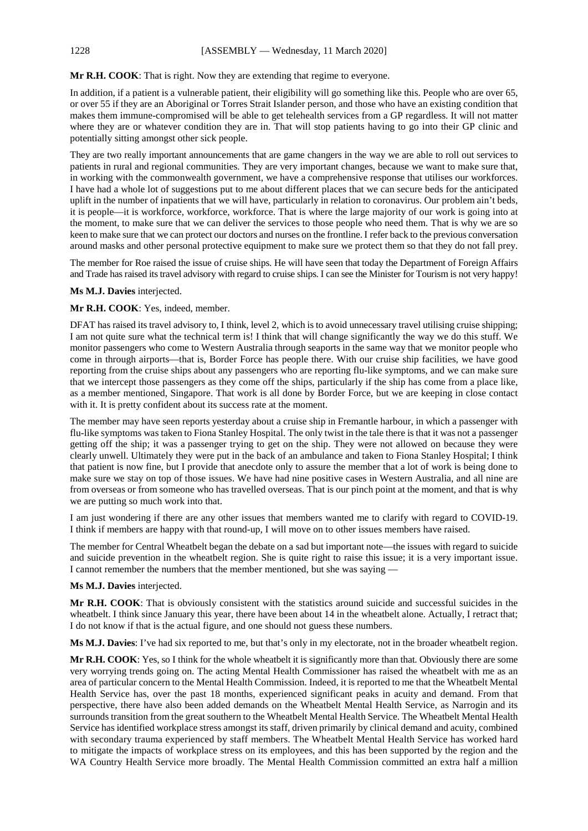# **Mr R.H. COOK**: That is right. Now they are extending that regime to everyone.

In addition, if a patient is a vulnerable patient, their eligibility will go something like this. People who are over 65, or over 55 if they are an Aboriginal or Torres Strait Islander person, and those who have an existing condition that makes them immune-compromised will be able to get telehealth services from a GP regardless. It will not matter where they are or whatever condition they are in. That will stop patients having to go into their GP clinic and potentially sitting amongst other sick people.

They are two really important announcements that are game changers in the way we are able to roll out services to patients in rural and regional communities. They are very important changes, because we want to make sure that, in working with the commonwealth government, we have a comprehensive response that utilises our workforces. I have had a whole lot of suggestions put to me about different places that we can secure beds for the anticipated uplift in the number of inpatients that we will have, particularly in relation to coronavirus. Our problem ain't beds, it is people—it is workforce, workforce, workforce. That is where the large majority of our work is going into at the moment, to make sure that we can deliver the services to those people who need them. That is why we are so keen to make sure that we can protect our doctors and nurses on the frontline. I refer back to the previous conversation around masks and other personal protective equipment to make sure we protect them so that they do not fall prey.

The member for Roe raised the issue of cruise ships. He will have seen that today the Department of Foreign Affairs and Trade has raised its travel advisory with regard to cruise ships. I can see the Minister for Tourism is not very happy!

# **Ms M.J. Davies** interjected.

# **Mr R.H. COOK**: Yes, indeed, member.

DFAT has raised its travel advisory to, I think, level 2, which is to avoid unnecessary travel utilising cruise shipping; I am not quite sure what the technical term is! I think that will change significantly the way we do this stuff. We monitor passengers who come to Western Australia through seaports in the same way that we monitor people who come in through airports—that is, Border Force has people there. With our cruise ship facilities, we have good reporting from the cruise ships about any passengers who are reporting flu-like symptoms, and we can make sure that we intercept those passengers as they come off the ships, particularly if the ship has come from a place like, as a member mentioned, Singapore. That work is all done by Border Force, but we are keeping in close contact with it. It is pretty confident about its success rate at the moment.

The member may have seen reports yesterday about a cruise ship in Fremantle harbour, in which a passenger with flu-like symptoms was taken to Fiona Stanley Hospital. The only twist in the tale there is that it was not a passenger getting off the ship; it was a passenger trying to get on the ship. They were not allowed on because they were clearly unwell. Ultimately they were put in the back of an ambulance and taken to Fiona Stanley Hospital; I think that patient is now fine, but I provide that anecdote only to assure the member that a lot of work is being done to make sure we stay on top of those issues. We have had nine positive cases in Western Australia, and all nine are from overseas or from someone who has travelled overseas. That is our pinch point at the moment, and that is why we are putting so much work into that.

I am just wondering if there are any other issues that members wanted me to clarify with regard to COVID-19. I think if members are happy with that round-up, I will move on to other issues members have raised.

The member for Central Wheatbelt began the debate on a sad but important note—the issues with regard to suicide and suicide prevention in the wheatbelt region. She is quite right to raise this issue; it is a very important issue. I cannot remember the numbers that the member mentioned, but she was saying —

# **Ms M.J. Davies** interjected.

**Mr R.H. COOK**: That is obviously consistent with the statistics around suicide and successful suicides in the wheatbelt. I think since January this year, there have been about 14 in the wheatbelt alone. Actually, I retract that; I do not know if that is the actual figure, and one should not guess these numbers.

**Ms M.J. Davies**: I've had six reported to me, but that's only in my electorate, not in the broader wheatbelt region.

**Mr R.H. COOK**: Yes, so I think for the whole wheatbelt it is significantly more than that. Obviously there are some very worrying trends going on. The acting Mental Health Commissioner has raised the wheatbelt with me as an area of particular concern to the Mental Health Commission. Indeed, it is reported to me that the Wheatbelt Mental Health Service has, over the past 18 months, experienced significant peaks in acuity and demand. From that perspective, there have also been added demands on the Wheatbelt Mental Health Service, as Narrogin and its surrounds transition from the great southern to the Wheatbelt Mental Health Service. The Wheatbelt Mental Health Service has identified workplace stress amongst its staff, driven primarily by clinical demand and acuity, combined with secondary trauma experienced by staff members. The Wheatbelt Mental Health Service has worked hard to mitigate the impacts of workplace stress on its employees, and this has been supported by the region and the WA Country Health Service more broadly. The Mental Health Commission committed an extra half a million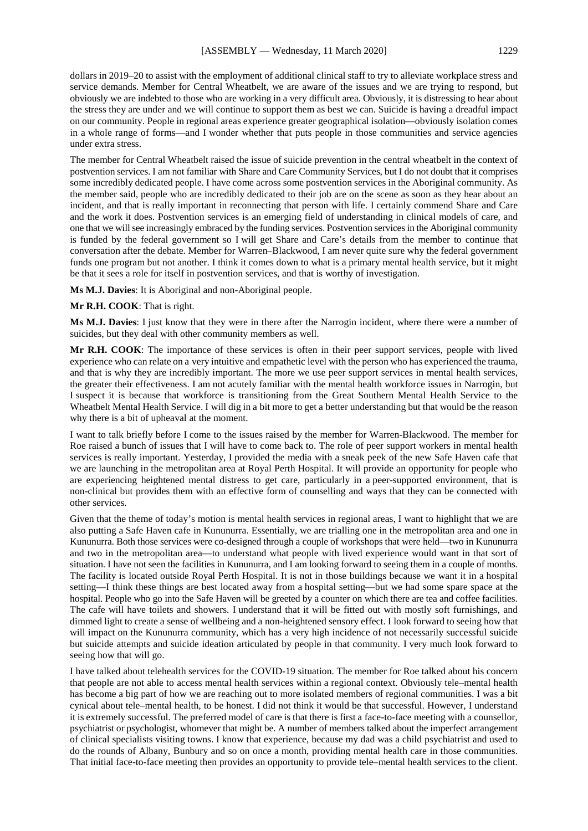dollars in 2019–20 to assist with the employment of additional clinical staff to try to alleviate workplace stress and service demands. Member for Central Wheatbelt, we are aware of the issues and we are trying to respond, but obviously we are indebted to those who are working in a very difficult area. Obviously, it is distressing to hear about the stress they are under and we will continue to support them as best we can. Suicide is having a dreadful impact on our community. People in regional areas experience greater geographical isolation—obviously isolation comes in a whole range of forms—and I wonder whether that puts people in those communities and service agencies under extra stress.

The member for Central Wheatbelt raised the issue of suicide prevention in the central wheatbelt in the context of postvention services. I am not familiar with Share and Care Community Services, but I do not doubt that it comprises some incredibly dedicated people. I have come across some postvention services in the Aboriginal community. As the member said, people who are incredibly dedicated to their job are on the scene as soon as they hear about an incident, and that is really important in reconnecting that person with life. I certainly commend Share and Care and the work it does. Postvention services is an emerging field of understanding in clinical models of care, and one that we will see increasingly embraced by the funding services. Postvention services in the Aboriginal community is funded by the federal government so I will get Share and Care's details from the member to continue that conversation after the debate. Member for Warren–Blackwood, I am never quite sure why the federal government funds one program but not another. I think it comes down to what is a primary mental health service, but it might be that it sees a role for itself in postvention services, and that is worthy of investigation.

**Ms M.J. Davies**: It is Aboriginal and non-Aboriginal people.

#### **Mr R.H. COOK**: That is right.

**Ms M.J. Davies**: I just know that they were in there after the Narrogin incident, where there were a number of suicides, but they deal with other community members as well.

**Mr R.H. COOK**: The importance of these services is often in their peer support services, people with lived experience who can relate on a very intuitive and empathetic level with the person who has experienced the trauma, and that is why they are incredibly important. The more we use peer support services in mental health services, the greater their effectiveness. I am not acutely familiar with the mental health workforce issues in Narrogin, but I suspect it is because that workforce is transitioning from the Great Southern Mental Health Service to the Wheatbelt Mental Health Service. I will dig in a bit more to get a better understanding but that would be the reason why there is a bit of upheaval at the moment.

I want to talk briefly before I come to the issues raised by the member for Warren-Blackwood. The member for Roe raised a bunch of issues that I will have to come back to. The role of peer support workers in mental health services is really important. Yesterday, I provided the media with a sneak peek of the new Safe Haven cafe that we are launching in the metropolitan area at Royal Perth Hospital. It will provide an opportunity for people who are experiencing heightened mental distress to get care, particularly in a peer-supported environment, that is non-clinical but provides them with an effective form of counselling and ways that they can be connected with other services.

Given that the theme of today's motion is mental health services in regional areas, I want to highlight that we are also putting a Safe Haven cafe in Kununurra. Essentially, we are trialling one in the metropolitan area and one in Kununurra. Both those services were co-designed through a couple of workshops that were held—two in Kununurra and two in the metropolitan area—to understand what people with lived experience would want in that sort of situation. I have not seen the facilities in Kununurra, and I am looking forward to seeing them in a couple of months. The facility is located outside Royal Perth Hospital. It is not in those buildings because we want it in a hospital setting—I think these things are best located away from a hospital setting—but we had some spare space at the hospital. People who go into the Safe Haven will be greeted by a counter on which there are tea and coffee facilities. The cafe will have toilets and showers. I understand that it will be fitted out with mostly soft furnishings, and dimmed light to create a sense of wellbeing and a non-heightened sensory effect. I look forward to seeing how that will impact on the Kununurra community, which has a very high incidence of not necessarily successful suicide but suicide attempts and suicide ideation articulated by people in that community. I very much look forward to seeing how that will go.

I have talked about telehealth services for the COVID-19 situation. The member for Roe talked about his concern that people are not able to access mental health services within a regional context. Obviously tele–mental health has become a big part of how we are reaching out to more isolated members of regional communities. I was a bit cynical about tele–mental health, to be honest. I did not think it would be that successful. However, I understand it is extremely successful. The preferred model of care is that there is first a face-to-face meeting with a counsellor, psychiatrist or psychologist, whomever that might be. A number of members talked about the imperfect arrangement of clinical specialists visiting towns. I know that experience, because my dad was a child psychiatrist and used to do the rounds of Albany, Bunbury and so on once a month, providing mental health care in those communities. That initial face-to-face meeting then provides an opportunity to provide tele–mental health services to the client.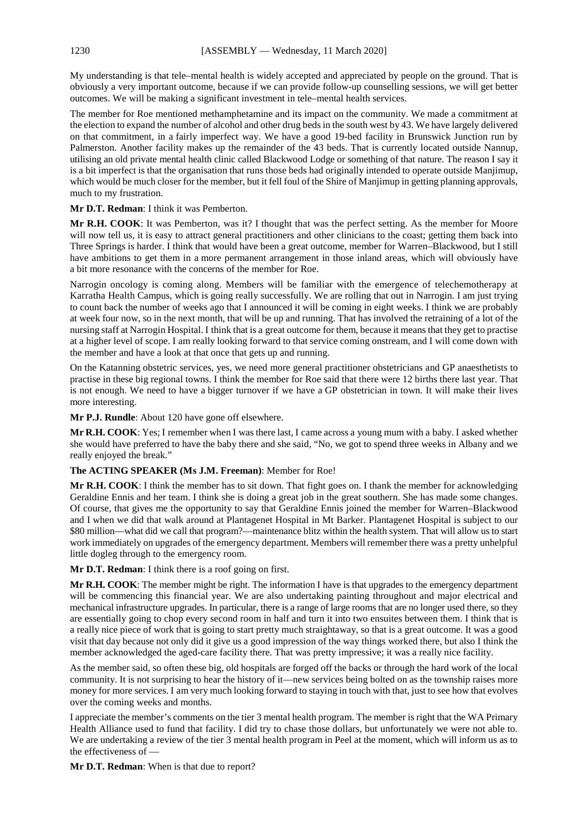My understanding is that tele–mental health is widely accepted and appreciated by people on the ground. That is obviously a very important outcome, because if we can provide follow-up counselling sessions, we will get better outcomes. We will be making a significant investment in tele–mental health services.

The member for Roe mentioned methamphetamine and its impact on the community. We made a commitment at the election to expand the number of alcohol and other drug beds in the south west by 43. We have largely delivered on that commitment, in a fairly imperfect way. We have a good 19-bed facility in Brunswick Junction run by Palmerston. Another facility makes up the remainder of the 43 beds. That is currently located outside Nannup, utilising an old private mental health clinic called Blackwood Lodge or something of that nature. The reason I say it is a bit imperfect is that the organisation that runs those beds had originally intended to operate outside Manjimup, which would be much closer for the member, but it fell foul of the Shire of Manjimup in getting planning approvals, much to my frustration.

# **Mr D.T. Redman**: I think it was Pemberton.

**Mr R.H. COOK**: It was Pemberton, was it? I thought that was the perfect setting. As the member for Moore will now tell us, it is easy to attract general practitioners and other clinicians to the coast; getting them back into Three Springs is harder. I think that would have been a great outcome, member for Warren–Blackwood, but I still have ambitions to get them in a more permanent arrangement in those inland areas, which will obviously have a bit more resonance with the concerns of the member for Roe.

Narrogin oncology is coming along. Members will be familiar with the emergence of telechemotherapy at Karratha Health Campus, which is going really successfully. We are rolling that out in Narrogin. I am just trying to count back the number of weeks ago that I announced it will be coming in eight weeks. I think we are probably at week four now, so in the next month, that will be up and running. That has involved the retraining of a lot of the nursing staff at Narrogin Hospital. I think that is a great outcome for them, because it means that they get to practise at a higher level of scope. I am really looking forward to that service coming onstream, and I will come down with the member and have a look at that once that gets up and running.

On the Katanning obstetric services, yes, we need more general practitioner obstetricians and GP anaesthetists to practise in these big regional towns. I think the member for Roe said that there were 12 births there last year. That is not enough. We need to have a bigger turnover if we have a GP obstetrician in town. It will make their lives more interesting.

**Mr P.J. Rundle**: About 120 have gone off elsewhere.

**Mr R.H. COOK**: Yes; I remember when I was there last, I came across a young mum with a baby. I asked whether she would have preferred to have the baby there and she said, "No, we got to spend three weeks in Albany and we really enjoyed the break."

# **The ACTING SPEAKER (Ms J.M. Freeman)**: Member for Roe!

**Mr R.H. COOK**: I think the member has to sit down. That fight goes on. I thank the member for acknowledging Geraldine Ennis and her team. I think she is doing a great job in the great southern. She has made some changes. Of course, that gives me the opportunity to say that Geraldine Ennis joined the member for Warren–Blackwood and I when we did that walk around at Plantagenet Hospital in Mt Barker. Plantagenet Hospital is subject to our \$80 million—what did we call that program?—maintenance blitz within the health system. That will allow us to start work immediately on upgrades of the emergency department. Members will remember there was a pretty unhelpful little dogleg through to the emergency room.

**Mr D.T. Redman**: I think there is a roof going on first.

**Mr R.H. COOK**: The member might be right. The information I have is that upgrades to the emergency department will be commencing this financial year. We are also undertaking painting throughout and major electrical and mechanical infrastructure upgrades. In particular, there is a range of large rooms that are no longer used there, so they are essentially going to chop every second room in half and turn it into two ensuites between them. I think that is a really nice piece of work that is going to start pretty much straightaway, so that is a great outcome. It was a good visit that day because not only did it give us a good impression of the way things worked there, but also I think the member acknowledged the aged-care facility there. That was pretty impressive; it was a really nice facility.

As the member said, so often these big, old hospitals are forged off the backs or through the hard work of the local community. It is not surprising to hear the history of it—new services being bolted on as the township raises more money for more services. I am very much looking forward to staying in touch with that, just to see how that evolves over the coming weeks and months.

I appreciate the member's comments on the tier 3 mental health program. The member is right that the WA Primary Health Alliance used to fund that facility. I did try to chase those dollars, but unfortunately we were not able to. We are undertaking a review of the tier 3 mental health program in Peel at the moment, which will inform us as to the effectiveness of —

**Mr D.T. Redman**: When is that due to report?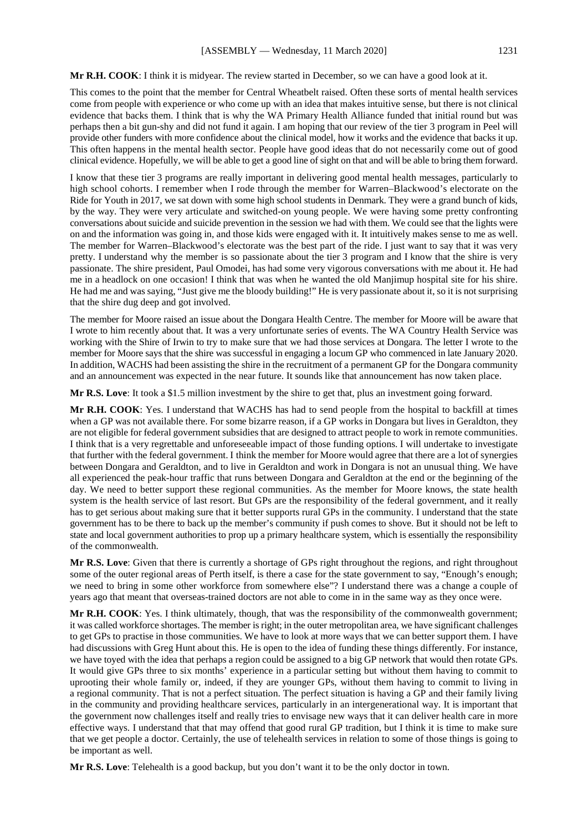**Mr R.H. COOK**: I think it is midyear. The review started in December, so we can have a good look at it.

This comes to the point that the member for Central Wheatbelt raised. Often these sorts of mental health services come from people with experience or who come up with an idea that makes intuitive sense, but there is not clinical evidence that backs them. I think that is why the WA Primary Health Alliance funded that initial round but was perhaps then a bit gun-shy and did not fund it again. I am hoping that our review of the tier 3 program in Peel will provide other funders with more confidence about the clinical model, how it works and the evidence that backs it up. This often happens in the mental health sector. People have good ideas that do not necessarily come out of good clinical evidence. Hopefully, we will be able to get a good line of sight on that and will be able to bring them forward.

I know that these tier 3 programs are really important in delivering good mental health messages, particularly to high school cohorts. I remember when I rode through the member for Warren–Blackwood's electorate on the Ride for Youth in 2017, we sat down with some high school students in Denmark. They were a grand bunch of kids, by the way. They were very articulate and switched-on young people. We were having some pretty confronting conversations about suicide and suicide prevention in the session we had with them. We could see that the lights were on and the information was going in, and those kids were engaged with it. It intuitively makes sense to me as well. The member for Warren–Blackwood's electorate was the best part of the ride. I just want to say that it was very pretty. I understand why the member is so passionate about the tier 3 program and I know that the shire is very passionate. The shire president, Paul Omodei, has had some very vigorous conversations with me about it. He had me in a headlock on one occasion! I think that was when he wanted the old Manjimup hospital site for his shire. He had me and was saying, "Just give me the bloody building!" He is very passionate about it, so it is not surprising that the shire dug deep and got involved.

The member for Moore raised an issue about the Dongara Health Centre. The member for Moore will be aware that I wrote to him recently about that. It was a very unfortunate series of events. The WA Country Health Service was working with the Shire of Irwin to try to make sure that we had those services at Dongara. The letter I wrote to the member for Moore says that the shire was successful in engaging a locum GP who commenced in late January 2020. In addition, WACHS had been assisting the shire in the recruitment of a permanent GP for the Dongara community and an announcement was expected in the near future. It sounds like that announcement has now taken place.

**Mr R.S. Love**: It took a \$1.5 million investment by the shire to get that, plus an investment going forward.

**Mr R.H. COOK**: Yes. I understand that WACHS has had to send people from the hospital to backfill at times when a GP was not available there. For some bizarre reason, if a GP works in Dongara but lives in Geraldton, they are not eligible for federal government subsidies that are designed to attract people to work in remote communities. I think that is a very regrettable and unforeseeable impact of those funding options. I will undertake to investigate that further with the federal government. I think the member for Moore would agree that there are a lot of synergies between Dongara and Geraldton, and to live in Geraldton and work in Dongara is not an unusual thing. We have all experienced the peak-hour traffic that runs between Dongara and Geraldton at the end or the beginning of the day. We need to better support these regional communities. As the member for Moore knows, the state health system is the health service of last resort. But GPs are the responsibility of the federal government, and it really has to get serious about making sure that it better supports rural GPs in the community. I understand that the state government has to be there to back up the member's community if push comes to shove. But it should not be left to state and local government authorities to prop up a primary healthcare system, which is essentially the responsibility of the commonwealth.

**Mr R.S. Love**: Given that there is currently a shortage of GPs right throughout the regions, and right throughout some of the outer regional areas of Perth itself, is there a case for the state government to say, "Enough's enough; we need to bring in some other workforce from somewhere else"? I understand there was a change a couple of years ago that meant that overseas-trained doctors are not able to come in in the same way as they once were.

**Mr R.H. COOK**: Yes. I think ultimately, though, that was the responsibility of the commonwealth government; it was called workforce shortages. The member is right; in the outer metropolitan area, we have significant challenges to get GPs to practise in those communities. We have to look at more ways that we can better support them. I have had discussions with Greg Hunt about this. He is open to the idea of funding these things differently. For instance, we have toyed with the idea that perhaps a region could be assigned to a big GP network that would then rotate GPs. It would give GPs three to six months' experience in a particular setting but without them having to commit to uprooting their whole family or, indeed, if they are younger GPs, without them having to commit to living in a regional community. That is not a perfect situation. The perfect situation is having a GP and their family living in the community and providing healthcare services, particularly in an intergenerational way. It is important that the government now challenges itself and really tries to envisage new ways that it can deliver health care in more effective ways. I understand that that may offend that good rural GP tradition, but I think it is time to make sure that we get people a doctor. Certainly, the use of telehealth services in relation to some of those things is going to be important as well.

**Mr R.S. Love**: Telehealth is a good backup, but you don't want it to be the only doctor in town.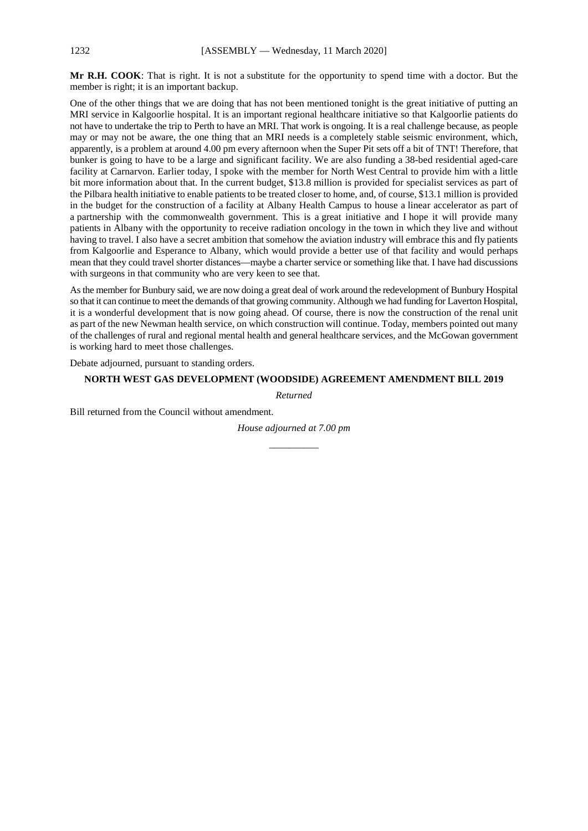**Mr R.H. COOK**: That is right. It is not a substitute for the opportunity to spend time with a doctor. But the member is right; it is an important backup.

One of the other things that we are doing that has not been mentioned tonight is the great initiative of putting an MRI service in Kalgoorlie hospital. It is an important regional healthcare initiative so that Kalgoorlie patients do not have to undertake the trip to Perth to have an MRI. That work is ongoing. It is a real challenge because, as people may or may not be aware, the one thing that an MRI needs is a completely stable seismic environment, which, apparently, is a problem at around 4.00 pm every afternoon when the Super Pit sets off a bit of TNT! Therefore, that bunker is going to have to be a large and significant facility. We are also funding a 38-bed residential aged-care facility at Carnarvon. Earlier today, I spoke with the member for North West Central to provide him with a little bit more information about that. In the current budget, \$13.8 million is provided for specialist services as part of the Pilbara health initiative to enable patients to be treated closer to home, and, of course, \$13.1 million is provided in the budget for the construction of a facility at Albany Health Campus to house a linear accelerator as part of a partnership with the commonwealth government. This is a great initiative and I hope it will provide many patients in Albany with the opportunity to receive radiation oncology in the town in which they live and without having to travel. I also have a secret ambition that somehow the aviation industry will embrace this and fly patients from Kalgoorlie and Esperance to Albany, which would provide a better use of that facility and would perhaps mean that they could travel shorter distances—maybe a charter service or something like that. I have had discussions with surgeons in that community who are very keen to see that.

As the member for Bunbury said, we are now doing a great deal of work around the redevelopment of Bunbury Hospital so that it can continue to meet the demands of that growing community. Although we had funding for Laverton Hospital, it is a wonderful development that is now going ahead. Of course, there is now the construction of the renal unit as part of the new Newman health service, on which construction will continue. Today, members pointed out many of the challenges of rural and regional mental health and general healthcare services, and the McGowan government is working hard to meet those challenges.

Debate adjourned, pursuant to standing orders.

### **NORTH WEST GAS DEVELOPMENT (WOODSIDE) AGREEMENT AMENDMENT BILL 2019**

*Returned*

Bill returned from the Council without amendment.

*House adjourned at 7.00 pm \_\_\_\_\_\_\_\_\_\_*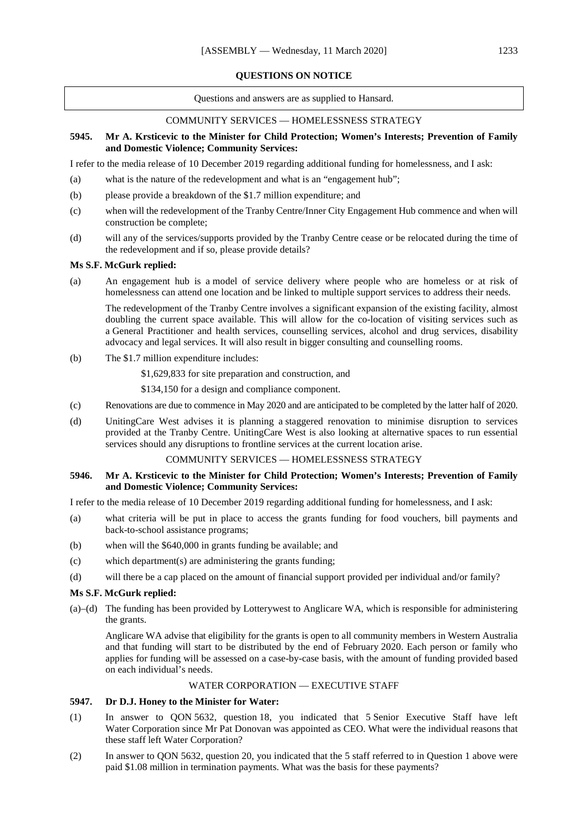### **QUESTIONS ON NOTICE**

Questions and answers are as supplied to Hansard.

### COMMUNITY SERVICES — HOMELESSNESS STRATEGY

### **5945. Mr A. Krsticevic to the Minister for Child Protection; Women's Interests; Prevention of Family and Domestic Violence; Community Services:**

I refer to the media release of 10 December 2019 regarding additional funding for homelessness, and I ask:

- (a) what is the nature of the redevelopment and what is an "engagement hub";
- (b) please provide a breakdown of the \$1.7 million expenditure; and
- (c) when will the redevelopment of the Tranby Centre/Inner City Engagement Hub commence and when will construction be complete;
- (d) will any of the services/supports provided by the Tranby Centre cease or be relocated during the time of the redevelopment and if so, please provide details?

### **Ms S.F. McGurk replied:**

(a) An engagement hub is a model of service delivery where people who are homeless or at risk of homelessness can attend one location and be linked to multiple support services to address their needs.

The redevelopment of the Tranby Centre involves a significant expansion of the existing facility, almost doubling the current space available. This will allow for the co-location of visiting services such as a General Practitioner and health services, counselling services, alcohol and drug services, disability advocacy and legal services. It will also result in bigger consulting and counselling rooms.

(b) The \$1.7 million expenditure includes:

\$1,629,833 for site preparation and construction, and

\$134,150 for a design and compliance component.

- (c) Renovations are due to commence in May 2020 and are anticipated to be completed by the latter half of 2020.
- (d) UnitingCare West advises it is planning a staggered renovation to minimise disruption to services provided at the Tranby Centre. UnitingCare West is also looking at alternative spaces to run essential services should any disruptions to frontline services at the current location arise.

### COMMUNITY SERVICES — HOMELESSNESS STRATEGY

### **5946. Mr A. Krsticevic to the Minister for Child Protection; Women's Interests; Prevention of Family and Domestic Violence; Community Services:**

I refer to the media release of 10 December 2019 regarding additional funding for homelessness, and I ask:

- (a) what criteria will be put in place to access the grants funding for food vouchers, bill payments and back-to-school assistance programs;
- (b) when will the \$640,000 in grants funding be available; and
- (c) which department(s) are administering the grants funding;
- (d) will there be a cap placed on the amount of financial support provided per individual and/or family?

### **Ms S.F. McGurk replied:**

(a)–(d) The funding has been provided by Lotterywest to Anglicare WA, which is responsible for administering the grants.

Anglicare WA advise that eligibility for the grants is open to all community members in Western Australia and that funding will start to be distributed by the end of February 2020. Each person or family who applies for funding will be assessed on a case-by-case basis, with the amount of funding provided based on each individual's needs.

# WATER CORPORATION — EXECUTIVE STAFF

### **5947. Dr D.J. Honey to the Minister for Water:**

- (1) In answer to QON 5632, question 18, you indicated that 5 Senior Executive Staff have left Water Corporation since Mr Pat Donovan was appointed as CEO. What were the individual reasons that these staff left Water Corporation?
- (2) In answer to QON 5632, question 20, you indicated that the 5 staff referred to in Question 1 above were paid \$1.08 million in termination payments. What was the basis for these payments?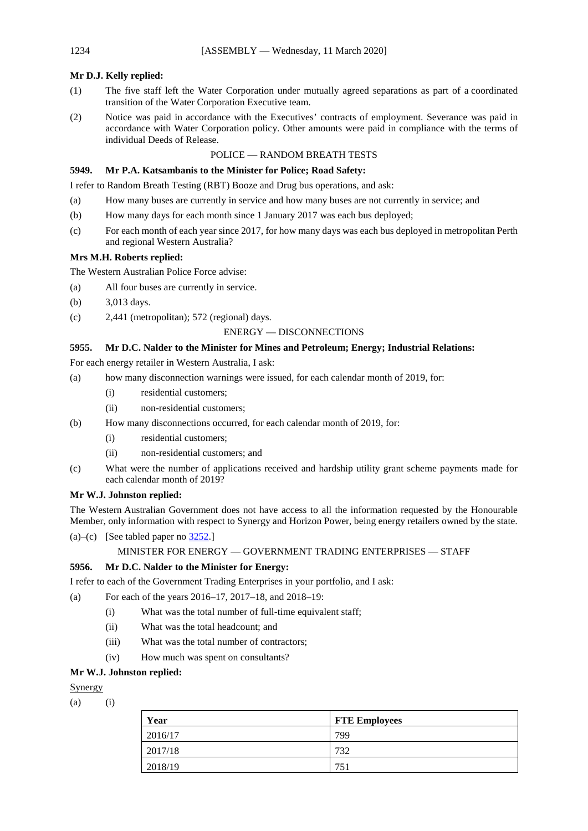# **Mr D.J. Kelly replied:**

- (1) The five staff left the Water Corporation under mutually agreed separations as part of a coordinated transition of the Water Corporation Executive team.
- (2) Notice was paid in accordance with the Executives' contracts of employment. Severance was paid in accordance with Water Corporation policy. Other amounts were paid in compliance with the terms of individual Deeds of Release.

# POLICE — RANDOM BREATH TESTS

# **5949. Mr P.A. Katsambanis to the Minister for Police; Road Safety:**

I refer to Random Breath Testing (RBT) Booze and Drug bus operations, and ask:

- (a) How many buses are currently in service and how many buses are not currently in service; and
- (b) How many days for each month since 1 January 2017 was each bus deployed;
- (c) For each month of each year since 2017, for how many days was each bus deployed in metropolitan Perth and regional Western Australia?

### **Mrs M.H. Roberts replied:**

The Western Australian Police Force advise:

- (a) All four buses are currently in service.
- (b) 3,013 days.
- (c) 2,441 (metropolitan); 572 (regional) days.

# ENERGY — DISCONNECTIONS

### **5955. Mr D.C. Nalder to the Minister for Mines and Petroleum; Energy; Industrial Relations:**

For each energy retailer in Western Australia, I ask:

- (a) how many disconnection warnings were issued, for each calendar month of 2019, for:
	- (i) residential customers;
	- (ii) non-residential customers;
- (b) How many disconnections occurred, for each calendar month of 2019, for:
	- (i) residential customers;
	- (ii) non-residential customers; and
- (c) What were the number of applications received and hardship utility grant scheme payments made for each calendar month of 2019?

### **Mr W.J. Johnston replied:**

The Western Australian Government does not have access to all the information requested by the Honourable Member, only information with respect to Synergy and Horizon Power, being energy retailers owned by the state.

(a)–(c) [See tabled paper no [3252.\]](https://www.parliament.wa.gov.au/publications/tabledpapers.nsf/displaypaper/4013252ae4235ff7e2a1ef8748258528003da868/$file/3252.pdf)

```
MINISTER FOR ENERGY — GOVERNMENT TRADING ENTERPRISES — STAFF
```
# **5956. Mr D.C. Nalder to the Minister for Energy:**

I refer to each of the Government Trading Enterprises in your portfolio, and I ask:

- (a) For each of the years 2016–17, 2017–18, and 2018–19:
	- (i) What was the total number of full-time equivalent staff;
	- (ii) What was the total headcount; and
	- (iii) What was the total number of contractors;
	- (iv) How much was spent on consultants?

# **Mr W.J. Johnston replied:**

# Synergy

 $(a)$   $(i)$ 

| Year    | <b>FTE Employees</b> |
|---------|----------------------|
| 2016/17 | 799                  |
| 2017/18 | 732                  |
| 2018/19 | 75,                  |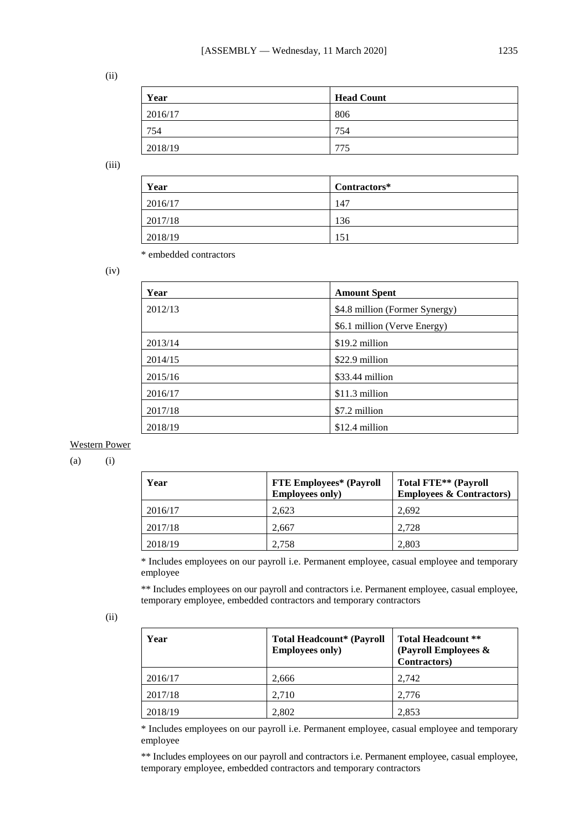(ii)

| Year    | <b>Head Count</b> |
|---------|-------------------|
| 2016/17 | 806               |
| 754     | 754               |
| 2018/19 | 775               |

(iii)

| Year    | Contractors* |
|---------|--------------|
| 2016/17 | 147          |
| 2017/18 | 136          |
| 2018/19 | 151          |

\* embedded contractors

(iv)

| Year    | <b>Amount Spent</b>            |
|---------|--------------------------------|
| 2012/13 | \$4.8 million (Former Synergy) |
|         | \$6.1 million (Verve Energy)   |
| 2013/14 | \$19.2 million                 |
| 2014/15 | \$22.9 million                 |
| 2015/16 | \$33.44 million                |
| 2016/17 | \$11.3 million                 |
| 2017/18 | \$7.2 million                  |
| 2018/19 | \$12.4 million                 |

### Western Power

 $(a)$  (i)

| Year    | <b>FTE Employees* (Payroll</b><br><b>Employees only)</b> | Total FTE** (Payroll<br><b>Employees &amp; Contractors)</b> |
|---------|----------------------------------------------------------|-------------------------------------------------------------|
| 2016/17 | 2.623                                                    | 2.692                                                       |
| 2017/18 | 2.667                                                    | 2.728                                                       |
| 2018/19 | 2.758                                                    | 2.803                                                       |

\* Includes employees on our payroll i.e. Permanent employee, casual employee and temporary employee

\*\* Includes employees on our payroll and contractors i.e. Permanent employee, casual employee, temporary employee, embedded contractors and temporary contractors

| Year    | <b>Total Headcount* (Payroll</b><br><b>Employees only)</b> | <b>Total Headcount **</b><br>(Payroll Employees &<br>Contractors) |
|---------|------------------------------------------------------------|-------------------------------------------------------------------|
| 2016/17 | 2,666                                                      | 2.742                                                             |
| 2017/18 | 2,710                                                      | 2,776                                                             |
| 2018/19 | 2,802                                                      | 2,853                                                             |

\* Includes employees on our payroll i.e. Permanent employee, casual employee and temporary employee

\*\* Includes employees on our payroll and contractors i.e. Permanent employee, casual employee, temporary employee, embedded contractors and temporary contractors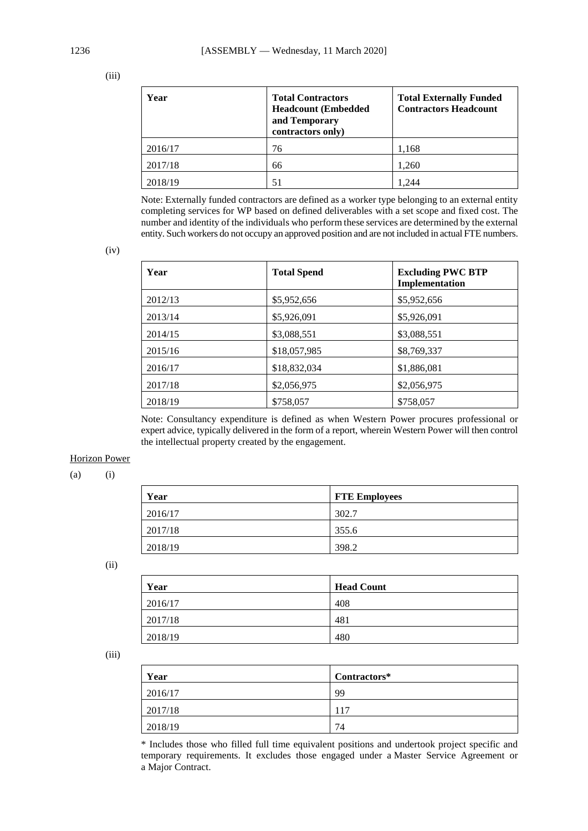(iii)

| Year    | <b>Total Contractors</b><br><b>Headcount (Embedded)</b><br>and Temporary<br>contractors only) | <b>Total Externally Funded</b><br><b>Contractors Headcount</b> |
|---------|-----------------------------------------------------------------------------------------------|----------------------------------------------------------------|
| 2016/17 | 76                                                                                            | 1,168                                                          |
| 2017/18 | 66                                                                                            | 1,260                                                          |
| 2018/19 | 51                                                                                            | 244                                                            |

Note: Externally funded contractors are defined as a worker type belonging to an external entity completing services for WP based on defined deliverables with a set scope and fixed cost. The number and identity of the individuals who perform these services are determined by the external entity. Such workers do not occupy an approved position and are not included in actual FTE numbers.

(iv)

| Year    | <b>Total Spend</b> | <b>Excluding PWC BTP</b><br>Implementation |
|---------|--------------------|--------------------------------------------|
| 2012/13 | \$5,952,656        | \$5,952,656                                |
| 2013/14 | \$5,926,091        | \$5,926,091                                |
| 2014/15 | \$3,088,551        | \$3,088,551                                |
| 2015/16 | \$18,057,985       | \$8,769,337                                |
| 2016/17 | \$18,832,034       | \$1,886,081                                |
| 2017/18 | \$2,056,975        | \$2,056,975                                |
| 2018/19 | \$758,057          | \$758,057                                  |

Note: Consultancy expenditure is defined as when Western Power procures professional or expert advice, typically delivered in the form of a report, wherein Western Power will then control the intellectual property created by the engagement.

# Horizon Power

 $(a)$   $(i)$ 

| Year    | <b>FTE Employees</b> |
|---------|----------------------|
| 2016/17 | 302.7                |
| 2017/18 | 355.6                |
| 2018/19 | 398.2                |

(ii)

| Year    | <b>Head Count</b> |
|---------|-------------------|
| 2016/17 | 408               |
| 2017/18 | 481               |
| 2018/19 | 480               |

(iii)

| Year           | Contractors* |
|----------------|--------------|
| $\mid$ 2016/17 | 99           |
| 2017/18        | 117          |
| 2018/19        | 74           |

\* Includes those who filled full time equivalent positions and undertook project specific and temporary requirements. It excludes those engaged under a Master Service Agreement or a Major Contract.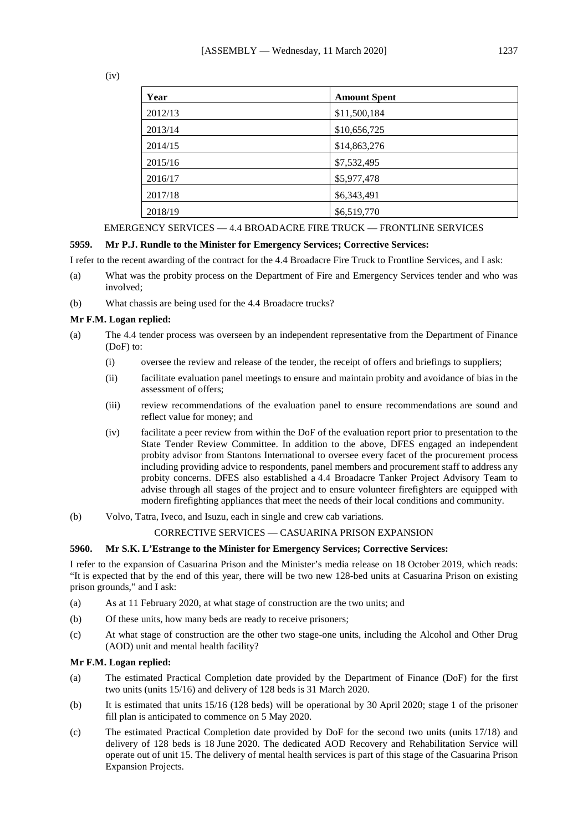(iv)

| Year    | <b>Amount Spent</b> |
|---------|---------------------|
| 2012/13 | \$11,500,184        |
| 2013/14 | \$10,656,725        |
| 2014/15 | \$14,863,276        |
| 2015/16 | \$7,532,495         |
| 2016/17 | \$5,977,478         |
| 2017/18 | \$6,343,491         |
| 2018/19 | \$6,519,770         |

### EMERGENCY SERVICES — 4.4 BROADACRE FIRE TRUCK — FRONTLINE SERVICES

# **5959. Mr P.J. Rundle to the Minister for Emergency Services; Corrective Services:**

I refer to the recent awarding of the contract for the 4.4 Broadacre Fire Truck to Frontline Services, and I ask:

- (a) What was the probity process on the Department of Fire and Emergency Services tender and who was involved;
- (b) What chassis are being used for the 4.4 Broadacre trucks?

### **Mr F.M. Logan replied:**

- (a) The 4.4 tender process was overseen by an independent representative from the Department of Finance (DoF) to:
	- (i) oversee the review and release of the tender, the receipt of offers and briefings to suppliers;
	- (ii) facilitate evaluation panel meetings to ensure and maintain probity and avoidance of bias in the assessment of offers;
	- (iii) review recommendations of the evaluation panel to ensure recommendations are sound and reflect value for money; and
	- (iv) facilitate a peer review from within the DoF of the evaluation report prior to presentation to the State Tender Review Committee. In addition to the above, DFES engaged an independent probity advisor from Stantons International to oversee every facet of the procurement process including providing advice to respondents, panel members and procurement staff to address any probity concerns. DFES also established a 4.4 Broadacre Tanker Project Advisory Team to advise through all stages of the project and to ensure volunteer firefighters are equipped with modern firefighting appliances that meet the needs of their local conditions and community.
- (b) Volvo, Tatra, Iveco, and Isuzu, each in single and crew cab variations.

### CORRECTIVE SERVICES — CASUARINA PRISON EXPANSION

#### **5960. Mr S.K. L'Estrange to the Minister for Emergency Services; Corrective Services:**

I refer to the expansion of Casuarina Prison and the Minister's media release on 18 October 2019, which reads: "It is expected that by the end of this year, there will be two new 128-bed units at Casuarina Prison on existing prison grounds," and I ask:

- (a) As at 11 February 2020, at what stage of construction are the two units; and
- (b) Of these units, how many beds are ready to receive prisoners;
- (c) At what stage of construction are the other two stage-one units, including the Alcohol and Other Drug (AOD) unit and mental health facility?

# **Mr F.M. Logan replied:**

- (a) The estimated Practical Completion date provided by the Department of Finance (DoF) for the first two units (units 15/16) and delivery of 128 beds is 31 March 2020.
- (b) It is estimated that units 15/16 (128 beds) will be operational by 30 April 2020; stage 1 of the prisoner fill plan is anticipated to commence on 5 May 2020.
- (c) The estimated Practical Completion date provided by DoF for the second two units (units 17/18) and delivery of 128 beds is 18 June 2020. The dedicated AOD Recovery and Rehabilitation Service will operate out of unit 15. The delivery of mental health services is part of this stage of the Casuarina Prison Expansion Projects.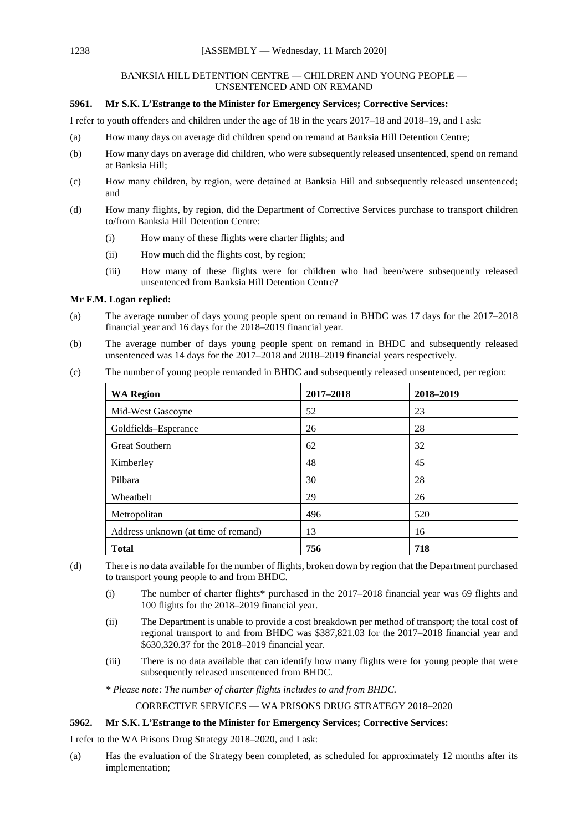### BANKSIA HILL DETENTION CENTRE — CHILDREN AND YOUNG PEOPLE — UNSENTENCED AND ON REMAND

## **5961. Mr S.K. L'Estrange to the Minister for Emergency Services; Corrective Services:**

I refer to youth offenders and children under the age of 18 in the years 2017–18 and 2018–19, and I ask:

- (a) How many days on average did children spend on remand at Banksia Hill Detention Centre;
- (b) How many days on average did children, who were subsequently released unsentenced, spend on remand at Banksia Hill;
- (c) How many children, by region, were detained at Banksia Hill and subsequently released unsentenced; and
- (d) How many flights, by region, did the Department of Corrective Services purchase to transport children to/from Banksia Hill Detention Centre:
	- (i) How many of these flights were charter flights; and
	- (ii) How much did the flights cost, by region;
	- (iii) How many of these flights were for children who had been/were subsequently released unsentenced from Banksia Hill Detention Centre?

### **Mr F.M. Logan replied:**

- (a) The average number of days young people spent on remand in BHDC was 17 days for the 2017–2018 financial year and 16 days for the 2018–2019 financial year.
- (b) The average number of days young people spent on remand in BHDC and subsequently released unsentenced was 14 days for the 2017–2018 and 2018–2019 financial years respectively.

| <b>WA Region</b>                    | 2017-2018 | 2018-2019 |
|-------------------------------------|-----------|-----------|
| Mid-West Gascoyne                   | 52        | 23        |
| Goldfields-Esperance                | 26        | 28        |
| <b>Great Southern</b>               | 62        | 32        |
| Kimberley                           | 48        | 45        |
| Pilbara                             | 30        | 28        |
| Wheatbelt                           | 29        | 26        |
| Metropolitan                        | 496       | 520       |
| Address unknown (at time of remand) | 13        | 16        |
| <b>Total</b>                        | 756       | 718       |

(c) The number of young people remanded in BHDC and subsequently released unsentenced, per region:

(d) There is no data available for the number of flights, broken down by region that the Department purchased to transport young people to and from BHDC.

- (i) The number of charter flights\* purchased in the 2017–2018 financial year was 69 flights and 100 flights for the 2018–2019 financial year.
- (ii) The Department is unable to provide a cost breakdown per method of transport; the total cost of regional transport to and from BHDC was \$387,821.03 for the 2017–2018 financial year and \$630,320.37 for the 2018–2019 financial year.
- (iii) There is no data available that can identify how many flights were for young people that were subsequently released unsentenced from BHDC.

*\* Please note: The number of charter flights includes to and from BHDC.*

CORRECTIVE SERVICES — WA PRISONS DRUG STRATEGY 2018–2020

### **5962. Mr S.K. L'Estrange to the Minister for Emergency Services; Corrective Services:**

I refer to the WA Prisons Drug Strategy 2018–2020, and I ask:

(a) Has the evaluation of the Strategy been completed, as scheduled for approximately 12 months after its implementation;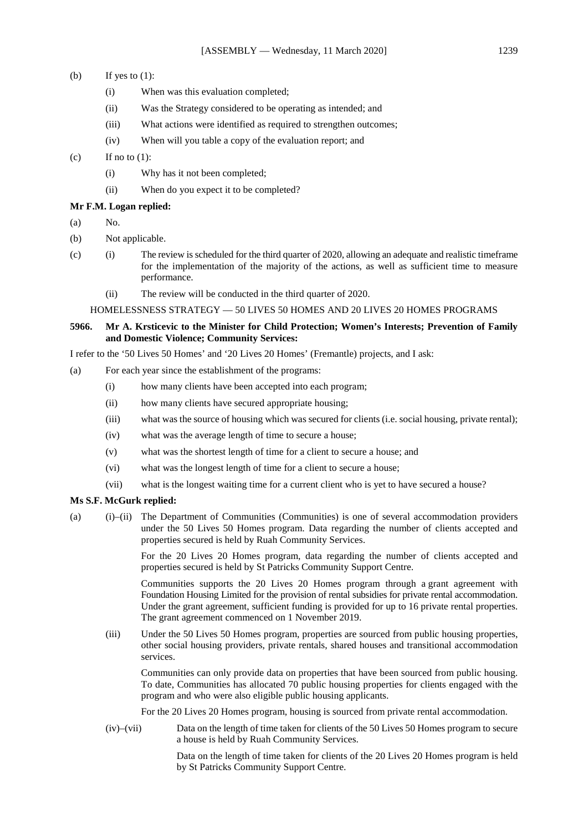- (b) If yes to  $(1)$ :
	- (i) When was this evaluation completed;
	- (ii) Was the Strategy considered to be operating as intended; and
	- (iii) What actions were identified as required to strengthen outcomes;
	- (iv) When will you table a copy of the evaluation report; and

### (c) If no to  $(1)$ :

- (i) Why has it not been completed;
- (ii) When do you expect it to be completed?

#### **Mr F.M. Logan replied:**

- $(a)$  No.
- (b) Not applicable.
- (c) (i) The review is scheduled for the third quarter of 2020, allowing an adequate and realistic timeframe for the implementation of the majority of the actions, as well as sufficient time to measure performance.
	- (ii) The review will be conducted in the third quarter of 2020.

#### HOMELESSNESS STRATEGY — 50 LIVES 50 HOMES AND 20 LIVES 20 HOMES PROGRAMS

**5966. Mr A. Krsticevic to the Minister for Child Protection; Women's Interests; Prevention of Family and Domestic Violence; Community Services:**

I refer to the '50 Lives 50 Homes' and '20 Lives 20 Homes' (Fremantle) projects, and I ask:

- (a) For each year since the establishment of the programs:
	- (i) how many clients have been accepted into each program;
	- (ii) how many clients have secured appropriate housing;
	- (iii) what was the source of housing which was secured for clients (i.e. social housing, private rental);
	- (iv) what was the average length of time to secure a house;
	- (v) what was the shortest length of time for a client to secure a house; and
	- (vi) what was the longest length of time for a client to secure a house;
	- (vii) what is the longest waiting time for a current client who is yet to have secured a house?

### **Ms S.F. McGurk replied:**

(a) (i)–(ii) The Department of Communities (Communities) is one of several accommodation providers under the 50 Lives 50 Homes program. Data regarding the number of clients accepted and properties secured is held by Ruah Community Services.

> For the 20 Lives 20 Homes program, data regarding the number of clients accepted and properties secured is held by St Patricks Community Support Centre.

> Communities supports the 20 Lives 20 Homes program through a grant agreement with Foundation Housing Limited for the provision of rental subsidies for private rental accommodation. Under the grant agreement, sufficient funding is provided for up to 16 private rental properties. The grant agreement commenced on 1 November 2019.

(iii) Under the 50 Lives 50 Homes program, properties are sourced from public housing properties, other social housing providers, private rentals, shared houses and transitional accommodation services.

Communities can only provide data on properties that have been sourced from public housing. To date, Communities has allocated 70 public housing properties for clients engaged with the program and who were also eligible public housing applicants.

For the 20 Lives 20 Homes program, housing is sourced from private rental accommodation.

(iv)–(vii) Data on the length of time taken for clients of the 50 Lives 50 Homes program to secure a house is held by Ruah Community Services.

> Data on the length of time taken for clients of the 20 Lives 20 Homes program is held by St Patricks Community Support Centre.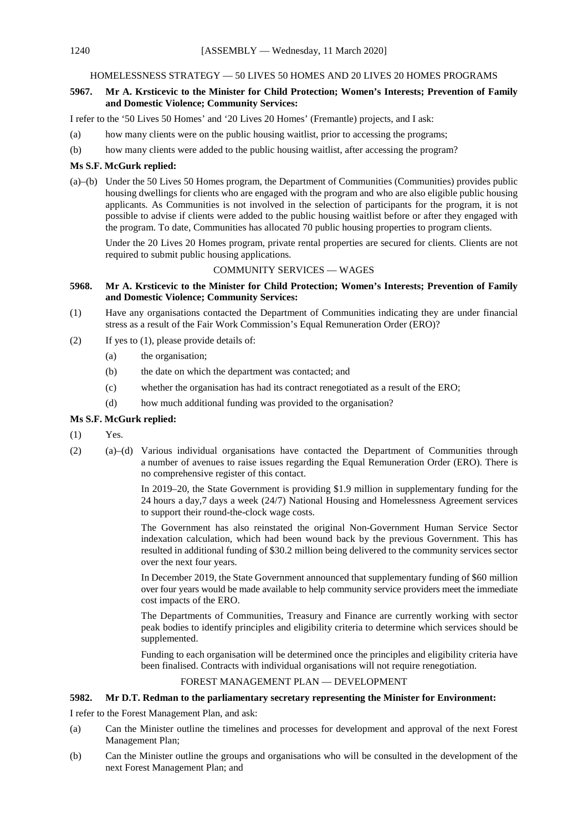### HOMELESSNESS STRATEGY — 50 LIVES 50 HOMES AND 20 LIVES 20 HOMES PROGRAMS

# **5967. Mr A. Krsticevic to the Minister for Child Protection; Women's Interests; Prevention of Family and Domestic Violence; Community Services:**

I refer to the '50 Lives 50 Homes' and '20 Lives 20 Homes' (Fremantle) projects, and I ask:

- (a) how many clients were on the public housing waitlist, prior to accessing the programs;
- (b) how many clients were added to the public housing waitlist, after accessing the program?

### **Ms S.F. McGurk replied:**

(a)–(b) Under the 50 Lives 50 Homes program, the Department of Communities (Communities) provides public housing dwellings for clients who are engaged with the program and who are also eligible public housing applicants. As Communities is not involved in the selection of participants for the program, it is not possible to advise if clients were added to the public housing waitlist before or after they engaged with the program. To date, Communities has allocated 70 public housing properties to program clients.

Under the 20 Lives 20 Homes program, private rental properties are secured for clients. Clients are not required to submit public housing applications.

### COMMUNITY SERVICES — WAGES

### **5968. Mr A. Krsticevic to the Minister for Child Protection; Women's Interests; Prevention of Family and Domestic Violence; Community Services:**

- (1) Have any organisations contacted the Department of Communities indicating they are under financial stress as a result of the Fair Work Commission's Equal Remuneration Order (ERO)?
- (2) If yes to (1), please provide details of:
	- (a) the organisation;
	- (b) the date on which the department was contacted; and
	- (c) whether the organisation has had its contract renegotiated as a result of the ERO;
	- (d) how much additional funding was provided to the organisation?

### **Ms S.F. McGurk replied:**

- (1) Yes.
- (2) (a)–(d) Various individual organisations have contacted the Department of Communities through a number of avenues to raise issues regarding the Equal Remuneration Order (ERO). There is no comprehensive register of this contact.

In 2019–20, the State Government is providing \$1.9 million in supplementary funding for the 24 hours a day,7 days a week (24/7) National Housing and Homelessness Agreement services to support their round-the-clock wage costs.

The Government has also reinstated the original Non-Government Human Service Sector indexation calculation, which had been wound back by the previous Government. This has resulted in additional funding of \$30.2 million being delivered to the community services sector over the next four years.

In December 2019, the State Government announced that supplementary funding of \$60 million over four years would be made available to help community service providers meet the immediate cost impacts of the ERO.

The Departments of Communities, Treasury and Finance are currently working with sector peak bodies to identify principles and eligibility criteria to determine which services should be supplemented.

Funding to each organisation will be determined once the principles and eligibility criteria have been finalised. Contracts with individual organisations will not require renegotiation.

### FOREST MANAGEMENT PLAN — DEVELOPMENT

### **5982. Mr D.T. Redman to the parliamentary secretary representing the Minister for Environment:**

I refer to the Forest Management Plan, and ask:

- (a) Can the Minister outline the timelines and processes for development and approval of the next Forest Management Plan;
- (b) Can the Minister outline the groups and organisations who will be consulted in the development of the next Forest Management Plan; and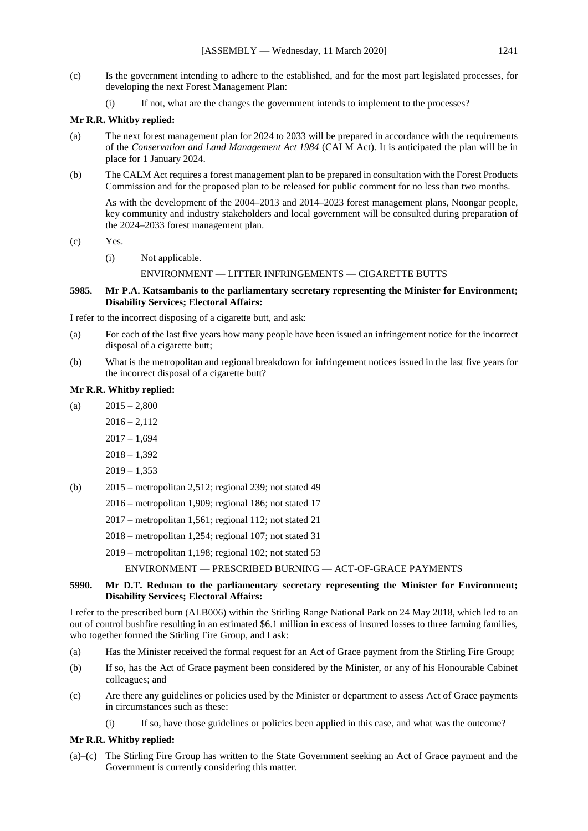- (c) Is the government intending to adhere to the established, and for the most part legislated processes, for developing the next Forest Management Plan:
	- (i) If not, what are the changes the government intends to implement to the processes?

### **Mr R.R. Whitby replied:**

- (a) The next forest management plan for 2024 to 2033 will be prepared in accordance with the requirements of the *Conservation and Land Management Act 1984* (CALM Act). It is anticipated the plan will be in place for 1 January 2024.
- (b) The CALM Act requires a forest management plan to be prepared in consultation with the Forest Products Commission and for the proposed plan to be released for public comment for no less than two months.

As with the development of the 2004–2013 and 2014–2023 forest management plans, Noongar people, key community and industry stakeholders and local government will be consulted during preparation of the 2024–2033 forest management plan.

(c) Yes.

- (i) Not applicable.
	- ENVIRONMENT LITTER INFRINGEMENTS CIGARETTE BUTTS

### **5985. Mr P.A. Katsambanis to the parliamentary secretary representing the Minister for Environment; Disability Services; Electoral Affairs:**

I refer to the incorrect disposing of a cigarette butt, and ask:

- (a) For each of the last five years how many people have been issued an infringement notice for the incorrect disposal of a cigarette butt;
- (b) What is the metropolitan and regional breakdown for infringement notices issued in the last five years for the incorrect disposal of a cigarette butt?

### **Mr R.R. Whitby replied:**

- (a)  $2015 2,800$ 
	- $2016 2,112$ 
		- $2017 1.694$
		- $2018 1,392$
		- $2019 1,353$
- (b) 2015 metropolitan 2,512; regional 239; not stated 49
	- 2016 metropolitan 1,909; regional 186; not stated 17
	- 2017 metropolitan 1,561; regional 112; not stated 21
	- 2018 metropolitan 1,254; regional 107; not stated 31

2019 – metropolitan 1,198; regional 102; not stated 53

ENVIRONMENT — PRESCRIBED BURNING — ACT-OF-GRACE PAYMENTS

# **5990. Mr D.T. Redman to the parliamentary secretary representing the Minister for Environment; Disability Services; Electoral Affairs:**

I refer to the prescribed burn (ALB006) within the Stirling Range National Park on 24 May 2018, which led to an out of control bushfire resulting in an estimated \$6.1 million in excess of insured losses to three farming families, who together formed the Stirling Fire Group, and I ask:

- (a) Has the Minister received the formal request for an Act of Grace payment from the Stirling Fire Group;
- (b) If so, has the Act of Grace payment been considered by the Minister, or any of his Honourable Cabinet colleagues; and
- (c) Are there any guidelines or policies used by the Minister or department to assess Act of Grace payments in circumstances such as these:
	- (i) If so, have those guidelines or policies been applied in this case, and what was the outcome?

# **Mr R.R. Whitby replied:**

(a)–(c) The Stirling Fire Group has written to the State Government seeking an Act of Grace payment and the Government is currently considering this matter.